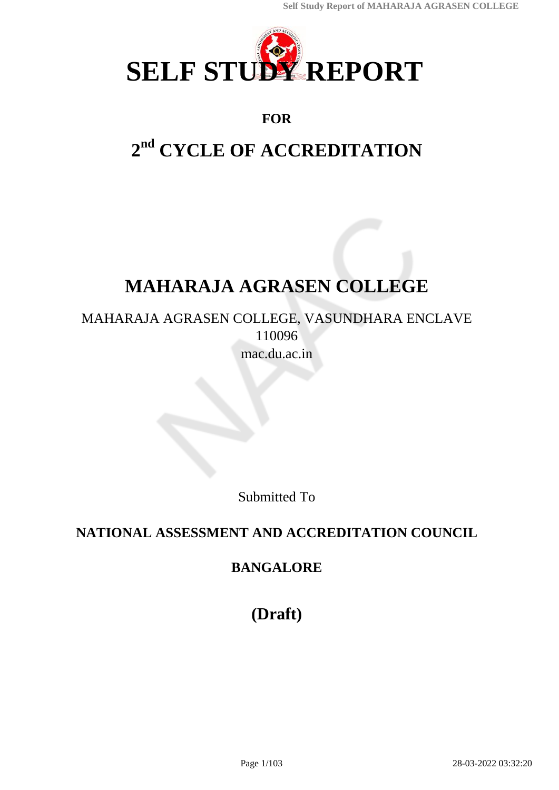

# **FOR**

# **2 nd CYCLE OF ACCREDITATION**

# **MAHARAJA AGRASEN COLLEGE**

MAHARAJA AGRASEN COLLEGE, VASUNDHARA ENCLAVE 110096 mac.du.ac.in

Submitted To

# **NATIONAL ASSESSMENT AND ACCREDITATION COUNCIL**

# **BANGALORE**

**(Draft)**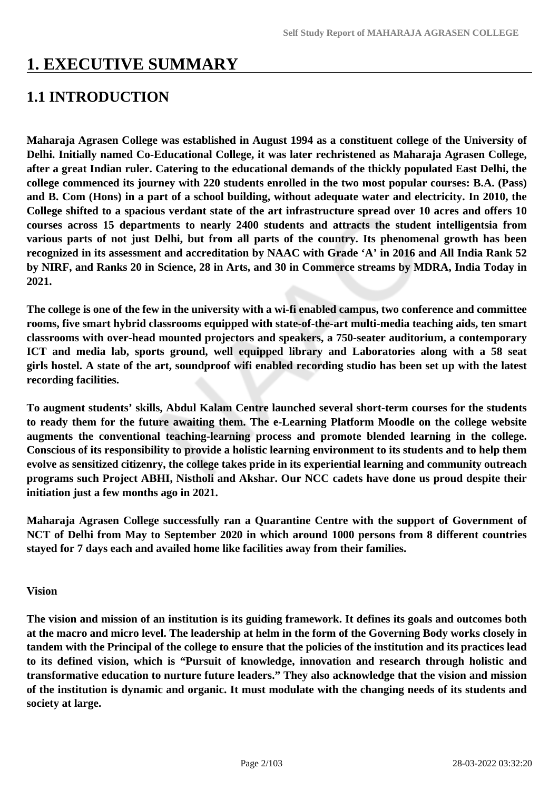# **1. EXECUTIVE SUMMARY**

# **1.1 INTRODUCTION**

**Maharaja Agrasen College was established in August 1994 as a constituent college of the University of Delhi. Initially named Co-Educational College, it was later rechristened as Maharaja Agrasen College, after a great Indian ruler. Catering to the educational demands of the thickly populated East Delhi, the college commenced its journey with 220 students enrolled in the two most popular courses: B.A. (Pass) and B. Com (Hons) in a part of a school building, without adequate water and electricity. In 2010, the College shifted to a spacious verdant state of the art infrastructure spread over 10 acres and offers 10 courses across 15 departments to nearly 2400 students and attracts the student intelligentsia from various parts of not just Delhi, but from all parts of the country. Its phenomenal growth has been recognized in its assessment and accreditation by NAAC with Grade 'A' in 2016 and All India Rank 52 by NIRF, and Ranks 20 in Science, 28 in Arts, and 30 in Commerce streams by MDRA, India Today in 2021.**

**The college is one of the few in the university with a wi-fi enabled campus, two conference and committee rooms, five smart hybrid classrooms equipped with state-of-the-art multi-media teaching aids, ten smart classrooms with over-head mounted projectors and speakers, a 750-seater auditorium, a contemporary ICT and media lab, sports ground, well equipped library and Laboratories along with a 58 seat girls hostel. A state of the art, soundproof wifi enabled recording studio has been set up with the latest recording facilities.** 

**To augment students' skills, Abdul Kalam Centre launched several short-term courses for the students to ready them for the future awaiting them. The e-Learning Platform Moodle on the college website augments the conventional teaching-learning process and promote blended learning in the college. Conscious of its responsibility to provide a holistic learning environment to its students and to help them evolve as sensitized citizenry, the college takes pride in its experiential learning and community outreach programs such Project ABHI, Nistholi and Akshar. Our NCC cadets have done us proud despite their initiation just a few months ago in 2021.** 

**Maharaja Agrasen College successfully ran a Quarantine Centre with the support of Government of NCT of Delhi from May to September 2020 in which around 1000 persons from 8 different countries stayed for 7 days each and availed home like facilities away from their families.** 

#### **Vision**

**The vision and mission of an institution is its guiding framework. It defines its goals and outcomes both at the macro and micro level. The leadership at helm in the form of the Governing Body works closely in tandem with the Principal of the college to ensure that the policies of the institution and its practices lead to its defined vision, which is "Pursuit of knowledge, innovation and research through holistic and transformative education to nurture future leaders." They also acknowledge that the vision and mission of the institution is dynamic and organic. It must modulate with the changing needs of its students and society at large.**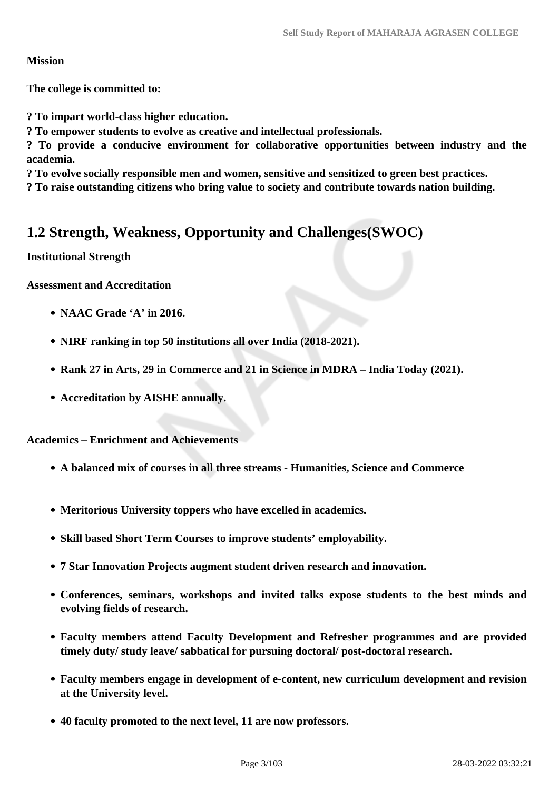#### **Mission**

**The college is committed to:**

**? To impart world-class higher education.**

**? To empower students to evolve as creative and intellectual professionals.**

**? To provide a conducive environment for collaborative opportunities between industry and the academia.**

**? To evolve socially responsible men and women, sensitive and sensitized to green best practices.**

**? To raise outstanding citizens who bring value to society and contribute towards nation building.**

# **1.2 Strength, Weakness, Opportunity and Challenges(SWOC)**

#### **Institutional Strength**

**Assessment and Accreditation**

- **NAAC Grade 'A' in 2016.**
- **NIRF ranking in top 50 institutions all over India (2018-2021).**
- **Rank 27 in Arts, 29 in Commerce and 21 in Science in MDRA India Today (2021).**
- **Accreditation by AISHE annually.**

**Academics – Enrichment and Achievements**

- **A balanced mix of courses in all three streams Humanities, Science and Commerce**
- **Meritorious University toppers who have excelled in academics.**
- **Skill based Short Term Courses to improve students' employability.**
- **7 Star Innovation Projects augment student driven research and innovation.**
- **Conferences, seminars, workshops and invited talks expose students to the best minds and evolving fields of research.**
- **Faculty members attend Faculty Development and Refresher programmes and are provided timely duty/ study leave/ sabbatical for pursuing doctoral/ post-doctoral research.**
- **Faculty members engage in development of e-content, new curriculum development and revision at the University level.**
- **40 faculty promoted to the next level, 11 are now professors.**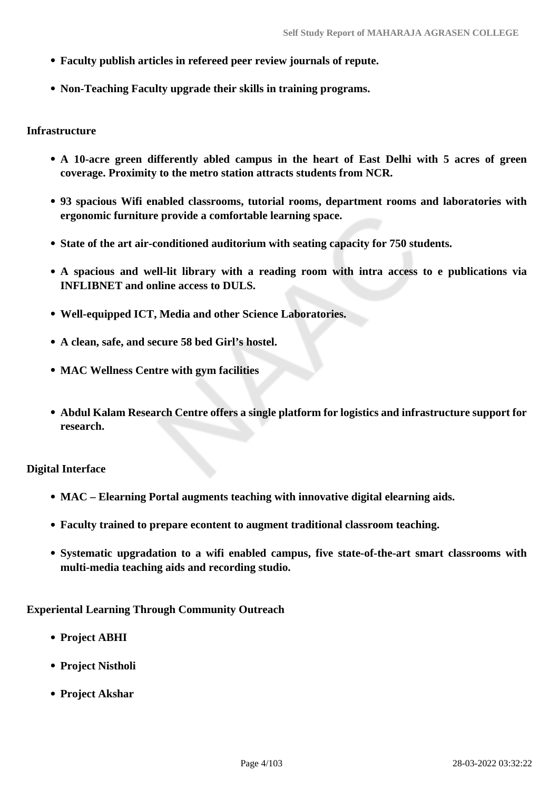- **Faculty publish articles in refereed peer review journals of repute.**
- **Non-Teaching Faculty upgrade their skills in training programs.**

**Infrastructure**

- **A 10-acre green differently abled campus in the heart of East Delhi with 5 acres of green coverage. Proximity to the metro station attracts students from NCR.**
- **93 spacious Wifi enabled classrooms, tutorial rooms, department rooms and laboratories with ergonomic furniture provide a comfortable learning space.**
- **State of the art air-conditioned auditorium with seating capacity for 750 students.**
- **A spacious and well-lit library with a reading room with intra access to e publications via INFLIBNET and online access to DULS.**
- **Well-equipped ICT, Media and other Science Laboratories.**
- **A clean, safe, and secure 58 bed Girl's hostel.**
- **MAC Wellness Centre with gym facilities**
- **Abdul Kalam Research Centre offers a single platform for logistics and infrastructure support for research.**

#### **Digital Interface**

- **MAC Elearning Portal augments teaching with innovative digital elearning aids.**
- **Faculty trained to prepare econtent to augment traditional classroom teaching.**
- **Systematic upgradation to a wifi enabled campus, five state-of-the-art smart classrooms with multi-media teaching aids and recording studio.**

**Experiental Learning Through Community Outreach**

- **Project ABHI**
- **Project Nistholi**
- **Project Akshar**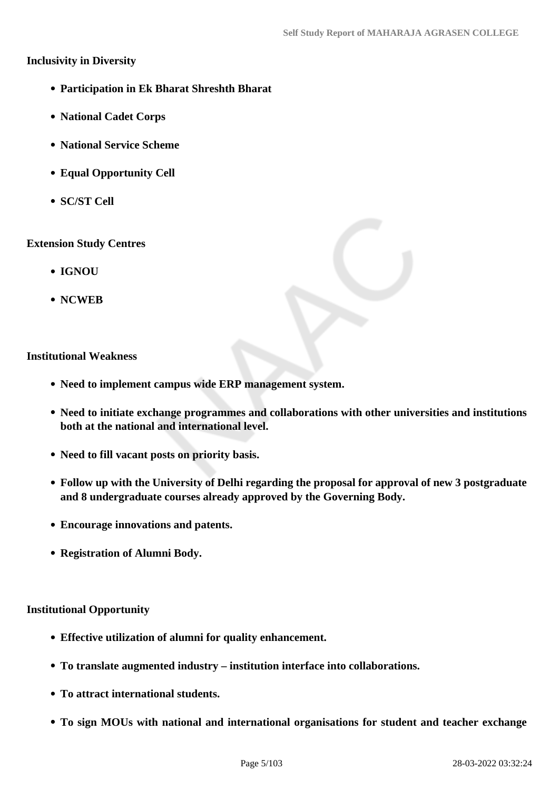#### **Inclusivity in Diversity**

- **Participation in Ek Bharat Shreshth Bharat**
- **National Cadet Corps**
- **National Service Scheme**
- **Equal Opportunity Cell**
- **SC/ST Cell**

#### **Extension Study Centres**

- **IGNOU**
- **NCWEB**

#### **Institutional Weakness**

- **Need to implement campus wide ERP management system.**
- **Need to initiate exchange programmes and collaborations with other universities and institutions both at the national and international level.**
- **Need to fill vacant posts on priority basis.**
- **Follow up with the University of Delhi regarding the proposal for approval of new 3 postgraduate and 8 undergraduate courses already approved by the Governing Body.**
- **Encourage innovations and patents.**
- **Registration of Alumni Body.**

#### **Institutional Opportunity**

- **Effective utilization of alumni for quality enhancement.**
- **To translate augmented industry institution interface into collaborations.**
- **To attract international students.**
- **To sign MOUs with national and international organisations for student and teacher exchange**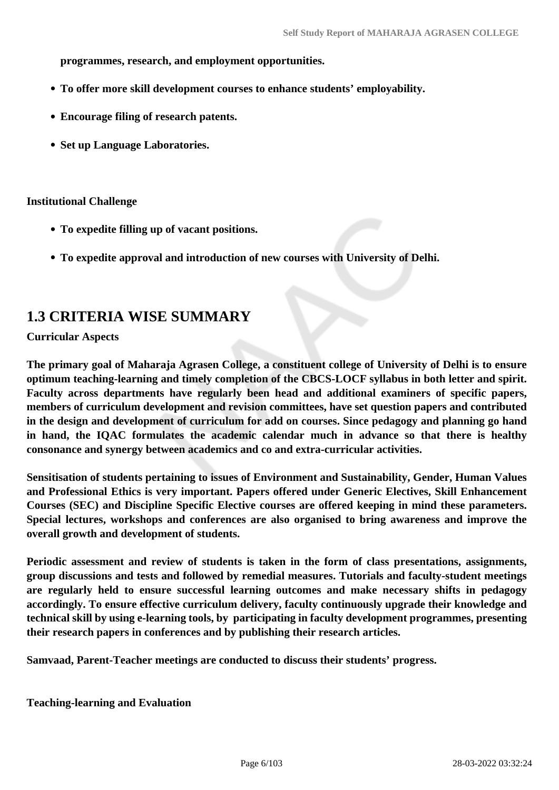**programmes, research, and employment opportunities.**

- **To offer more skill development courses to enhance students' employability.**
- **Encourage filing of research patents.**
- **Set up Language Laboratories.**

#### **Institutional Challenge**

- **To expedite filling up of vacant positions.**
- **To expedite approval and introduction of new courses with University of Delhi.**

# **1.3 CRITERIA WISE SUMMARY**

#### **Curricular Aspects**

**The primary goal of Maharaja Agrasen College, a constituent college of University of Delhi is to ensure optimum teaching-learning and timely completion of the CBCS-LOCF syllabus in both letter and spirit. Faculty across departments have regularly been head and additional examiners of specific papers, members of curriculum development and revision committees, have set question papers and contributed in the design and development of curriculum for add on courses. Since pedagogy and planning go hand in hand, the IQAC formulates the academic calendar much in advance so that there is healthy consonance and synergy between academics and co and extra-curricular activities.**

**Sensitisation of students pertaining to issues of Environment and Sustainability, Gender, Human Values and Professional Ethics is very important. Papers offered under Generic Electives, Skill Enhancement Courses (SEC) and Discipline Specific Elective courses are offered keeping in mind these parameters. Special lectures, workshops and conferences are also organised to bring awareness and improve the overall growth and development of students.**

**Periodic assessment and review of students is taken in the form of class presentations, assignments, group discussions and tests and followed by remedial measures. Tutorials and faculty-student meetings are regularly held to ensure successful learning outcomes and make necessary shifts in pedagogy accordingly. To ensure effective curriculum delivery, faculty continuously upgrade their knowledge and technical skill by using e-learning tools, by participating in faculty development programmes, presenting their research papers in conferences and by publishing their research articles.**

**Samvaad, Parent-Teacher meetings are conducted to discuss their students' progress.**

**Teaching-learning and Evaluation**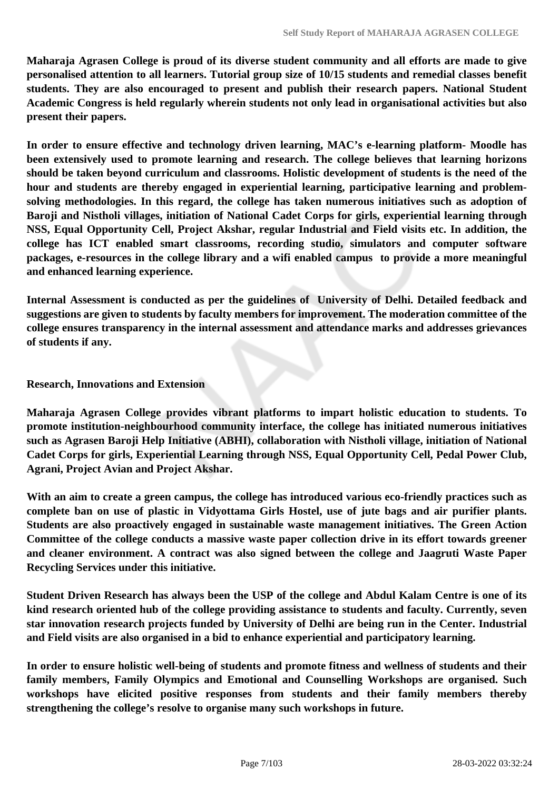**Maharaja Agrasen College is proud of its diverse student community and all efforts are made to give personalised attention to all learners. Tutorial group size of 10/15 students and remedial classes benefit students. They are also encouraged to present and publish their research papers. National Student Academic Congress is held regularly wherein students not only lead in organisational activities but also present their papers.** 

**In order to ensure effective and technology driven learning, MAC's e-learning platform- Moodle has been extensively used to promote learning and research. The college believes that learning horizons should be taken beyond curriculum and classrooms. Holistic development of students is the need of the hour and students are thereby engaged in experiential learning, participative learning and problemsolving methodologies. In this regard, the college has taken numerous initiatives such as adoption of Baroji and Nistholi villages, initiation of National Cadet Corps for girls, experiential learning through NSS, Equal Opportunity Cell, Project Akshar, regular Industrial and Field visits etc. In addition, the college has ICT enabled smart classrooms, recording studio, simulators and computer software packages, e-resources in the college library and a wifi enabled campus to provide a more meaningful and enhanced learning experience.**

**Internal Assessment is conducted as per the guidelines of University of Delhi. Detailed feedback and suggestions are given to students by faculty members for improvement. The moderation committee of the college ensures transparency in the internal assessment and attendance marks and addresses grievances of students if any.** 

**Research, Innovations and Extension** 

**Maharaja Agrasen College provides vibrant platforms to impart holistic education to students. To promote institution-neighbourhood community interface, the college has initiated numerous initiatives such as Agrasen Baroji Help Initiative (ABHI), collaboration with Nistholi village, initiation of National Cadet Corps for girls, Experiential Learning through NSS, Equal Opportunity Cell, Pedal Power Club, Agrani, Project Avian and Project Akshar.**

**With an aim to create a green campus, the college has introduced various eco-friendly practices such as complete ban on use of plastic in Vidyottama Girls Hostel, use of jute bags and air purifier plants. Students are also proactively engaged in sustainable waste management initiatives. The Green Action Committee of the college conducts a massive waste paper collection drive in its effort towards greener and cleaner environment. A contract was also signed between the college and Jaagruti Waste Paper Recycling Services under this initiative.**

**Student Driven Research has always been the USP of the college and Abdul Kalam Centre is one of its kind research oriented hub of the college providing assistance to students and faculty. Currently, seven star innovation research projects funded by University of Delhi are being run in the Center. Industrial and Field visits are also organised in a bid to enhance experiential and participatory learning.**

**In order to ensure holistic well-being of students and promote fitness and wellness of students and their family members, Family Olympics and Emotional and Counselling Workshops are organised. Such workshops have elicited positive responses from students and their family members thereby strengthening the college's resolve to organise many such workshops in future.**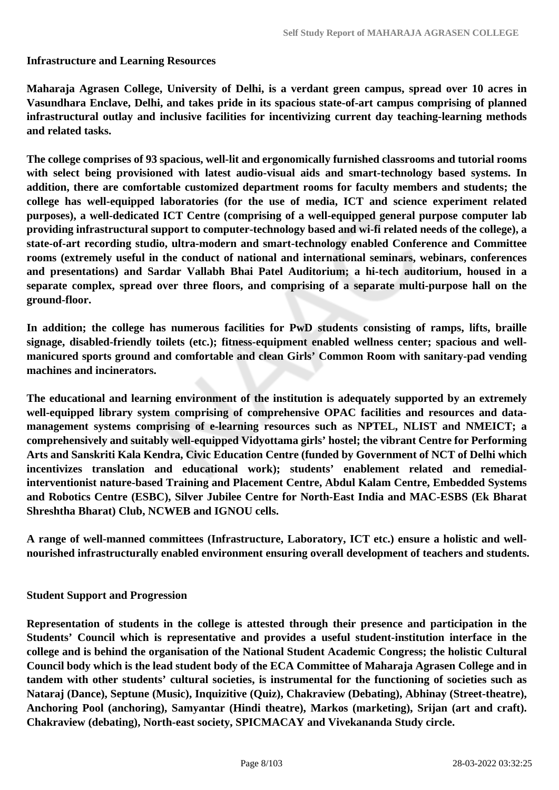#### **Infrastructure and Learning Resources**

**Maharaja Agrasen College, University of Delhi, is a verdant green campus, spread over 10 acres in Vasundhara Enclave, Delhi, and takes pride in its spacious state-of-art campus comprising of planned infrastructural outlay and inclusive facilities for incentivizing current day teaching-learning methods and related tasks.**

**The college comprises of 93 spacious, well-lit and ergonomically furnished classrooms and tutorial rooms with select being provisioned with latest audio-visual aids and smart-technology based systems. In addition, there are comfortable customized department rooms for faculty members and students; the college has well-equipped laboratories (for the use of media, ICT and science experiment related purposes), a well-dedicated ICT Centre (comprising of a well-equipped general purpose computer lab providing infrastructural support to computer-technology based and wi-fi related needs of the college), a state-of-art recording studio, ultra-modern and smart-technology enabled Conference and Committee rooms (extremely useful in the conduct of national and international seminars, webinars, conferences and presentations) and Sardar Vallabh Bhai Patel Auditorium; a hi-tech auditorium, housed in a separate complex, spread over three floors, and comprising of a separate multi-purpose hall on the ground-floor.** 

**In addition; the college has numerous facilities for PwD students consisting of ramps, lifts, braille signage, disabled-friendly toilets (etc.); fitness-equipment enabled wellness center; spacious and wellmanicured sports ground and comfortable and clean Girls' Common Room with sanitary-pad vending machines and incinerators.**

**The educational and learning environment of the institution is adequately supported by an extremely well-equipped library system comprising of comprehensive OPAC facilities and resources and datamanagement systems comprising of e-learning resources such as NPTEL, NLIST and NMEICT; a comprehensively and suitably well-equipped Vidyottama girls' hostel; the vibrant Centre for Performing Arts and Sanskriti Kala Kendra, Civic Education Centre (funded by Government of NCT of Delhi which incentivizes translation and educational work); students' enablement related and remedialinterventionist nature-based Training and Placement Centre, Abdul Kalam Centre, Embedded Systems and Robotics Centre (ESBC), Silver Jubilee Centre for North-East India and MAC-ESBS (Ek Bharat Shreshtha Bharat) Club, NCWEB and IGNOU cells.** 

**A range of well-manned committees (Infrastructure, Laboratory, ICT etc.) ensure a holistic and wellnourished infrastructurally enabled environment ensuring overall development of teachers and students.**

#### **Student Support and Progression**

**Representation of students in the college is attested through their presence and participation in the Students' Council which is representative and provides a useful student-institution interface in the college and is behind the organisation of the National Student Academic Congress; the holistic Cultural Council body which is the lead student body of the ECA Committee of Maharaja Agrasen College and in tandem with other students' cultural societies, is instrumental for the functioning of societies such as Nataraj (Dance), Septune (Music), Inquizitive (Quiz), Chakraview (Debating), Abhinay (Street-theatre), Anchoring Pool (anchoring), Samyantar (Hindi theatre), Markos (marketing), Srijan (art and craft). Chakraview (debating), North-east society, SPICMACAY and Vivekananda Study circle.**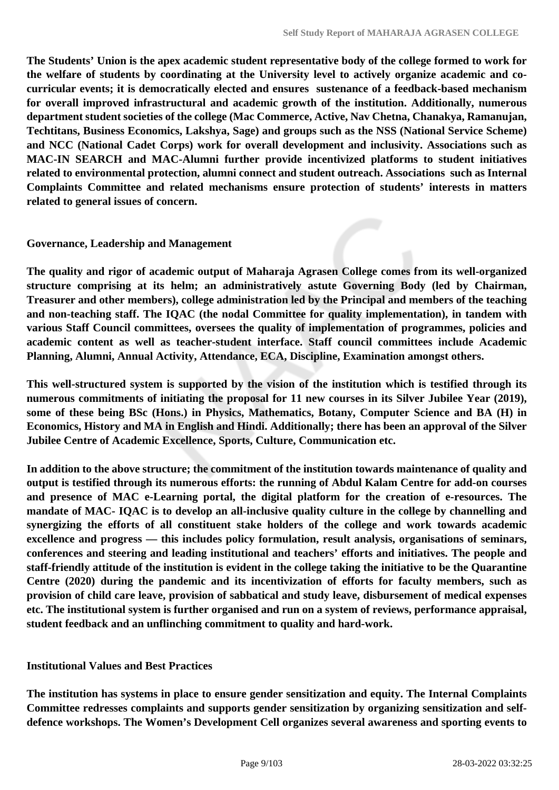**The Students' Union is the apex academic student representative body of the college formed to work for the welfare of students by coordinating at the University level to actively organize academic and cocurricular events; it is democratically elected and ensures sustenance of a feedback-based mechanism for overall improved infrastructural and academic growth of the institution. Additionally, numerous department student societies of the college (Mac Commerce, Active, Nav Chetna, Chanakya, Ramanujan, Techtitans, Business Economics, Lakshya, Sage) and groups such as the NSS (National Service Scheme) and NCC (National Cadet Corps) work for overall development and inclusivity. Associations such as MAC-IN SEARCH and MAC-Alumni further provide incentivized platforms to student initiatives related to environmental protection, alumni connect and student outreach. Associations such as Internal Complaints Committee and related mechanisms ensure protection of students' interests in matters related to general issues of concern.** 

#### **Governance, Leadership and Management**

**The quality and rigor of academic output of Maharaja Agrasen College comes from its well-organized structure comprising at its helm; an administratively astute Governing Body (led by Chairman, Treasurer and other members), college administration led by the Principal and members of the teaching and non-teaching staff. The IQAC (the nodal Committee for quality implementation), in tandem with various Staff Council committees, oversees the quality of implementation of programmes, policies and academic content as well as teacher-student interface. Staff council committees include Academic Planning, Alumni, Annual Activity, Attendance, ECA, Discipline, Examination amongst others.**

**This well-structured system is supported by the vision of the institution which is testified through its numerous commitments of initiating the proposal for 11 new courses in its Silver Jubilee Year (2019), some of these being BSc (Hons.) in Physics, Mathematics, Botany, Computer Science and BA (H) in Economics, History and MA in English and Hindi. Additionally; there has been an approval of the Silver Jubilee Centre of Academic Excellence, Sports, Culture, Communication etc.**

**In addition to the above structure; the commitment of the institution towards maintenance of quality and output is testified through its numerous efforts: the running of Abdul Kalam Centre for add-on courses and presence of MAC e-Learning portal, the digital platform for the creation of e-resources. The mandate of MAC- IQAC is to develop an all-inclusive quality culture in the college by channelling and synergizing the efforts of all constituent stake holders of the college and work towards academic excellence and progress — this includes policy formulation, result analysis, organisations of seminars, conferences and steering and leading institutional and teachers' efforts and initiatives. The people and staff-friendly attitude of the institution is evident in the college taking the initiative to be the Quarantine Centre (2020) during the pandemic and its incentivization of efforts for faculty members, such as provision of child care leave, provision of sabbatical and study leave, disbursement of medical expenses etc. The institutional system is further organised and run on a system of reviews, performance appraisal, student feedback and an unflinching commitment to quality and hard-work.**

#### **Institutional Values and Best Practices**

**The institution has systems in place to ensure gender sensitization and equity. The Internal Complaints Committee redresses complaints and supports gender sensitization by organizing sensitization and selfdefence workshops. The Women's Development Cell organizes several awareness and sporting events to**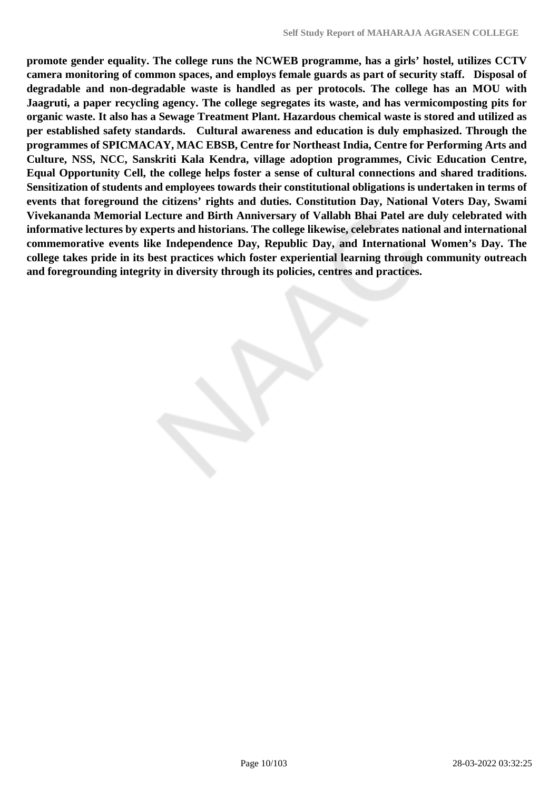**promote gender equality. The college runs the NCWEB programme, has a girls' hostel, utilizes CCTV camera monitoring of common spaces, and employs female guards as part of security staff. Disposal of degradable and non-degradable waste is handled as per protocols. The college has an MOU with Jaagruti, a paper recycling agency. The college segregates its waste, and has vermicomposting pits for organic waste. It also has a Sewage Treatment Plant. Hazardous chemical waste is stored and utilized as per established safety standards. Cultural awareness and education is duly emphasized. Through the programmes of SPICMACAY, MAC EBSB, Centre for Northeast India, Centre for Performing Arts and Culture, NSS, NCC, Sanskriti Kala Kendra, village adoption programmes, Civic Education Centre, Equal Opportunity Cell, the college helps foster a sense of cultural connections and shared traditions. Sensitization of students and employees towards their constitutional obligations is undertaken in terms of events that foreground the citizens' rights and duties. Constitution Day, National Voters Day, Swami Vivekananda Memorial Lecture and Birth Anniversary of Vallabh Bhai Patel are duly celebrated with informative lectures by experts and historians. The college likewise, celebrates national and international commemorative events like Independence Day, Republic Day, and International Women's Day. The college takes pride in its best practices which foster experiential learning through community outreach and foregrounding integrity in diversity through its policies, centres and practices.**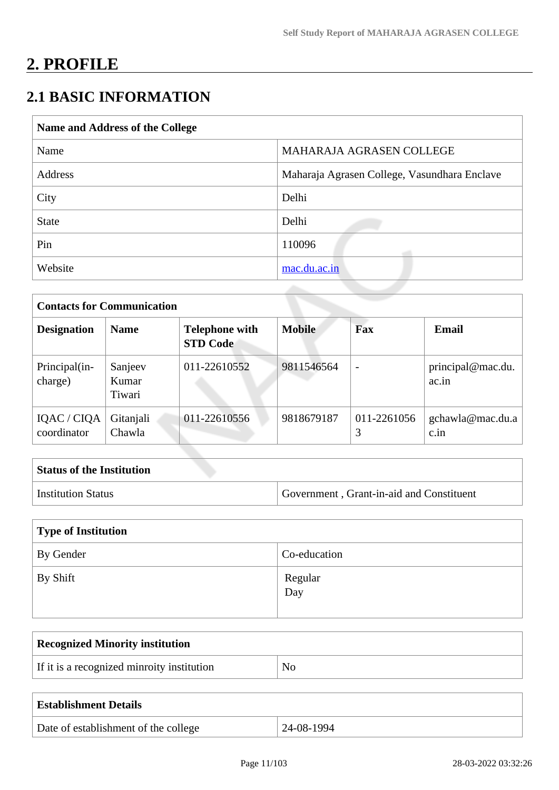# **2. PROFILE**

# **2.1 BASIC INFORMATION**

| Name and Address of the College |                                              |  |
|---------------------------------|----------------------------------------------|--|
| Name                            | MAHARAJA AGRASEN COLLEGE                     |  |
| Address                         | Maharaja Agrasen College, Vasundhara Enclave |  |
| City                            | Delhi                                        |  |
| <b>State</b>                    | Delhi                                        |  |
| Pin                             | 110096                                       |  |
| Website                         | mac.du.ac.in                                 |  |

| <b>Contacts for Communication</b> |                            |                                          |               |                          |                            |
|-----------------------------------|----------------------------|------------------------------------------|---------------|--------------------------|----------------------------|
| <b>Designation</b>                | <b>Name</b>                | <b>Telephone with</b><br><b>STD Code</b> | <b>Mobile</b> | Fax                      | <b>Email</b>               |
| Principal(in-<br>charge)          | Sanjeev<br>Kumar<br>Tiwari | 011-22610552                             | 9811546564    | $\overline{\phantom{0}}$ | principal@mac.du.<br>ac.in |
| IQAC / CIQA<br>coordinator        | Gitanjali<br>Chawla        | 011-22610556                             | 9818679187    | 011-2261056<br>3         | gchawla@mac.du.a<br>c.in   |

| <b>Status of the Institution</b> |                                          |
|----------------------------------|------------------------------------------|
| <sup>1</sup> Institution Status  | Government, Grant-in-aid and Constituent |

| <b>Type of Institution</b> |                |
|----------------------------|----------------|
| By Gender                  | Co-education   |
| By Shift                   | Regular<br>Day |

| <b>Recognized Minority institution</b>     |    |
|--------------------------------------------|----|
| If it is a recognized minroity institution | No |
|                                            |    |

| <b>Establishment Details</b>         |                  |
|--------------------------------------|------------------|
| Date of establishment of the college | $24 - 08 - 1994$ |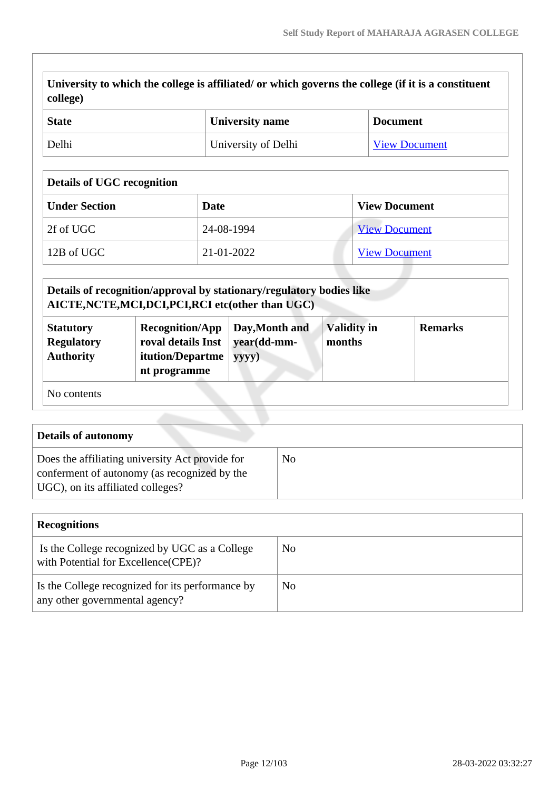| University to which the college is affiliated/ or which governs the college (if it is a constituent<br>$\vert$ college) |
|-------------------------------------------------------------------------------------------------------------------------|
|                                                                                                                         |

| ' State | <b>University name</b> | <b>Document</b>      |
|---------|------------------------|----------------------|
| Delhi   | University of Delhi    | <b>View Document</b> |

# **Details of UGC recognition**

| <b>Under Section</b> | Date       | <b>View Document</b> |
|----------------------|------------|----------------------|
| 2f of UGC            | 24-08-1994 | <b>View Document</b> |
| $12B$ of UGC         | 21-01-2022 | <b>View Document</b> |

|                                                           | Details of recognition/approval by stationary/regulatory bodies like<br>AICTE, NCTE, MCI, DCI, PCI, RCI etc(other than UGC) |                                        |                              |                |
|-----------------------------------------------------------|-----------------------------------------------------------------------------------------------------------------------------|----------------------------------------|------------------------------|----------------|
| <b>Statutory</b><br><b>Regulatory</b><br><b>Authority</b> | <b>Recognition/App</b><br>roval details Inst<br>itution/Departme<br>nt programme                                            | Day, Month and<br>year(dd-mm-<br>yyyy) | <b>Validity in</b><br>months | <b>Remarks</b> |
| No contents                                               |                                                                                                                             |                                        |                              |                |

| Details of autonomy                                                                                                                  |    |
|--------------------------------------------------------------------------------------------------------------------------------------|----|
| Does the affiliating university Act provide for<br>conferment of autonomy (as recognized by the<br>UGC), on its affiliated colleges? | No |

| <b>Recognitions</b>                                                                  |    |
|--------------------------------------------------------------------------------------|----|
| Is the College recognized by UGC as a College<br>with Potential for Excellence(CPE)? | No |
| Is the College recognized for its performance by<br>any other governmental agency?   | No |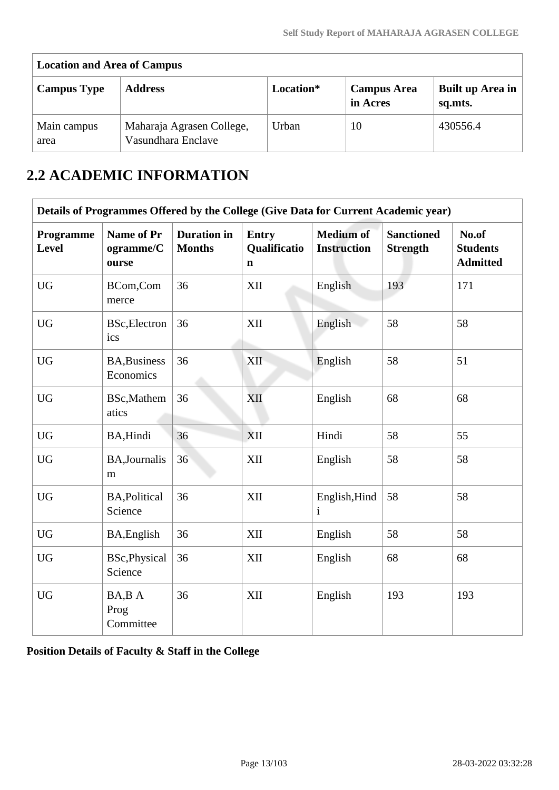| <b>Location and Area of Campus</b> |                                                 |           |                                |                             |  |  |  |
|------------------------------------|-------------------------------------------------|-----------|--------------------------------|-----------------------------|--|--|--|
| <b>Campus Type</b>                 | <b>Address</b>                                  | Location* | <b>Campus Area</b><br>in Acres | Built up Area in<br>sq.mts. |  |  |  |
| Main campus<br>area                | Maharaja Agrasen College,<br>Vasundhara Enclave | Urban     | 10                             | 430556.4                    |  |  |  |

# **2.2 ACADEMIC INFORMATION**

|                           |                                         |                                     |                                             | Details of Programmes Offered by the College (Give Data for Current Academic year) |                                      |                                             |
|---------------------------|-----------------------------------------|-------------------------------------|---------------------------------------------|------------------------------------------------------------------------------------|--------------------------------------|---------------------------------------------|
| Programme<br><b>Level</b> | <b>Name of Pr</b><br>ogramme/C<br>ourse | <b>Duration</b> in<br><b>Months</b> | <b>Entry</b><br>Qualificatio<br>$\mathbf n$ | <b>Medium</b> of<br><b>Instruction</b>                                             | <b>Sanctioned</b><br><b>Strength</b> | No.of<br><b>Students</b><br><b>Admitted</b> |
| <b>UG</b>                 | BCom,Com<br>merce                       | 36                                  | XII                                         | English                                                                            | 193                                  | 171                                         |
| <b>UG</b>                 | BSc, Electron<br>ics                    | 36                                  | XII                                         | English                                                                            | 58                                   | 58                                          |
| <b>UG</b>                 | <b>BA, Business</b><br>Economics        | 36                                  | XII                                         | English                                                                            | 58                                   | 51                                          |
| <b>UG</b>                 | <b>BSc,Mathem</b><br>atics              | 36                                  | XII                                         | English                                                                            | 68                                   | 68                                          |
| <b>UG</b>                 | BA, Hindi                               | 36                                  | <b>XII</b>                                  | Hindi                                                                              | 58                                   | 55                                          |
| <b>UG</b>                 | <b>BA, Journalis</b><br>m               | 36                                  | XII                                         | English                                                                            | 58                                   | 58                                          |
| <b>UG</b>                 | <b>BA, Political</b><br>Science         | 36                                  | XII                                         | English, Hind<br>$\mathbf{i}$                                                      | 58                                   | 58                                          |
| <b>UG</b>                 | BA, English                             | 36                                  | XII                                         | English                                                                            | 58                                   | 58                                          |
| <b>UG</b>                 | <b>BSc, Physical</b><br>Science         | 36                                  | XII                                         | English                                                                            | 68                                   | 68                                          |
| <b>UG</b>                 | BA, BA<br>Prog<br>Committee             | 36                                  | XII                                         | English                                                                            | 193                                  | 193                                         |

**Position Details of Faculty & Staff in the College**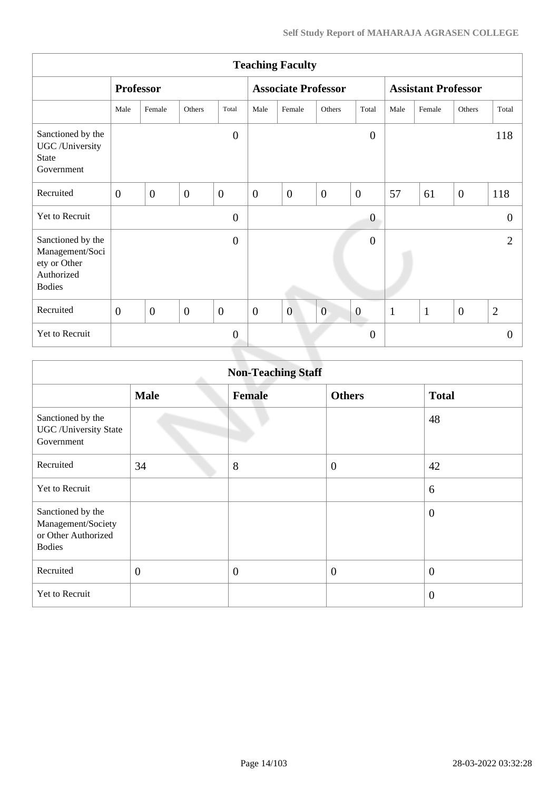| <b>Teaching Faculty</b>                                                             |                |                  |                |                |                  |                            |                |                  |                            |              |                |                |
|-------------------------------------------------------------------------------------|----------------|------------------|----------------|----------------|------------------|----------------------------|----------------|------------------|----------------------------|--------------|----------------|----------------|
|                                                                                     |                | <b>Professor</b> |                |                |                  | <b>Associate Professor</b> |                |                  | <b>Assistant Professor</b> |              |                |                |
|                                                                                     | Male           | Female           | Others         | Total          | Male             | Female                     | Others         | Total            | Male                       | Female       | Others         | Total          |
| Sanctioned by the<br>UGC /University<br>State<br>Government                         |                |                  |                | $\overline{0}$ |                  |                            |                | $\boldsymbol{0}$ |                            |              |                | 118            |
| Recruited                                                                           | $\overline{0}$ | $\overline{0}$   | $\overline{0}$ | $\overline{0}$ | $\boldsymbol{0}$ | $\mathbf{0}$               | $\overline{0}$ | $\overline{0}$   | 57                         | 61           | $\overline{0}$ | 118            |
| Yet to Recruit                                                                      |                |                  |                | $\overline{0}$ |                  |                            |                | $\theta$         |                            |              |                | $\theta$       |
| Sanctioned by the<br>Management/Soci<br>ety or Other<br>Authorized<br><b>Bodies</b> |                | $\overline{0}$   |                |                |                  |                            |                | $\boldsymbol{0}$ |                            |              |                | $\overline{2}$ |
| Recruited                                                                           | $\overline{0}$ | $\overline{0}$   | $\mathbf{0}$   | $\overline{0}$ | $\boldsymbol{0}$ | $\overline{0}$             | $\overline{0}$ | $\boldsymbol{0}$ | $\mathbf{1}$               | $\mathbf{1}$ | $\overline{0}$ | $\overline{2}$ |
| Yet to Recruit                                                                      |                |                  |                | $\overline{0}$ |                  |                            |                | $\theta$         |                            |              |                | $\Omega$       |
|                                                                                     |                |                  |                |                |                  |                            |                |                  |                            |              |                |                |

| <b>Non-Teaching Staff</b>                                                       |                |               |                  |                |  |  |  |  |
|---------------------------------------------------------------------------------|----------------|---------------|------------------|----------------|--|--|--|--|
|                                                                                 | <b>Male</b>    | <b>Female</b> | <b>Others</b>    | <b>Total</b>   |  |  |  |  |
| Sanctioned by the<br><b>UGC</b> / University State<br>Government                |                |               |                  | 48             |  |  |  |  |
| Recruited                                                                       | 34             | 8             | $\boldsymbol{0}$ | 42             |  |  |  |  |
| Yet to Recruit                                                                  |                |               |                  | 6              |  |  |  |  |
| Sanctioned by the<br>Management/Society<br>or Other Authorized<br><b>Bodies</b> |                |               |                  | $\overline{0}$ |  |  |  |  |
| Recruited                                                                       | $\overline{0}$ | $\theta$      | $\theta$         | $\overline{0}$ |  |  |  |  |
| Yet to Recruit                                                                  |                |               |                  | $\overline{0}$ |  |  |  |  |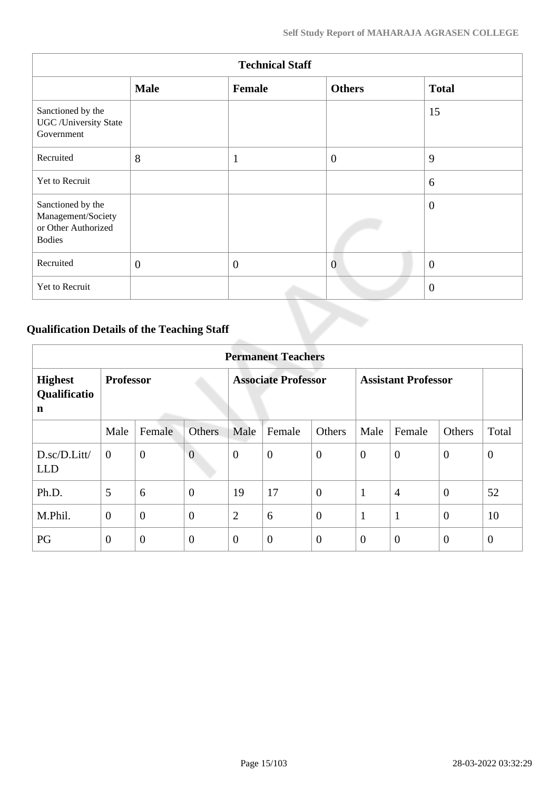| <b>Technical Staff</b>                                                          |                |              |                |                  |  |  |  |
|---------------------------------------------------------------------------------|----------------|--------------|----------------|------------------|--|--|--|
|                                                                                 | <b>Male</b>    | Female       | <b>Others</b>  | <b>Total</b>     |  |  |  |
| Sanctioned by the<br><b>UGC</b> /University State<br>Government                 |                |              |                | 15               |  |  |  |
| Recruited                                                                       | 8              | $\mathbf{1}$ | $\overline{0}$ | 9                |  |  |  |
| Yet to Recruit                                                                  |                |              |                | 6                |  |  |  |
| Sanctioned by the<br>Management/Society<br>or Other Authorized<br><b>Bodies</b> |                |              |                | $\boldsymbol{0}$ |  |  |  |
| Recruited                                                                       | $\overline{0}$ | $\mathbf{0}$ | $\overline{0}$ | $\overline{0}$   |  |  |  |
| Yet to Recruit                                                                  |                |              |                | $\theta$         |  |  |  |

# **Qualification Details of the Teaching Staff**

|                                     | <b>Permanent Teachers</b> |                  |                |                            |                  |                |                            |                |                |                |  |
|-------------------------------------|---------------------------|------------------|----------------|----------------------------|------------------|----------------|----------------------------|----------------|----------------|----------------|--|
| <b>Highest</b><br>Qualificatio<br>n | <b>Professor</b>          |                  |                | <b>Associate Professor</b> |                  |                | <b>Assistant Professor</b> |                |                |                |  |
|                                     | Male                      | Female           | <b>Others</b>  | Male                       | Female           | Others         | Male                       | Female         | <b>Others</b>  | Total          |  |
| D.sc/D.Litt/<br><b>LLD</b>          | $\overline{0}$            | $\boldsymbol{0}$ | $\overline{0}$ | $\overline{0}$             | $\boldsymbol{0}$ | $\overline{0}$ | $\theta$                   | $\overline{0}$ | $\overline{0}$ | $\mathbf{0}$   |  |
| Ph.D.                               | 5                         | 6                | $\overline{0}$ | 19                         | 17               | $\overline{0}$ | 1                          | $\overline{4}$ | $\overline{0}$ | 52             |  |
| M.Phil.                             | $\overline{0}$            | $\overline{0}$   | $\overline{0}$ | $\overline{2}$             | 6                | $\overline{0}$ | 1                          | $\mathbf{1}$   | $\overline{0}$ | 10             |  |
| PG                                  | $\overline{0}$            | $\overline{0}$   | $\overline{0}$ | $\overline{0}$             | $\boldsymbol{0}$ | $\overline{0}$ | $\overline{0}$             | $\overline{0}$ | $\overline{0}$ | $\overline{0}$ |  |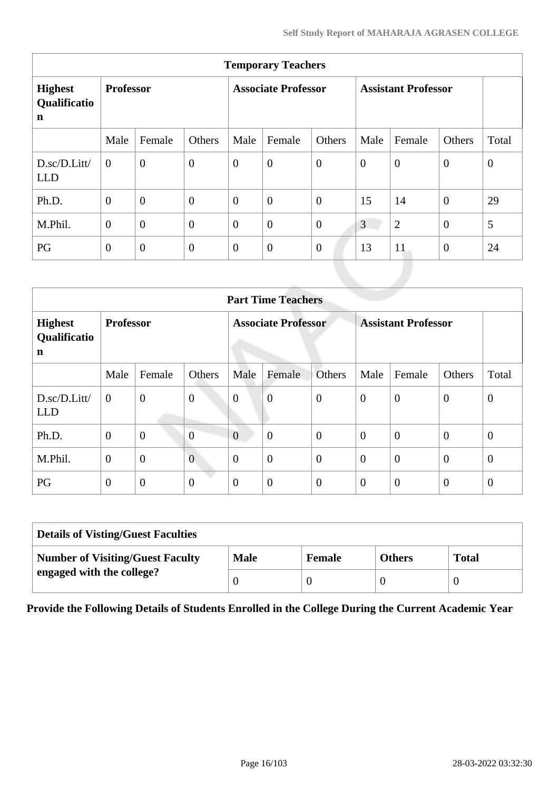| <b>Temporary Teachers</b>                     |                  |                |                            |                  |                  |                            |                  |                |                |                |
|-----------------------------------------------|------------------|----------------|----------------------------|------------------|------------------|----------------------------|------------------|----------------|----------------|----------------|
| <b>Highest</b><br>Qualificatio<br>$\mathbf n$ | <b>Professor</b> |                | <b>Associate Professor</b> |                  |                  | <b>Assistant Professor</b> |                  |                |                |                |
|                                               | Male             | Female         | Others                     | Male             | Female           | Others                     | Male             | Female         | Others         | Total          |
| D.sc/D.Litt/<br><b>LLD</b>                    | $\mathbf{0}$     | $\overline{0}$ | $\mathbf{0}$               | $\overline{0}$   | $\overline{0}$   | $\overline{0}$             | $\boldsymbol{0}$ | $\overline{0}$ | $\mathbf{0}$   | $\overline{0}$ |
| Ph.D.                                         | $\boldsymbol{0}$ | $\mathbf{0}$   | $\overline{0}$             | $\boldsymbol{0}$ | $\overline{0}$   | $\overline{0}$             | 15               | 14             | $\mathbf{0}$   | 29             |
| M.Phil.                                       | $\overline{0}$   | $\overline{0}$ | $\overline{0}$             | $\overline{0}$   | $\overline{0}$   | $\overline{0}$             | 3                | $\overline{2}$ | $\overline{0}$ | 5              |
| PG                                            | $\overline{0}$   | $\overline{0}$ | $\overline{0}$             | $\overline{0}$   | $\boldsymbol{0}$ | $\boldsymbol{0}$           | 13               | 11             | $\mathbf{0}$   | 24             |
|                                               |                  |                |                            |                  |                  |                            |                  |                |                |                |

| <b>Part Time Teachers</b>           |                  |                |                            |                |                |                            |                |                |                |                |
|-------------------------------------|------------------|----------------|----------------------------|----------------|----------------|----------------------------|----------------|----------------|----------------|----------------|
| <b>Highest</b><br>Qualificatio<br>n | <b>Professor</b> |                | <b>Associate Professor</b> |                |                | <b>Assistant Professor</b> |                |                |                |                |
|                                     | Male             | Female         | Others                     | Male           | Female         | Others                     | Male           | Female         | Others         | Total          |
| D.sc/D.Litt/<br><b>LLD</b>          | $\boldsymbol{0}$ | $\mathbf{0}$   | $\overline{0}$             | $\overline{0}$ | $\overline{0}$ | $\overline{0}$             | $\overline{0}$ | $\overline{0}$ | $\mathbf{0}$   | $\theta$       |
| Ph.D.                               | $\mathbf{0}$     | $\mathbf{0}$   | $\overline{0}$             | $\overline{0}$ | $\overline{0}$ | $\overline{0}$             | $\theta$       | $\overline{0}$ | $\overline{0}$ | $\overline{0}$ |
| M.Phil.                             | $\mathbf{0}$     | $\overline{0}$ | $\overline{0}$             | $\overline{0}$ | $\overline{0}$ | $\overline{0}$             | $\overline{0}$ | $\overline{0}$ | $\overline{0}$ | $\theta$       |
| PG                                  | $\mathbf{0}$     | $\overline{0}$ | $\overline{0}$             | $\overline{0}$ | $\overline{0}$ | $\overline{0}$             | $\theta$       | $\overline{0}$ | $\overline{0}$ | $\overline{0}$ |

| <b>Details of Visting/Guest Faculties</b> |             |               |               |              |  |  |
|-------------------------------------------|-------------|---------------|---------------|--------------|--|--|
| <b>Number of Visiting/Guest Faculty</b>   | <b>Male</b> | <b>Female</b> | <b>Others</b> | <b>Total</b> |  |  |
| engaged with the college?                 |             |               |               |              |  |  |

**Provide the Following Details of Students Enrolled in the College During the Current Academic Year**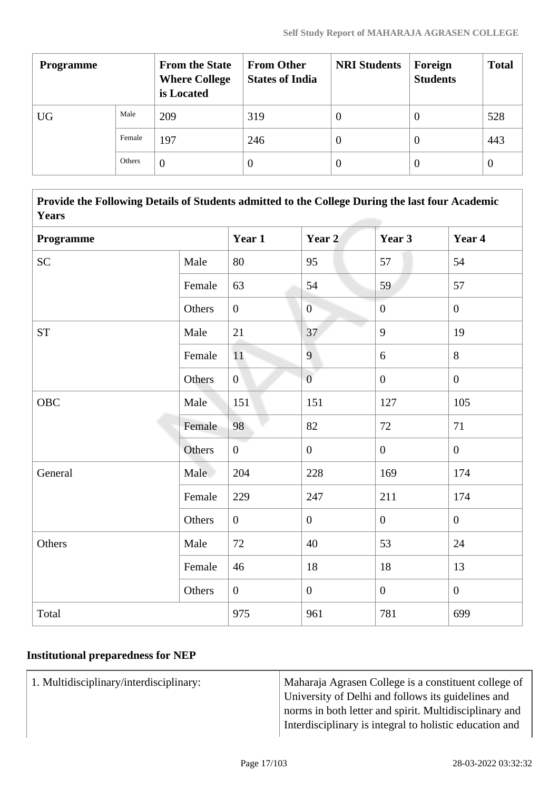| <b>Programme</b> |        | <b>From the State</b><br><b>Where College</b><br>is Located | <b>From Other</b><br><b>States of India</b> | <b>NRI Students</b> | Foreign<br><b>Students</b> | <b>Total</b>   |
|------------------|--------|-------------------------------------------------------------|---------------------------------------------|---------------------|----------------------------|----------------|
| <b>UG</b>        | Male   | 209                                                         | 319                                         | 0                   | $\theta$                   | 528            |
|                  | Female | 197                                                         | 246                                         | -0                  | $\theta$                   | 443            |
|                  | Others | 0                                                           |                                             | $\Omega$            | $\theta$                   | $\overline{0}$ |

 **Provide the Following Details of Students admitted to the College During the last four Academic Years**

| Programme  |        | Year 1         | Year 2           | Year 3           | Year 4           |
|------------|--------|----------------|------------------|------------------|------------------|
| <b>SC</b>  | Male   | $80\,$         | 95               | 57               | 54               |
|            | Female | 63             | 54               | 59               | 57               |
|            |        |                |                  |                  |                  |
|            | Others | $\overline{0}$ | $\overline{0}$   | $\boldsymbol{0}$ | $\boldsymbol{0}$ |
| <b>ST</b>  | Male   | 21             | 37               | 9                | 19               |
|            | Female | 11             | $\overline{9}$   | $6\,$            | $8\,$            |
|            | Others | $\mathbf{0}$   | $\overline{0}$   | $\boldsymbol{0}$ | $\boldsymbol{0}$ |
| <b>OBC</b> | Male   | 151            | 151              | 127              | 105              |
|            | Female | 98             | 82               | 72               | 71               |
|            | Others | $\overline{0}$ | $\boldsymbol{0}$ | $\overline{0}$   | $\mathbf{0}$     |
| General    | Male   | 204            | 228              | 169              | 174              |
|            | Female | 229            | 247              | 211              | 174              |
|            | Others | $\overline{0}$ | $\boldsymbol{0}$ | $\overline{0}$   | $\boldsymbol{0}$ |
| Others     | Male   | 72             | 40               | 53               | 24               |
|            | Female | 46             | 18               | 18               | 13               |
|            | Others | $\overline{0}$ | $\mathbf{0}$     | $\overline{0}$   | $\overline{0}$   |
| Total      |        | 975            | 961              | 781              | 699              |

## **Institutional preparedness for NEP**

1. Multidisciplinary/interdisciplinary: Maharaja Agrasen College is a constituent college of University of Delhi and follows its guidelines and norms in both letter and spirit. Multidisciplinary and Interdisciplinary is integral to holistic education and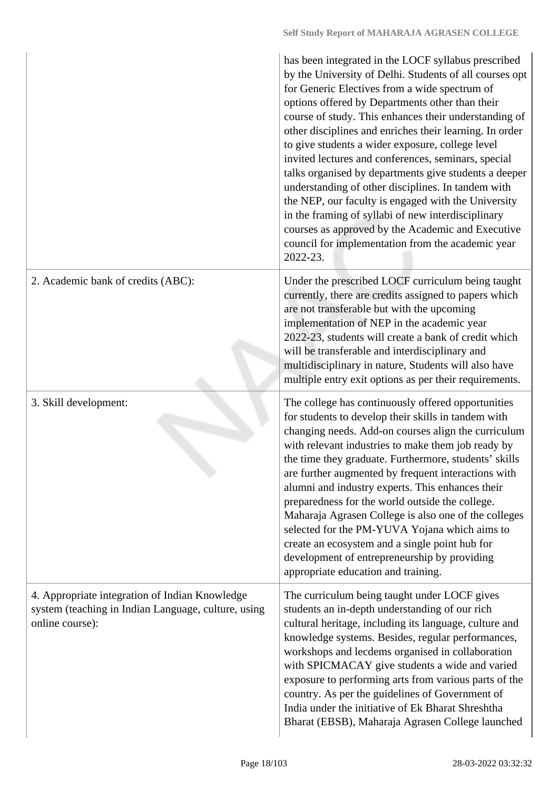|                                                                                                                          | has been integrated in the LOCF syllabus prescribed<br>by the University of Delhi. Students of all courses opt<br>for Generic Electives from a wide spectrum of<br>options offered by Departments other than their<br>course of study. This enhances their understanding of<br>other disciplines and enriches their learning. In order<br>to give students a wider exposure, college level<br>invited lectures and conferences, seminars, special<br>talks organised by departments give students a deeper<br>understanding of other disciplines. In tandem with<br>the NEP, our faculty is engaged with the University<br>in the framing of syllabi of new interdisciplinary<br>courses as approved by the Academic and Executive<br>council for implementation from the academic year<br>2022-23. |
|--------------------------------------------------------------------------------------------------------------------------|-----------------------------------------------------------------------------------------------------------------------------------------------------------------------------------------------------------------------------------------------------------------------------------------------------------------------------------------------------------------------------------------------------------------------------------------------------------------------------------------------------------------------------------------------------------------------------------------------------------------------------------------------------------------------------------------------------------------------------------------------------------------------------------------------------|
| 2. Academic bank of credits (ABC):                                                                                       | Under the prescribed LOCF curriculum being taught<br>currently, there are credits assigned to papers which<br>are not transferable but with the upcoming<br>implementation of NEP in the academic year<br>2022-23, students will create a bank of credit which<br>will be transferable and interdisciplinary and<br>multidisciplinary in nature, Students will also have<br>multiple entry exit options as per their requirements.                                                                                                                                                                                                                                                                                                                                                                  |
| 3. Skill development:                                                                                                    | The college has continuously offered opportunities<br>for students to develop their skills in tandem with<br>changing needs. Add-on courses align the curriculum<br>with relevant industries to make them job ready by<br>the time they graduate. Furthermore, students' skills<br>are further augmented by frequent interactions with<br>alumni and industry experts. This enhances their<br>preparedness for the world outside the college.<br>Maharaja Agrasen College is also one of the colleges<br>selected for the PM-YUVA Yojana which aims to<br>create an ecosystem and a single point hub for<br>development of entrepreneurship by providing<br>appropriate education and training.                                                                                                     |
| 4. Appropriate integration of Indian Knowledge<br>system (teaching in Indian Language, culture, using<br>online course): | The curriculum being taught under LOCF gives<br>students an in-depth understanding of our rich<br>cultural heritage, including its language, culture and<br>knowledge systems. Besides, regular performances,<br>workshops and lecdems organised in collaboration<br>with SPICMACAY give students a wide and varied<br>exposure to performing arts from various parts of the<br>country. As per the guidelines of Government of<br>India under the initiative of Ek Bharat Shreshtha<br>Bharat (EBSB), Maharaja Agrasen College launched                                                                                                                                                                                                                                                            |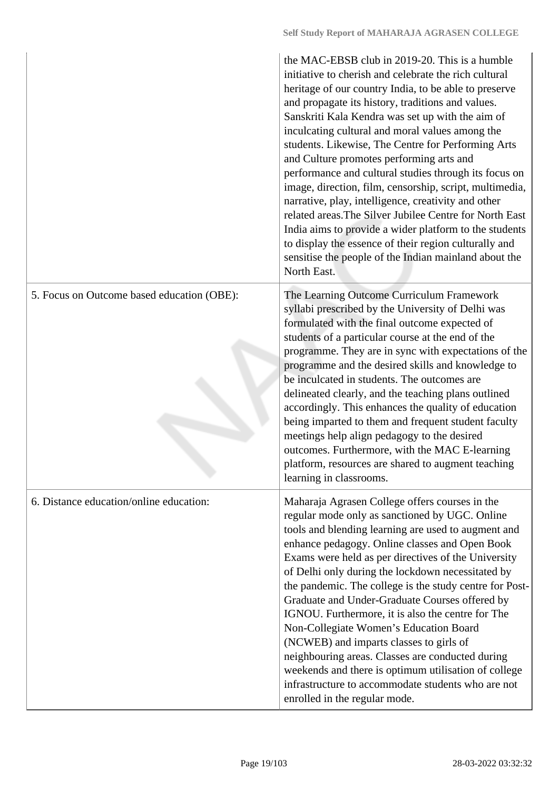|                                            | the MAC-EBSB club in 2019-20. This is a humble<br>initiative to cherish and celebrate the rich cultural<br>heritage of our country India, to be able to preserve<br>and propagate its history, traditions and values.<br>Sanskriti Kala Kendra was set up with the aim of<br>inculcating cultural and moral values among the<br>students. Likewise, The Centre for Performing Arts<br>and Culture promotes performing arts and<br>performance and cultural studies through its focus on<br>image, direction, film, censorship, script, multimedia,<br>narrative, play, intelligence, creativity and other<br>related areas. The Silver Jubilee Centre for North East<br>India aims to provide a wider platform to the students<br>to display the essence of their region culturally and<br>sensitise the people of the Indian mainland about the<br>North East. |
|--------------------------------------------|-----------------------------------------------------------------------------------------------------------------------------------------------------------------------------------------------------------------------------------------------------------------------------------------------------------------------------------------------------------------------------------------------------------------------------------------------------------------------------------------------------------------------------------------------------------------------------------------------------------------------------------------------------------------------------------------------------------------------------------------------------------------------------------------------------------------------------------------------------------------|
| 5. Focus on Outcome based education (OBE): | The Learning Outcome Curriculum Framework<br>syllabi prescribed by the University of Delhi was<br>formulated with the final outcome expected of<br>students of a particular course at the end of the<br>programme. They are in sync with expectations of the<br>programme and the desired skills and knowledge to<br>be inculcated in students. The outcomes are<br>delineated clearly, and the teaching plans outlined<br>accordingly. This enhances the quality of education<br>being imparted to them and frequent student faculty<br>meetings help align pedagogy to the desired<br>outcomes. Furthermore, with the MAC E-learning<br>platform, resources are shared to augment teaching<br>learning in classrooms.                                                                                                                                         |
| 6. Distance education/online education:    | Maharaja Agrasen College offers courses in the<br>regular mode only as sanctioned by UGC. Online<br>tools and blending learning are used to augment and<br>enhance pedagogy. Online classes and Open Book<br>Exams were held as per directives of the University<br>of Delhi only during the lockdown necessitated by<br>the pandemic. The college is the study centre for Post-<br>Graduate and Under-Graduate Courses offered by<br>IGNOU. Furthermore, it is also the centre for The<br>Non-Collegiate Women's Education Board<br>(NCWEB) and imparts classes to girls of<br>neighbouring areas. Classes are conducted during<br>weekends and there is optimum utilisation of college<br>infrastructure to accommodate students who are not<br>enrolled in the regular mode.                                                                                 |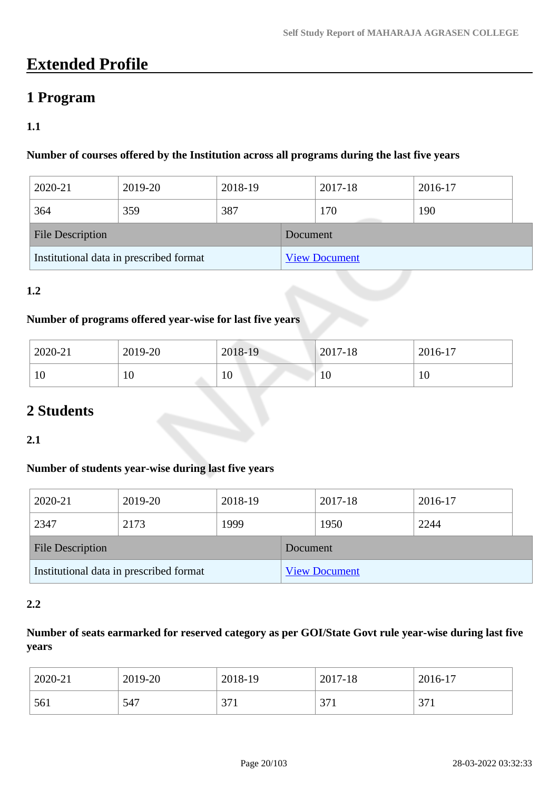# **Extended Profile**

# **1 Program**

## **1.1**

## **Number of courses offered by the Institution across all programs during the last five years**

| 2020-21                 | 2019-20                                 | 2018-19 |          | 2017-18              | 2016-17 |  |
|-------------------------|-----------------------------------------|---------|----------|----------------------|---------|--|
| 364                     | 359                                     | 387     |          | 170                  | 190     |  |
| <b>File Description</b> |                                         |         | Document |                      |         |  |
|                         | Institutional data in prescribed format |         |          | <b>View Document</b> |         |  |

### **1.2**

#### **Number of programs offered year-wise for last five years**

| 2020-21 | 2019-20 | 2018-19 | $ 2017-18 $ | 2016-17 |
|---------|---------|---------|-------------|---------|
| 10      | 1 V     | 10      | 10          | 10      |

# **2 Students**

#### **2.1**

## **Number of students year-wise during last five years**

| 2020-21                                 | 2019-20 | 2018-19 |                      | 2017-18 | 2016-17 |  |
|-----------------------------------------|---------|---------|----------------------|---------|---------|--|
| 2347                                    | 2173    | 1999    |                      | 1950    | 2244    |  |
| <b>File Description</b>                 |         |         | Document             |         |         |  |
| Institutional data in prescribed format |         |         | <b>View Document</b> |         |         |  |

#### **2.2**

# **Number of seats earmarked for reserved category as per GOI/State Govt rule year-wise during last five years**

| 2020-21 | 2019-20 | 2018-19           | 2017-18          | 2016-17   |
|---------|---------|-------------------|------------------|-----------|
| 561     | 547     | 271<br><u>JII</u> | 27<br><u>JII</u> | 27<br>3/1 |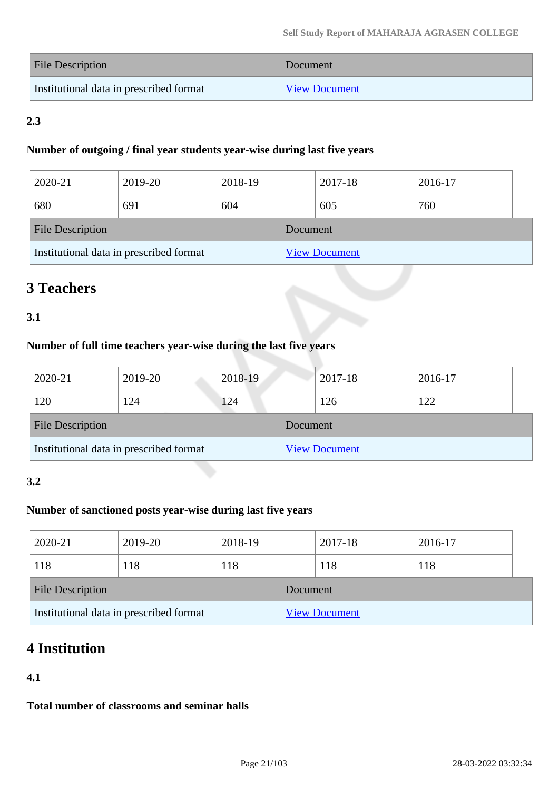| <b>File Description</b>                 | Document             |
|-----------------------------------------|----------------------|
| Institutional data in prescribed format | <b>View Document</b> |

# **2.3**

### **Number of outgoing / final year students year-wise during last five years**

| 2020-21                                 | 2019-20 | 2018-19  |                      | 2017-18 | 2016-17 |  |
|-----------------------------------------|---------|----------|----------------------|---------|---------|--|
| 680                                     | 691     | 604      |                      | 605     | 760     |  |
| <b>File Description</b>                 |         | Document |                      |         |         |  |
| Institutional data in prescribed format |         |          | <b>View Document</b> |         |         |  |

# **3 Teachers**

# **3.1**

# **Number of full time teachers year-wise during the last five years**

| 2020-21                                 | 2019-20 | 2018-19  |                      | 2017-18 | 2016-17 |
|-----------------------------------------|---------|----------|----------------------|---------|---------|
| 120                                     | 124     | 124      |                      | 126     | 122     |
| <b>File Description</b>                 |         | Document |                      |         |         |
| Institutional data in prescribed format |         |          | <b>View Document</b> |         |         |

## **3.2**

# **Number of sanctioned posts year-wise during last five years**

| 2020-21                                 | 2019-20 | 2018-19  |                      | 2017-18 | 2016-17 |  |
|-----------------------------------------|---------|----------|----------------------|---------|---------|--|
| 118                                     | 118     | 118      |                      | 118     | 118     |  |
| <b>File Description</b>                 |         | Document |                      |         |         |  |
| Institutional data in prescribed format |         |          | <b>View Document</b> |         |         |  |

# **4 Institution**

## **4.1**

**Total number of classrooms and seminar halls**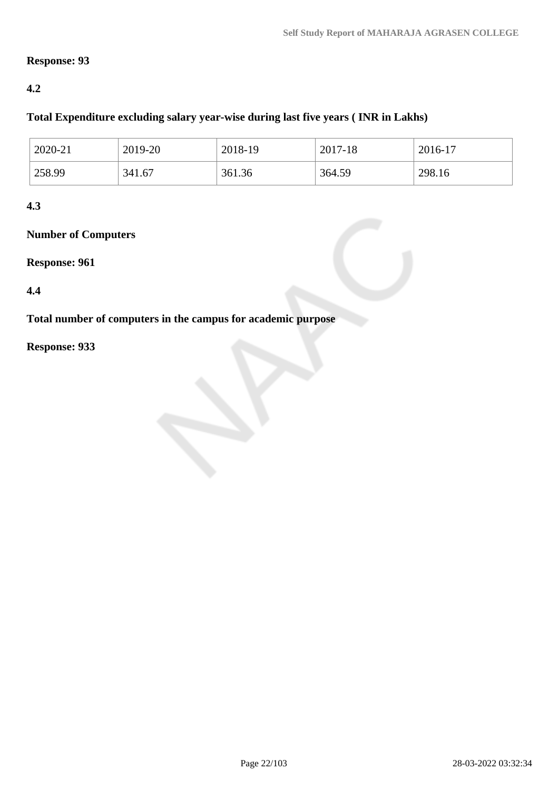# **Response: 93**

## **4.2**

## **Total Expenditure excluding salary year-wise during last five years ( INR in Lakhs)**

| 2020-21 | 2019-20 | 2018-19 | 2017-18 | 2016-17 |
|---------|---------|---------|---------|---------|
| 258.99  | 341.67  | 361.36  | 364.59  | 298.16  |

### **4.3**

## **Number of Computers**

#### **Response: 961**

### **4.4**

**Total number of computers in the campus for academic purpose**

## **Response: 933**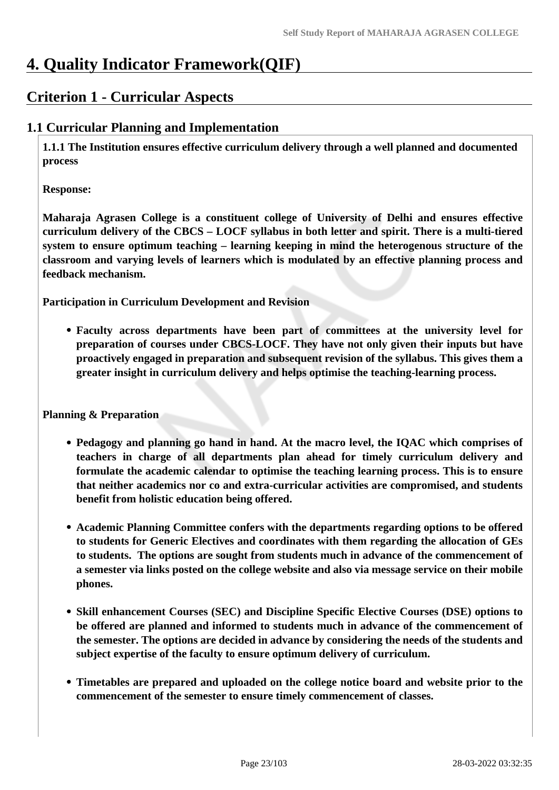# **4. Quality Indicator Framework(QIF)**

# **Criterion 1 - Curricular Aspects**

# **1.1 Curricular Planning and Implementation**

 **1.1.1 The Institution ensures effective curriculum delivery through a well planned and documented process**

**Response:** 

**Maharaja Agrasen College is a constituent college of University of Delhi and ensures effective curriculum delivery of the CBCS – LOCF syllabus in both letter and spirit. There is a multi-tiered system to ensure optimum teaching – learning keeping in mind the heterogenous structure of the classroom and varying levels of learners which is modulated by an effective planning process and feedback mechanism.** 

**Participation in Curriculum Development and Revision**

**Faculty across departments have been part of committees at the university level for preparation of courses under CBCS-LOCF. They have not only given their inputs but have proactively engaged in preparation and subsequent revision of the syllabus. This gives them a greater insight in curriculum delivery and helps optimise the teaching-learning process.**

**Planning & Preparation**

- **Pedagogy and planning go hand in hand. At the macro level, the IQAC which comprises of teachers in charge of all departments plan ahead for timely curriculum delivery and formulate the academic calendar to optimise the teaching learning process. This is to ensure that neither academics nor co and extra-curricular activities are compromised, and students benefit from holistic education being offered.**
- **Academic Planning Committee confers with the departments regarding options to be offered to students for Generic Electives and coordinates with them regarding the allocation of GEs to students. The options are sought from students much in advance of the commencement of a semester via links posted on the college website and also via message service on their mobile phones.**
- **Skill enhancement Courses (SEC) and Discipline Specific Elective Courses (DSE) options to be offered are planned and informed to students much in advance of the commencement of the semester. The options are decided in advance by considering the needs of the students and subject expertise of the faculty to ensure optimum delivery of curriculum.**
- **Timetables are prepared and uploaded on the college notice board and website prior to the commencement of the semester to ensure timely commencement of classes.**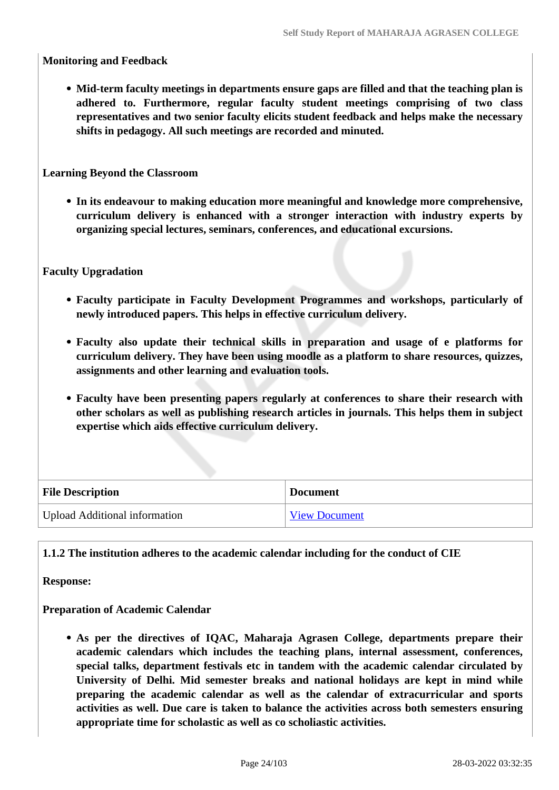**Monitoring and Feedback**

**Mid-term faculty meetings in departments ensure gaps are filled and that the teaching plan is adhered to. Furthermore, regular faculty student meetings comprising of two class representatives and two senior faculty elicits student feedback and helps make the necessary shifts in pedagogy. All such meetings are recorded and minuted.**

**Learning Beyond the Classroom**

**In its endeavour to making education more meaningful and knowledge more comprehensive, curriculum delivery is enhanced with a stronger interaction with industry experts by organizing special lectures, seminars, conferences, and educational excursions.** 

**Faculty Upgradation**

- **Faculty participate in Faculty Development Programmes and workshops, particularly of newly introduced papers. This helps in effective curriculum delivery.**
- **Faculty also update their technical skills in preparation and usage of e platforms for curriculum delivery. They have been using moodle as a platform to share resources, quizzes, assignments and other learning and evaluation tools.**
- **Faculty have been presenting papers regularly at conferences to share their research with other scholars as well as publishing research articles in journals. This helps them in subject expertise which aids effective curriculum delivery.**

| <b>File Description</b>       | <b>Document</b>      |
|-------------------------------|----------------------|
| Upload Additional information | <b>View Document</b> |

#### **1.1.2 The institution adheres to the academic calendar including for the conduct of CIE**

**Response:** 

**Preparation of Academic Calendar**

**As per the directives of IQAC, Maharaja Agrasen College, departments prepare their academic calendars which includes the teaching plans, internal assessment, conferences, special talks, department festivals etc in tandem with the academic calendar circulated by University of Delhi. Mid semester breaks and national holidays are kept in mind while preparing the academic calendar as well as the calendar of extracurricular and sports activities as well. Due care is taken to balance the activities across both semesters ensuring appropriate time for scholastic as well as co scholiastic activities.**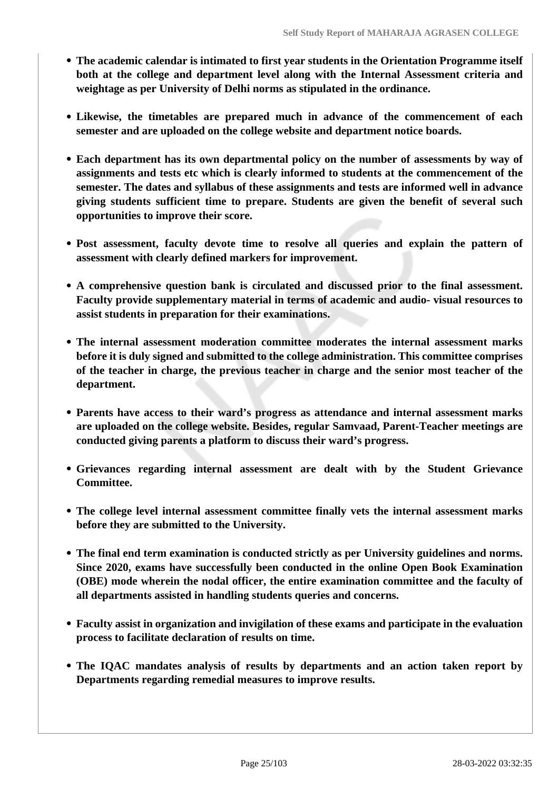- **The academic calendar is intimated to first year students in the Orientation Programme itself both at the college and department level along with the Internal Assessment criteria and weightage as per University of Delhi norms as stipulated in the ordinance.**
- **Likewise, the timetables are prepared much in advance of the commencement of each semester and are uploaded on the college website and department notice boards.**
- **Each department has its own departmental policy on the number of assessments by way of assignments and tests etc which is clearly informed to students at the commencement of the semester. The dates and syllabus of these assignments and tests are informed well in advance giving students sufficient time to prepare. Students are given the benefit of several such opportunities to improve their score.**
- **Post assessment, faculty devote time to resolve all queries and explain the pattern of assessment with clearly defined markers for improvement.**
- **A comprehensive question bank is circulated and discussed prior to the final assessment. Faculty provide supplementary material in terms of academic and audio- visual resources to assist students in preparation for their examinations.**
- **The internal assessment moderation committee moderates the internal assessment marks before it is duly signed and submitted to the college administration. This committee comprises of the teacher in charge, the previous teacher in charge and the senior most teacher of the department.**
- **Parents have access to their ward's progress as attendance and internal assessment marks are uploaded on the college website. Besides, regular Samvaad, Parent-Teacher meetings are conducted giving parents a platform to discuss their ward's progress.**
- **Grievances regarding internal assessment are dealt with by the Student Grievance Committee.**
- **The college level internal assessment committee finally vets the internal assessment marks before they are submitted to the University.**
- **The final end term examination is conducted strictly as per University guidelines and norms. Since 2020, exams have successfully been conducted in the online Open Book Examination (OBE) mode wherein the nodal officer, the entire examination committee and the faculty of all departments assisted in handling students queries and concerns.**
- **Faculty assist in organization and invigilation of these exams and participate in the evaluation process to facilitate declaration of results on time.**
- **The IQAC mandates analysis of results by departments and an action taken report by Departments regarding remedial measures to improve results.**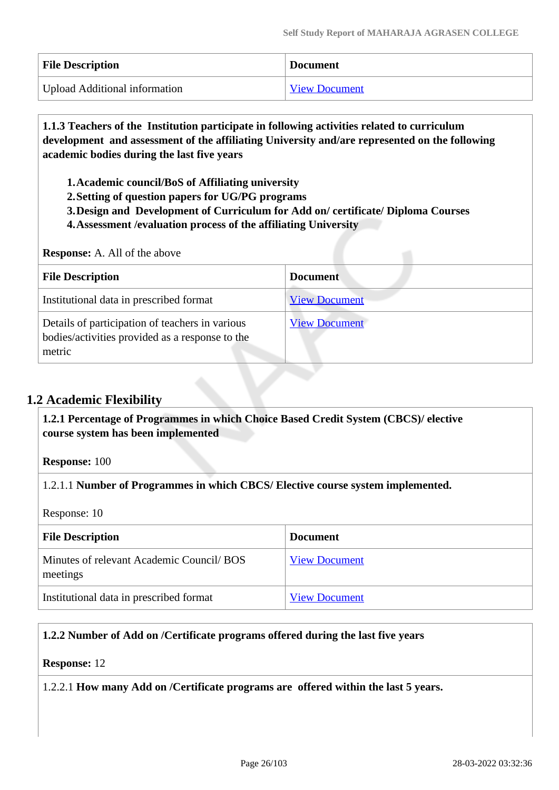| <b>File Description</b>              | <b>Document</b>      |
|--------------------------------------|----------------------|
| <b>Upload Additional information</b> | <b>View Document</b> |

 **1.1.3 Teachers of the Institution participate in following activities related to curriculum development and assessment of the affiliating University and/are represented on the following academic bodies during the last five years** 

**1.Academic council/BoS of Affiliating university**

**2.Setting of question papers for UG/PG programs** 

- **3.Design and Development of Curriculum for Add on/ certificate/ Diploma Courses**
- **4.Assessment /evaluation process of the affiliating University**

**Response:** A. All of the above

| <b>File Description</b>                                                                                      | <b>Document</b>      |
|--------------------------------------------------------------------------------------------------------------|----------------------|
| Institutional data in prescribed format                                                                      | <b>View Document</b> |
| Details of participation of teachers in various<br>bodies/activities provided as a response to the<br>metric | <b>View Document</b> |

# **1.2 Academic Flexibility**

 **1.2.1 Percentage of Programmes in which Choice Based Credit System (CBCS)/ elective course system has been implemented** 

**Response:** 100

1.2.1.1 **Number of Programmes in which CBCS/ Elective course system implemented.**

Response: 10

| <b>File Description</b>                              | <b>Document</b>      |
|------------------------------------------------------|----------------------|
| Minutes of relevant Academic Council/BOS<br>meetings | <b>View Document</b> |
| Institutional data in prescribed format              | <b>View Document</b> |

#### **1.2.2 Number of Add on /Certificate programs offered during the last five years**

**Response:** 12

1.2.2.1 **How many Add on /Certificate programs are offered within the last 5 years.**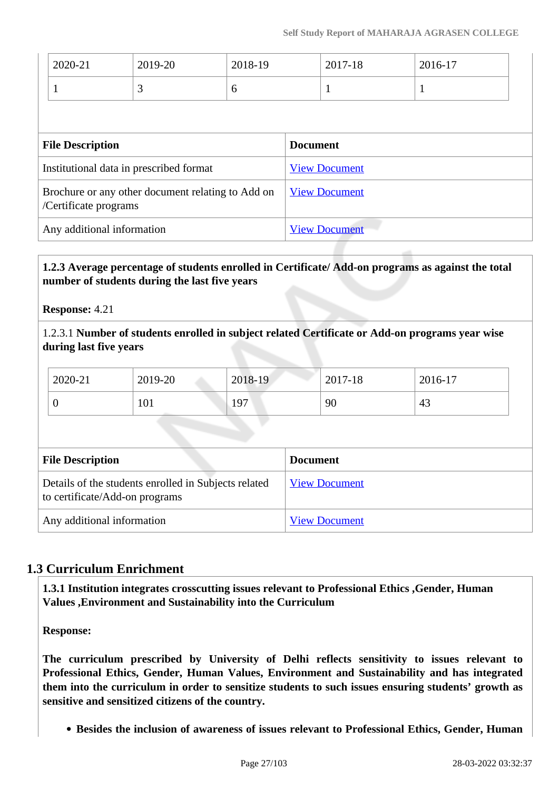| 2020-21                                                                    | 2019-20 | 2018-19              |                      | 2017-18              | 2016-17 |
|----------------------------------------------------------------------------|---------|----------------------|----------------------|----------------------|---------|
| $\mathbf 1$                                                                | 3       | 6                    |                      | -1                   | 1       |
|                                                                            |         |                      |                      |                      |         |
| <b>File Description</b>                                                    |         | <b>Document</b>      |                      |                      |         |
| Institutional data in prescribed format                                    |         | <b>View Document</b> |                      |                      |         |
| Brochure or any other document relating to Add on<br>/Certificate programs |         |                      | <b>View Document</b> |                      |         |
| Any additional information                                                 |         |                      |                      | <b>View Document</b> |         |

## **1.2.3 Average percentage of students enrolled in Certificate/ Add-on programs as against the total number of students during the last five years**

**Response:** 4.21

1.2.3.1 **Number of students enrolled in subject related Certificate or Add-on programs year wise during last five years**

| 2020-21                                                                                | 2019-20 | 2018-19 |                 | 2017-18              | 2016-17 |
|----------------------------------------------------------------------------------------|---------|---------|-----------------|----------------------|---------|
| $\theta$                                                                               | 101     | 197     |                 | 90                   | 43      |
|                                                                                        |         |         |                 |                      |         |
| <b>File Description</b>                                                                |         |         | <b>Document</b> |                      |         |
| Details of the students enrolled in Subjects related<br>to certificate/Add-on programs |         |         |                 |                      |         |
|                                                                                        |         |         |                 | <b>View Document</b> |         |

# **1.3 Curriculum Enrichment**

 **1.3.1 Institution integrates crosscutting issues relevant to Professional Ethics ,Gender, Human Values ,Environment and Sustainability into the Curriculum**

**Response:** 

**The curriculum prescribed by University of Delhi reflects sensitivity to issues relevant to Professional Ethics, Gender, Human Values, Environment and Sustainability and has integrated them into the curriculum in order to sensitize students to such issues ensuring students' growth as sensitive and sensitized citizens of the country.** 

**Besides the inclusion of awareness of issues relevant to Professional Ethics, Gender, Human**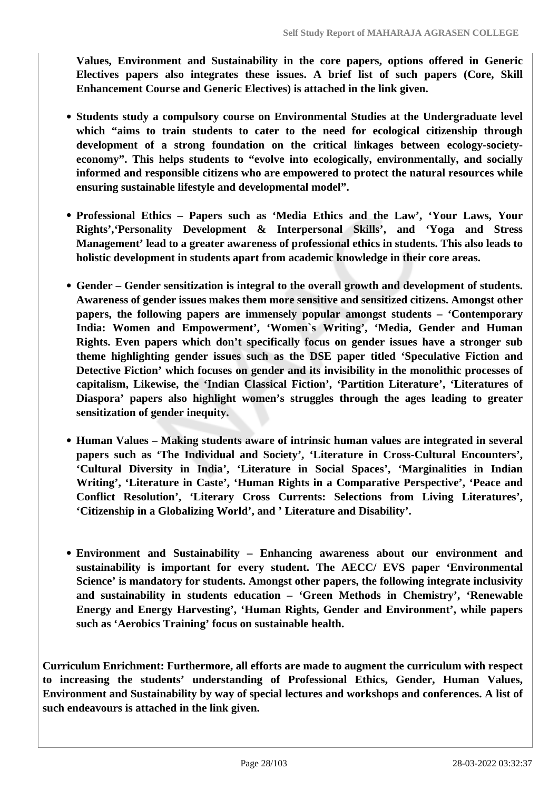**Values, Environment and Sustainability in the core papers, options offered in Generic Electives papers also integrates these issues. A brief list of such papers (Core, Skill Enhancement Course and Generic Electives) is attached in the link given.** 

- **Students study a compulsory course on Environmental Studies at the Undergraduate level which "aims to train students to cater to the need for ecological citizenship through development of a strong foundation on the critical linkages between ecology-societyeconomy". This helps students to "evolve into ecologically, environmentally, and socially informed and responsible citizens who are empowered to protect the natural resources while ensuring sustainable lifestyle and developmental model".**
- **Professional Ethics Papers such as 'Media Ethics and the Law', 'Your Laws, Your Rights','Personality Development & Interpersonal Skills', and 'Yoga and Stress Management' lead to a greater awareness of professional ethics in students. This also leads to holistic development in students apart from academic knowledge in their core areas.**
- **Gender Gender sensitization is integral to the overall growth and development of students. Awareness of gender issues makes them more sensitive and sensitized citizens. Amongst other papers, the following papers are immensely popular amongst students – 'Contemporary India: Women and Empowerment', 'Women`s Writing', 'Media, Gender and Human Rights. Even papers which don't specifically focus on gender issues have a stronger sub theme highlighting gender issues such as the DSE paper titled 'Speculative Fiction and Detective Fiction' which focuses on gender and its invisibility in the monolithic processes of capitalism, Likewise, the 'Indian Classical Fiction', 'Partition Literature', 'Literatures of Diaspora' papers also highlight women's struggles through the ages leading to greater sensitization of gender inequity.**
- **Human Values Making students aware of intrinsic human values are integrated in several papers such as 'The Individual and Society', 'Literature in Cross-Cultural Encounters', 'Cultural Diversity in India', 'Literature in Social Spaces', 'Marginalities in Indian Writing', 'Literature in Caste', 'Human Rights in a Comparative Perspective', 'Peace and Conflict Resolution', 'Literary Cross Currents: Selections from Living Literatures', 'Citizenship in a Globalizing World', and ' Literature and Disability'.**
- **Environment and Sustainability Enhancing awareness about our environment and sustainability is important for every student. The AECC/ EVS paper 'Environmental Science' is mandatory for students. Amongst other papers, the following integrate inclusivity and sustainability in students education – 'Green Methods in Chemistry', 'Renewable Energy and Energy Harvesting', 'Human Rights, Gender and Environment', while papers such as 'Aerobics Training' focus on sustainable health.**

**Curriculum Enrichment: Furthermore, all efforts are made to augment the curriculum with respect to increasing the students' understanding of Professional Ethics, Gender, Human Values, Environment and Sustainability by way of special lectures and workshops and conferences. A list of such endeavours is attached in the link given.**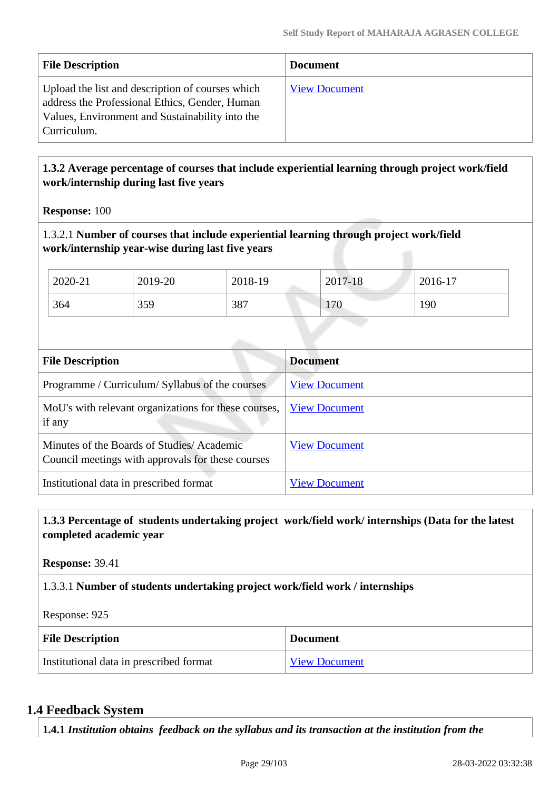| <b>File Description</b>                                                                                                                                              | <b>Document</b>      |
|----------------------------------------------------------------------------------------------------------------------------------------------------------------------|----------------------|
| Upload the list and description of courses which<br>address the Professional Ethics, Gender, Human<br>Values, Environment and Sustainability into the<br>Curriculum. | <b>View Document</b> |

## **1.3.2 Average percentage of courses that include experiential learning through project work/field work/internship during last five years**

**Response:** 100

1.3.2.1 **Number of courses that include experiential learning through project work/field work/internship year-wise during last five years**

| 2020-21 | 2019-20 | 2018-19 | 2017-18 | 2016-17 |
|---------|---------|---------|---------|---------|
| 364     | 359     | 387     | 170     | 190     |

| <b>File Description</b>                                                                        | <b>Document</b>      |
|------------------------------------------------------------------------------------------------|----------------------|
| Programme / Curriculum/ Syllabus of the courses                                                | <b>View Document</b> |
| MoU's with relevant organizations for these courses,<br>if any                                 | <b>View Document</b> |
| Minutes of the Boards of Studies/Academic<br>Council meetings with approvals for these courses | <b>View Document</b> |
| Institutional data in prescribed format                                                        | <b>View Document</b> |

### **1.3.3 Percentage of students undertaking project work/field work/ internships (Data for the latest completed academic year**

**Response:** 39.41

#### 1.3.3.1 **Number of students undertaking project work/field work / internships**

Response: 925

| <b>File Description</b>                 | <b>Document</b>      |
|-----------------------------------------|----------------------|
| Institutional data in prescribed format | <b>View Document</b> |

#### **1.4 Feedback System**

**1.4.1** *Institution obtains feedback on the syllabus and its transaction at the institution from the*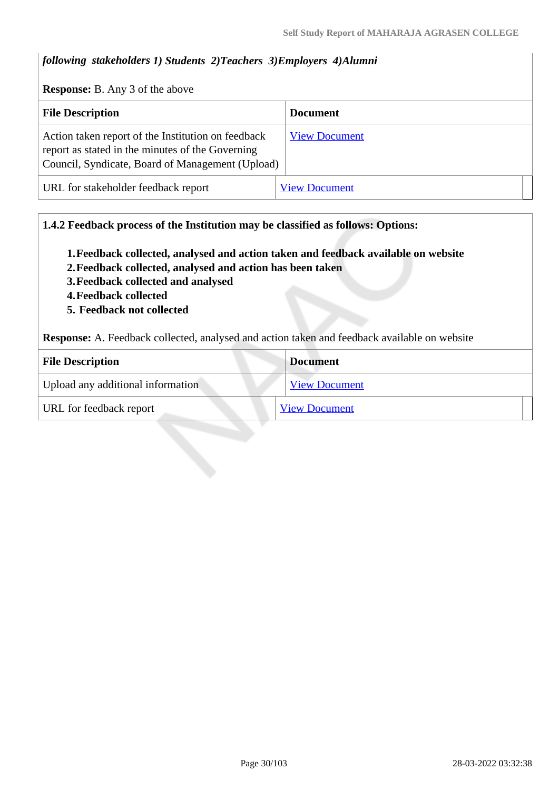#### *following stakeholders 1) Students 2)Teachers 3)Employers 4)Alumni*

**Response:** B. Any 3 of the above

| <b>File Description</b>                                                                                                                                    | <b>Document</b>      |
|------------------------------------------------------------------------------------------------------------------------------------------------------------|----------------------|
| Action taken report of the Institution on feedback<br>report as stated in the minutes of the Governing<br>Council, Syndicate, Board of Management (Upload) | <b>View Document</b> |
| URL for stakeholder feedback report                                                                                                                        | <b>View Document</b> |

**1.4.2 Feedback process of the Institution may be classified as follows: Options:**

**1.Feedback collected, analysed and action taken and feedback available on website**

- **2.Feedback collected, analysed and action has been taken**
- **3.Feedback collected and analysed**
- **4.Feedback collected**
- **5. Feedback not collected**

**Response:** A. Feedback collected, analysed and action taken and feedback available on website

| <b>File Description</b>           | <b>Document</b>      |
|-----------------------------------|----------------------|
| Upload any additional information | <b>View Document</b> |
| URL for feedback report           | <b>View Document</b> |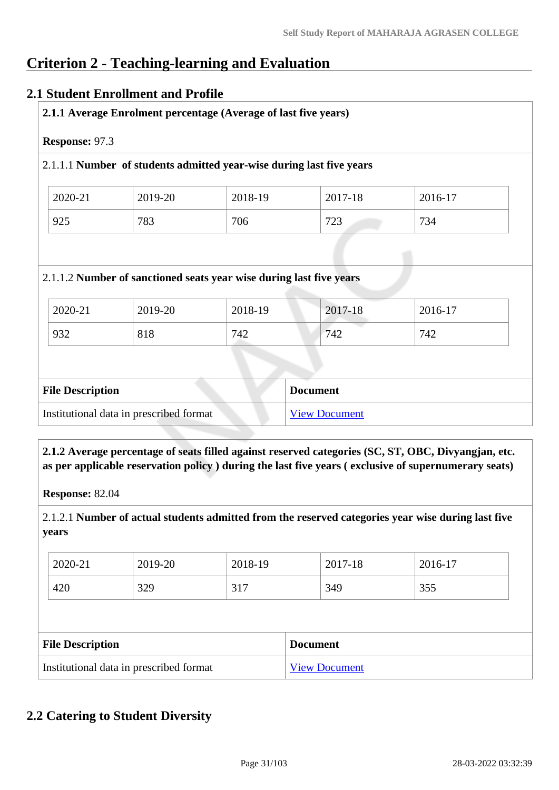# **Criterion 2 - Teaching-learning and Evaluation**

## **2.1 Student Enrollment and Profile**

|                         |         | 2.1.1 Average Enrolment percentage (Average of last five years)      |                 |         |
|-------------------------|---------|----------------------------------------------------------------------|-----------------|---------|
| Response: 97.3          |         |                                                                      |                 |         |
|                         |         | 2.1.1.1 Number of students admitted year-wise during last five years |                 |         |
| 2020-21                 | 2019-20 | 2018-19                                                              | 2017-18         | 2016-17 |
| 925                     | 783     | 706                                                                  | 723             | 734     |
|                         |         | 2.1.1.2 Number of sanctioned seats year wise during last five years  |                 |         |
| 2020-21                 | 2019-20 | 2018-19                                                              | 2017-18         | 2016-17 |
| 932                     | 818     | 742                                                                  | 742             | 742     |
|                         |         |                                                                      |                 |         |
| <b>File Description</b> |         |                                                                      | <b>Document</b> |         |

 **2.1.2 Average percentage of seats filled against reserved categories (SC, ST, OBC, Divyangjan, etc. as per applicable reservation policy ) during the last five years ( exclusive of supernumerary seats)**

**Response:** 82.04

2.1.2.1 **Number of actual students admitted from the reserved categories year wise during last five years**

| 349<br>420<br>317<br>329<br>355 | 2020-21 | 2019-20 | 2018-19 | 2017-18 | 2016-17 |
|---------------------------------|---------|---------|---------|---------|---------|
|                                 |         |         |         |         |         |

| <b>File Description</b>                 | <b>Document</b>      |
|-----------------------------------------|----------------------|
| Institutional data in prescribed format | <b>View Document</b> |

# **2.2 Catering to Student Diversity**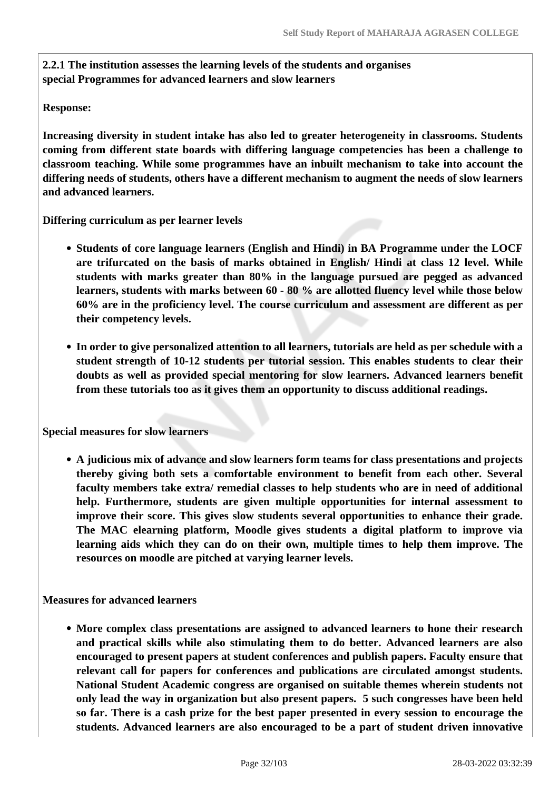**2.2.1 The institution assesses the learning levels of the students and organises special Programmes for advanced learners and slow learners**

#### **Response:**

**Increasing diversity in student intake has also led to greater heterogeneity in classrooms. Students coming from different state boards with differing language competencies has been a challenge to classroom teaching. While some programmes have an inbuilt mechanism to take into account the differing needs of students, others have a different mechanism to augment the needs of slow learners and advanced learners.**

**Differing curriculum as per learner levels**

- **Students of core language learners (English and Hindi) in BA Programme under the LOCF are trifurcated on the basis of marks obtained in English/ Hindi at class 12 level. While students with marks greater than 80% in the language pursued are pegged as advanced learners, students with marks between 60 - 80 % are allotted fluency level while those below 60% are in the proficiency level. The course curriculum and assessment are different as per their competency levels.**
- **In order to give personalized attention to all learners, tutorials are held as per schedule with a student strength of 10-12 students per tutorial session. This enables students to clear their doubts as well as provided special mentoring for slow learners. Advanced learners benefit from these tutorials too as it gives them an opportunity to discuss additional readings.**

**Special measures for slow learners**

**A judicious mix of advance and slow learners form teams for class presentations and projects thereby giving both sets a comfortable environment to benefit from each other. Several faculty members take extra/ remedial classes to help students who are in need of additional help. Furthermore, students are given multiple opportunities for internal assessment to improve their score. This gives slow students several opportunities to enhance their grade. The MAC elearning platform, Moodle gives students a digital platform to improve via learning aids which they can do on their own, multiple times to help them improve. The resources on moodle are pitched at varying learner levels.**

**Measures for advanced learners**

**More complex class presentations are assigned to advanced learners to hone their research and practical skills while also stimulating them to do better. Advanced learners are also encouraged to present papers at student conferences and publish papers. Faculty ensure that relevant call for papers for conferences and publications are circulated amongst students. National Student Academic congress are organised on suitable themes wherein students not only lead the way in organization but also present papers. 5 such congresses have been held so far. There is a cash prize for the best paper presented in every session to encourage the students. Advanced learners are also encouraged to be a part of student driven innovative**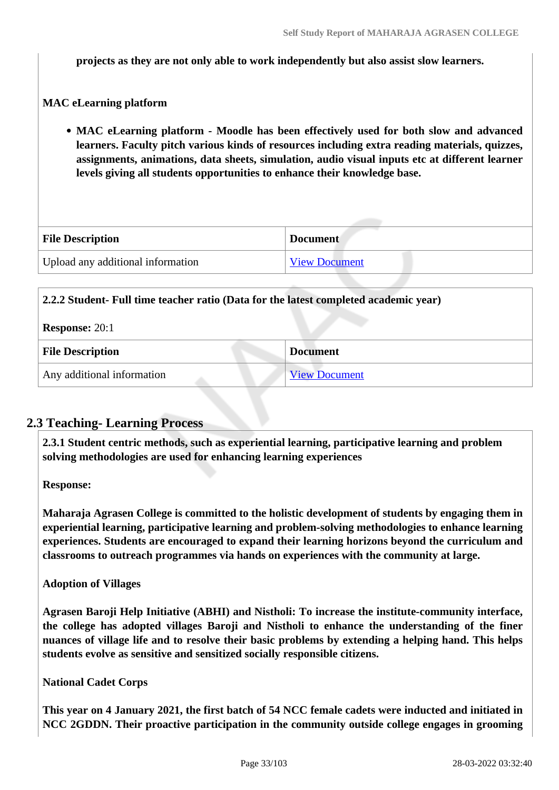**projects as they are not only able to work independently but also assist slow learners.** 

#### **MAC eLearning platform**

**MAC eLearning platform - Moodle has been effectively used for both slow and advanced learners. Faculty pitch various kinds of resources including extra reading materials, quizzes, assignments, animations, data sheets, simulation, audio visual inputs etc at different learner levels giving all students opportunities to enhance their knowledge base.**

| <b>File Description</b>           | <b>Document</b>      |
|-----------------------------------|----------------------|
| Upload any additional information | <b>View Document</b> |

| 2.2.2 Student- Full time teacher ratio (Data for the latest completed academic year) |                      |  |
|--------------------------------------------------------------------------------------|----------------------|--|
| <b>Response:</b> $20:1$                                                              |                      |  |
| <b>File Description</b>                                                              | <b>Document</b>      |  |
| Any additional information                                                           | <b>View Document</b> |  |

# **2.3 Teaching- Learning Process**

 **2.3.1 Student centric methods, such as experiential learning, participative learning and problem solving methodologies are used for enhancing learning experiences**

**Response:** 

**Maharaja Agrasen College is committed to the holistic development of students by engaging them in experiential learning, participative learning and problem-solving methodologies to enhance learning experiences. Students are encouraged to expand their learning horizons beyond the curriculum and classrooms to outreach programmes via hands on experiences with the community at large.** 

**Adoption of Villages**

**Agrasen Baroji Help Initiative (ABHI) and Nistholi: To increase the institute-community interface, the college has adopted villages Baroji and Nistholi to enhance the understanding of the finer nuances of village life and to resolve their basic problems by extending a helping hand. This helps students evolve as sensitive and sensitized socially responsible citizens.**

**National Cadet Corps** 

**This year on 4 January 2021, the first batch of 54 NCC female cadets were inducted and initiated in NCC 2GDDN. Their proactive participation in the community outside college engages in grooming**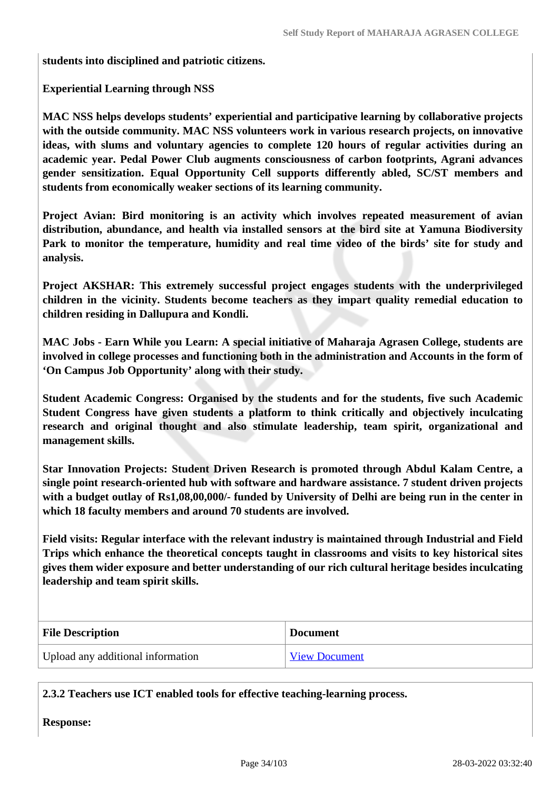**students into disciplined and patriotic citizens.**

**Experiential Learning through NSS**

**MAC NSS helps develops students' experiential and participative learning by collaborative projects with the outside community. MAC NSS volunteers work in various research projects, on innovative ideas, with slums and voluntary agencies to complete 120 hours of regular activities during an academic year. Pedal Power Club augments consciousness of carbon footprints, Agrani advances gender sensitization. Equal Opportunity Cell supports differently abled, SC/ST members and students from economically weaker sections of its learning community.** 

**Project Avian: Bird monitoring is an activity which involves repeated measurement of avian distribution, abundance, and health via installed sensors at the bird site at Yamuna Biodiversity Park to monitor the temperature, humidity and real time video of the birds' site for study and analysis.** 

**Project AKSHAR: This extremely successful project engages students with the underprivileged children in the vicinity. Students become teachers as they impart quality remedial education to children residing in Dallupura and Kondli.** 

**MAC Jobs - Earn While you Learn: A special initiative of Maharaja Agrasen College, students are involved in college processes and functioning both in the administration and Accounts in the form of 'On Campus Job Opportunity' along with their study.** 

**Student Academic Congress: Organised by the students and for the students, five such Academic Student Congress have given students a platform to think critically and objectively inculcating research and original thought and also stimulate leadership, team spirit, organizational and management skills.**

**Star Innovation Projects: Student Driven Research is promoted through Abdul Kalam Centre, a single point research-oriented hub with software and hardware assistance. 7 student driven projects with a budget outlay of Rs1,08,00,000/- funded by University of Delhi are being run in the center in which 18 faculty members and around 70 students are involved.**

**Field visits: Regular interface with the relevant industry is maintained through Industrial and Field Trips which enhance the theoretical concepts taught in classrooms and visits to key historical sites gives them wider exposure and better understanding of our rich cultural heritage besides inculcating leadership and team spirit skills.** 

| <b>File Description</b>           | <b>Document</b>      |
|-----------------------------------|----------------------|
| Upload any additional information | <b>View Document</b> |

**2.3.2 Teachers use ICT enabled tools for effective teaching-learning process.** 

**Response:**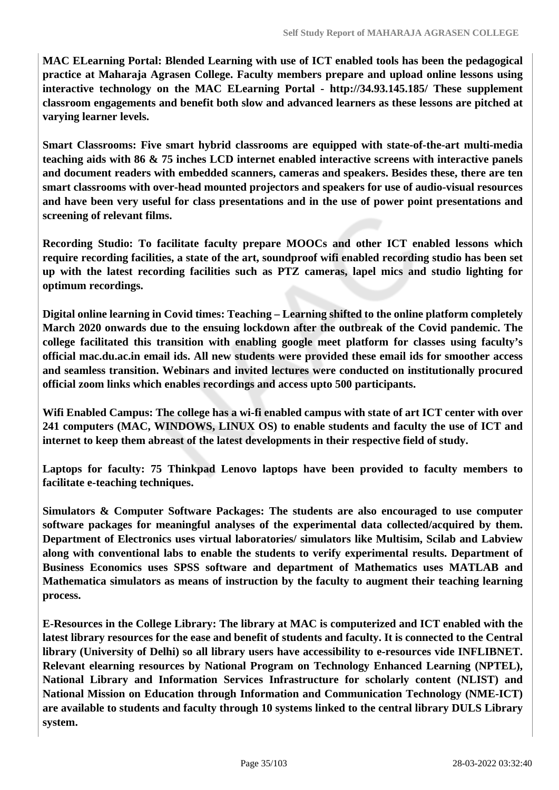**MAC ELearning Portal: Blended Learning with use of ICT enabled tools has been the pedagogical practice at Maharaja Agrasen College. Faculty members prepare and upload online lessons using interactive technology on the MAC ELearning Portal - http://34.93.145.185/ These supplement classroom engagements and benefit both slow and advanced learners as these lessons are pitched at varying learner levels.** 

**Smart Classrooms: Five smart hybrid classrooms are equipped with state-of-the-art multi-media teaching aids with 86 & 75 inches LCD internet enabled interactive screens with interactive panels and document readers with embedded scanners, cameras and speakers. Besides these, there are ten smart classrooms with over-head mounted projectors and speakers for use of audio-visual resources and have been very useful for class presentations and in the use of power point presentations and screening of relevant films.**

**Recording Studio: To facilitate faculty prepare MOOCs and other ICT enabled lessons which require recording facilities, a state of the art, soundproof wifi enabled recording studio has been set up with the latest recording facilities such as PTZ cameras, lapel mics and studio lighting for optimum recordings.** 

**Digital online learning in Covid times: Teaching – Learning shifted to the online platform completely March 2020 onwards due to the ensuing lockdown after the outbreak of the Covid pandemic. The college facilitated this transition with enabling google meet platform for classes using faculty's official mac.du.ac.in email ids. All new students were provided these email ids for smoother access and seamless transition. Webinars and invited lectures were conducted on institutionally procured official zoom links which enables recordings and access upto 500 participants.** 

**Wifi Enabled Campus: The college has a wi-fi enabled campus with state of art ICT center with over 241 computers (MAC, WINDOWS, LINUX OS) to enable students and faculty the use of ICT and internet to keep them abreast of the latest developments in their respective field of study.**

**Laptops for faculty: 75 Thinkpad Lenovo laptops have been provided to faculty members to facilitate e-teaching techniques.** 

**Simulators & Computer Software Packages: The students are also encouraged to use computer software packages for meaningful analyses of the experimental data collected/acquired by them. Department of Electronics uses virtual laboratories/ simulators like Multisim, Scilab and Labview along with conventional labs to enable the students to verify experimental results. Department of Business Economics uses SPSS software and department of Mathematics uses MATLAB and Mathematica simulators as means of instruction by the faculty to augment their teaching learning process.** 

**E-Resources in the College Library: The library at MAC is computerized and ICT enabled with the latest library resources for the ease and benefit of students and faculty. It is connected to the Central library (University of Delhi) so all library users have accessibility to e-resources vide INFLIBNET. Relevant elearning resources by National Program on Technology Enhanced Learning (NPTEL), National Library and Information Services Infrastructure for scholarly content (NLIST) and National Mission on Education through Information and Communication Technology (NME-ICT) are available to students and faculty through 10 systems linked to the central library DULS Library system.**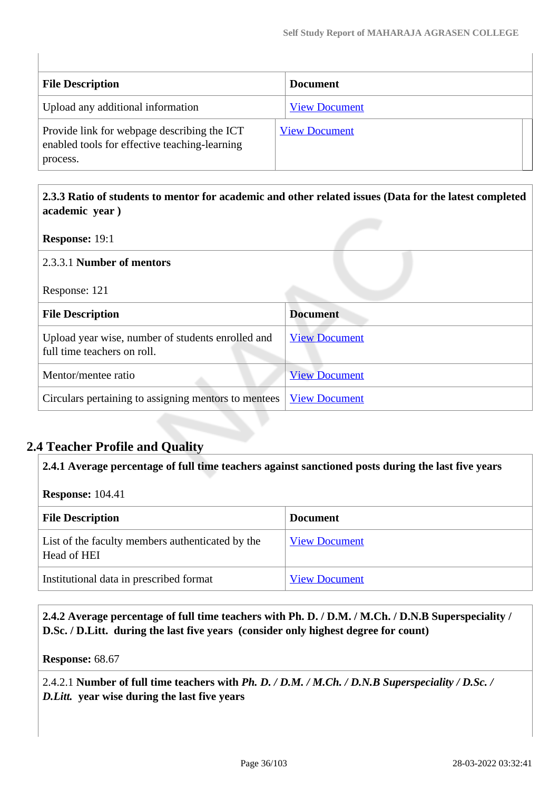| <b>File Description</b>                                                                                  | <b>Document</b>      |
|----------------------------------------------------------------------------------------------------------|----------------------|
| Upload any additional information                                                                        | <b>View Document</b> |
| Provide link for webpage describing the ICT<br>enabled tools for effective teaching-learning<br>process. | <b>View Document</b> |

 **2.3.3 Ratio of students to mentor for academic and other related issues (Data for the latest completed academic year )**

**Response:** 19:1

| $\sim$                                                                           |                      |  |
|----------------------------------------------------------------------------------|----------------------|--|
| 2.3.3.1 Number of mentors                                                        |                      |  |
| Response: 121                                                                    |                      |  |
| <b>File Description</b>                                                          | <b>Document</b>      |  |
| Upload year wise, number of students enrolled and<br>full time teachers on roll. | <b>View Document</b> |  |
| Mentor/mentee ratio                                                              | <b>View Document</b> |  |
| Circulars pertaining to assigning mentors to mentees                             | <b>View Document</b> |  |

# **2.4 Teacher Profile and Quality**

#### **2.4.1 Average percentage of full time teachers against sanctioned posts during the last five years**

**Response:** 104.41

| <b>File Description</b>                                         | <b>Document</b>      |
|-----------------------------------------------------------------|----------------------|
| List of the faculty members authenticated by the<br>Head of HEI | <b>View Document</b> |
| Institutional data in prescribed format                         | <b>View Document</b> |

# **2.4.2 Average percentage of full time teachers with Ph. D. / D.M. / M.Ch. / D.N.B Superspeciality / D.Sc. / D.Litt. during the last five years (consider only highest degree for count)**

**Response:** 68.67

2.4.2.1 **Number of full time teachers with** *Ph. D. / D.M. / M.Ch. / D.N.B Superspeciality / D.Sc. / D.Litt.* **year wise during the last five years**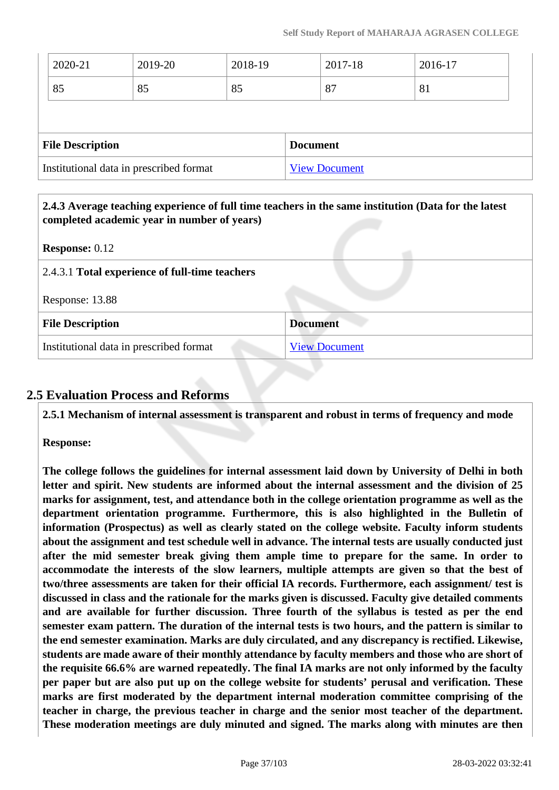| Institutional data in prescribed format |         |                 | <b>View Document</b> |         |         |
|-----------------------------------------|---------|-----------------|----------------------|---------|---------|
|                                         |         |                 |                      |         |         |
| <b>File Description</b>                 |         | <b>Document</b> |                      |         |         |
|                                         |         |                 |                      |         |         |
| 85                                      | 85      | 85              |                      | 87      | 81      |
|                                         |         |                 |                      |         |         |
| 2020-21                                 | 2019-20 | 2018-19         |                      | 2017-18 | 2016-17 |

| 2.4.3 Average teaching experience of full time teachers in the same institution (Data for the latest<br>completed academic year in number of years) |                      |  |
|-----------------------------------------------------------------------------------------------------------------------------------------------------|----------------------|--|
| <b>Response: 0.12</b>                                                                                                                               |                      |  |
| 2.4.3.1 Total experience of full-time teachers                                                                                                      |                      |  |
| Response: 13.88                                                                                                                                     |                      |  |
| <b>File Description</b>                                                                                                                             | <b>Document</b>      |  |
| Institutional data in prescribed format                                                                                                             | <b>View Document</b> |  |

# **2.5 Evaluation Process and Reforms**

**2.5.1 Mechanism of internal assessment is transparent and robust in terms of frequency and mode**

**Response:** 

**The college follows the guidelines for internal assessment laid down by University of Delhi in both letter and spirit. New students are informed about the internal assessment and the division of 25 marks for assignment, test, and attendance both in the college orientation programme as well as the department orientation programme. Furthermore, this is also highlighted in the Bulletin of information (Prospectus) as well as clearly stated on the college website. Faculty inform students about the assignment and test schedule well in advance. The internal tests are usually conducted just after the mid semester break giving them ample time to prepare for the same. In order to accommodate the interests of the slow learners, multiple attempts are given so that the best of two/three assessments are taken for their official IA records. Furthermore, each assignment/ test is discussed in class and the rationale for the marks given is discussed. Faculty give detailed comments and are available for further discussion. Three fourth of the syllabus is tested as per the end semester exam pattern. The duration of the internal tests is two hours, and the pattern is similar to the end semester examination. Marks are duly circulated, and any discrepancy is rectified. Likewise, students are made aware of their monthly attendance by faculty members and those who are short of the requisite 66.6% are warned repeatedly. The final IA marks are not only informed by the faculty per paper but are also put up on the college website for students' perusal and verification. These marks are first moderated by the department internal moderation committee comprising of the teacher in charge, the previous teacher in charge and the senior most teacher of the department. These moderation meetings are duly minuted and signed. The marks along with minutes are then**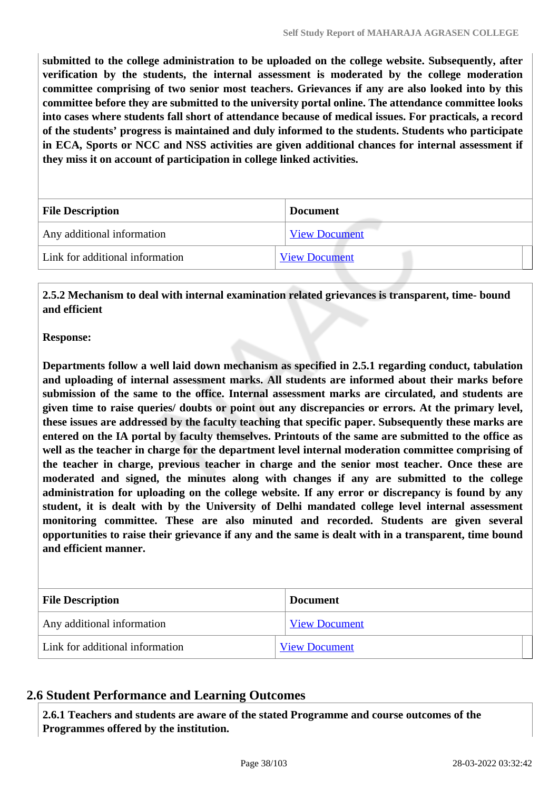**submitted to the college administration to be uploaded on the college website. Subsequently, after verification by the students, the internal assessment is moderated by the college moderation committee comprising of two senior most teachers. Grievances if any are also looked into by this committee before they are submitted to the university portal online. The attendance committee looks into cases where students fall short of attendance because of medical issues. For practicals, a record of the students' progress is maintained and duly informed to the students. Students who participate in ECA, Sports or NCC and NSS activities are given additional chances for internal assessment if they miss it on account of participation in college linked activities.** 

| <b>File Description</b>         | <b>Document</b>      |
|---------------------------------|----------------------|
| Any additional information      | <b>View Document</b> |
| Link for additional information | <b>View Document</b> |

 **2.5.2 Mechanism to deal with internal examination related grievances is transparent, time- bound and efficient** 

**Response:** 

**Departments follow a well laid down mechanism as specified in 2.5.1 regarding conduct, tabulation and uploading of internal assessment marks. All students are informed about their marks before submission of the same to the office. Internal assessment marks are circulated, and students are given time to raise queries/ doubts or point out any discrepancies or errors. At the primary level, these issues are addressed by the faculty teaching that specific paper. Subsequently these marks are entered on the IA portal by faculty themselves. Printouts of the same are submitted to the office as well as the teacher in charge for the department level internal moderation committee comprising of the teacher in charge, previous teacher in charge and the senior most teacher. Once these are moderated and signed, the minutes along with changes if any are submitted to the college administration for uploading on the college website. If any error or discrepancy is found by any student, it is dealt with by the University of Delhi mandated college level internal assessment monitoring committee. These are also minuted and recorded. Students are given several opportunities to raise their grievance if any and the same is dealt with in a transparent, time bound and efficient manner.**

| <b>File Description</b>         | <b>Document</b>      |
|---------------------------------|----------------------|
| Any additional information      | <b>View Document</b> |
| Link for additional information | <b>View Document</b> |

### **2.6 Student Performance and Learning Outcomes**

 **2.6.1 Teachers and students are aware of the stated Programme and course outcomes of the Programmes offered by the institution.**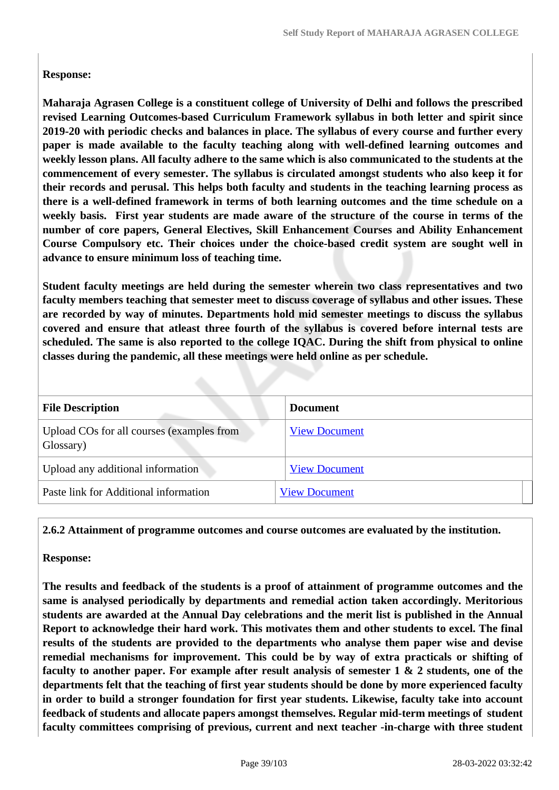## **Response:**

**Maharaja Agrasen College is a constituent college of University of Delhi and follows the prescribed revised Learning Outcomes-based Curriculum Framework syllabus in both letter and spirit since 2019-20 with periodic checks and balances in place. The syllabus of every course and further every paper is made available to the faculty teaching along with well-defined learning outcomes and weekly lesson plans. All faculty adhere to the same which is also communicated to the students at the commencement of every semester. The syllabus is circulated amongst students who also keep it for their records and perusal. This helps both faculty and students in the teaching learning process as there is a well-defined framework in terms of both learning outcomes and the time schedule on a weekly basis. First year students are made aware of the structure of the course in terms of the number of core papers, General Electives, Skill Enhancement Courses and Ability Enhancement Course Compulsory etc. Their choices under the choice-based credit system are sought well in advance to ensure minimum loss of teaching time.** 

**Student faculty meetings are held during the semester wherein two class representatives and two faculty members teaching that semester meet to discuss coverage of syllabus and other issues. These are recorded by way of minutes. Departments hold mid semester meetings to discuss the syllabus covered and ensure that atleast three fourth of the syllabus is covered before internal tests are scheduled. The same is also reported to the college IQAC. During the shift from physical to online classes during the pandemic, all these meetings were held online as per schedule.**

| <b>File Description</b>                                | <b>Document</b>      |
|--------------------------------------------------------|----------------------|
| Upload COs for all courses (examples from<br>Glossary) | <b>View Document</b> |
| Upload any additional information                      | <b>View Document</b> |
| Paste link for Additional information                  | <b>View Document</b> |

**2.6.2 Attainment of programme outcomes and course outcomes are evaluated by the institution.**

### **Response:**

**The results and feedback of the students is a proof of attainment of programme outcomes and the same is analysed periodically by departments and remedial action taken accordingly. Meritorious students are awarded at the Annual Day celebrations and the merit list is published in the Annual Report to acknowledge their hard work. This motivates them and other students to excel. The final results of the students are provided to the departments who analyse them paper wise and devise remedial mechanisms for improvement. This could be by way of extra practicals or shifting of faculty to another paper. For example after result analysis of semester 1 & 2 students, one of the departments felt that the teaching of first year students should be done by more experienced faculty in order to build a stronger foundation for first year students. Likewise, faculty take into account feedback of students and allocate papers amongst themselves. Regular mid-term meetings of student faculty committees comprising of previous, current and next teacher -in-charge with three student**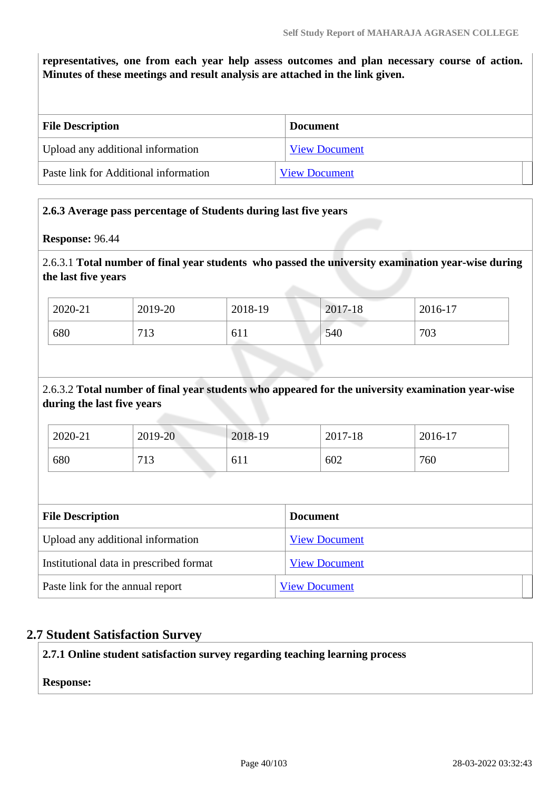**representatives, one from each year help assess outcomes and plan necessary course of action. Minutes of these meetings and result analysis are attached in the link given.**

| <b>File Description</b>               | <b>Document</b>      |
|---------------------------------------|----------------------|
| Upload any additional information     | <b>View Document</b> |
| Paste link for Additional information | <b>View Document</b> |

#### **2.6.3 Average pass percentage of Students during last five years**

#### **Response:** 96.44

2.6.3.1 **Total number of final year students who passed the university examination year-wise during the last five years**

| 2020-21 | 2019-20    | 2018-19 | 2017-18 | 2016-17 |
|---------|------------|---------|---------|---------|
| 680     | 712<br>1 J | 611     | 540     | 703     |

### 2.6.3.2 **Total number of final year students who appeared for the university examination year-wise during the last five years**

| 2020-21 | 2019-20   | 2018-19         | 2017-18 | 2016-17 |
|---------|-----------|-----------------|---------|---------|
| 680     | 712<br>19 | 61 <sub>1</sub> | 602     | 760     |

| <b>File Description</b>                 | <b>Document</b>      |  |
|-----------------------------------------|----------------------|--|
| Upload any additional information       | <b>View Document</b> |  |
| Institutional data in prescribed format | <b>View Document</b> |  |
| Paste link for the annual report        | <b>View Document</b> |  |

### **2.7 Student Satisfaction Survey**

**2.7.1 Online student satisfaction survey regarding teaching learning process**

#### **Response:**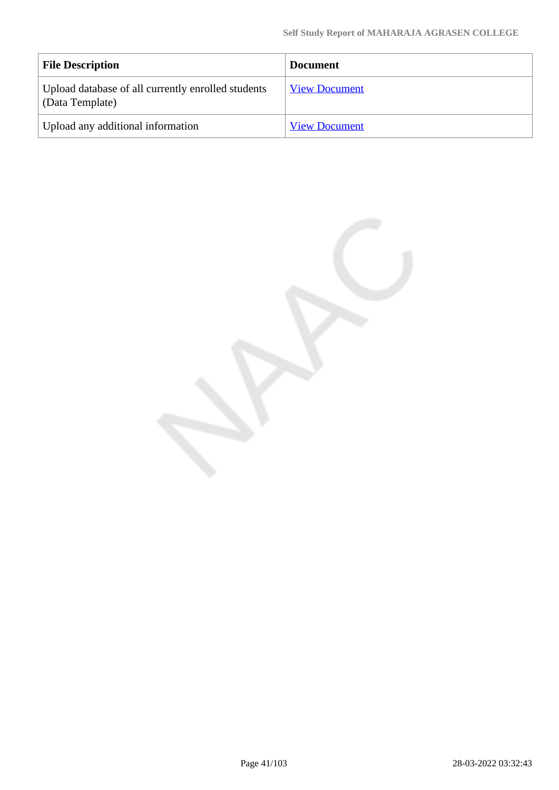| <b>File Description</b>                                               | <b>Document</b>      |
|-----------------------------------------------------------------------|----------------------|
| Upload database of all currently enrolled students<br>(Data Template) | <b>View Document</b> |
| Upload any additional information                                     | <b>View Document</b> |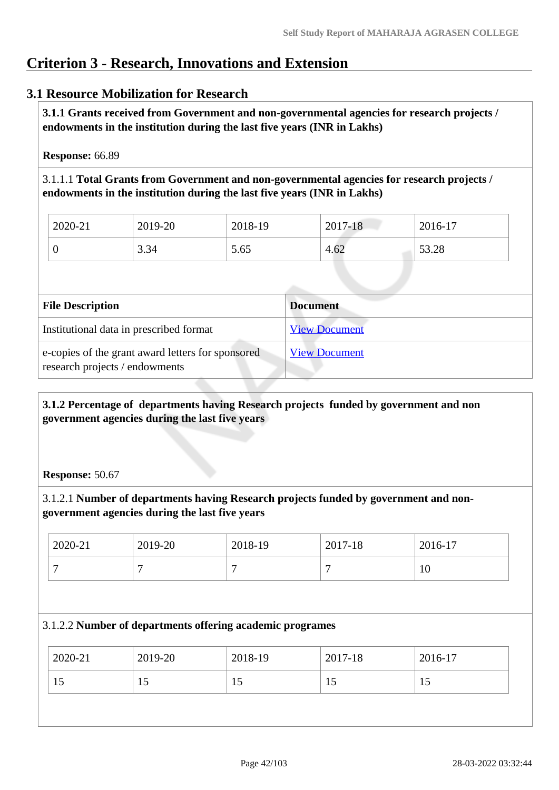# **Criterion 3 - Research, Innovations and Extension**

## **3.1 Resource Mobilization for Research**

 **3.1.1 Grants received from Government and non-governmental agencies for research projects / endowments in the institution during the last five years (INR in Lakhs)** 

**Response:** 66.89

3.1.1.1 **Total Grants from Government and non-governmental agencies for research projects / endowments in the institution during the last five years (INR in Lakhs)**

| 2020-21 | 2019-20 | 2018-19 | 2017-18 | 2016-17 |
|---------|---------|---------|---------|---------|
|         | 3.34    | 5.65    | 4.62    | 53.28   |

| <b>File Description</b>                                                             | <b>Document</b>      |
|-------------------------------------------------------------------------------------|----------------------|
| Institutional data in prescribed format                                             | <b>View Document</b> |
| e-copies of the grant award letters for sponsored<br>research projects / endowments | <b>View Document</b> |

 **3.1.2 Percentage of departments having Research projects funded by government and non government agencies during the last five years**

### **Response:** 50.67

3.1.2.1 **Number of departments having Research projects funded by government and nongovernment agencies during the last five years**

| 2020-21 | 2019-20 | 2018-19 | 2017-18 | 2016-17   |
|---------|---------|---------|---------|-----------|
|         |         | −       |         | 1 O<br>10 |

### 3.1.2.2 **Number of departments offering academic programes**

| 2020-21<br>2019-20<br>2018-19 | 2017-18 | 2016-17 |
|-------------------------------|---------|---------|
| 15<br>10<br>10                | 15      | 10      |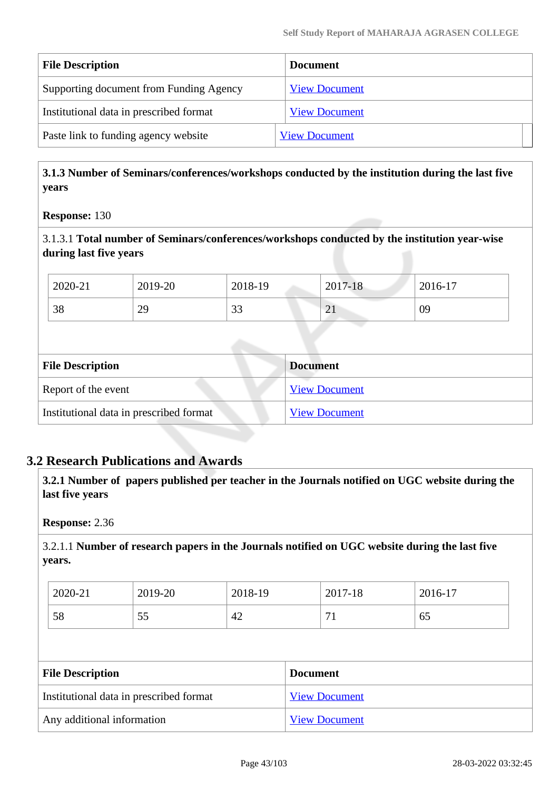| <b>File Description</b>                 | <b>Document</b>      |
|-----------------------------------------|----------------------|
| Supporting document from Funding Agency | <b>View Document</b> |
| Institutional data in prescribed format | <b>View Document</b> |
| Paste link to funding agency website    | <b>View Document</b> |

 **3.1.3 Number of Seminars/conferences/workshops conducted by the institution during the last five years**

### **Response:** 130

3.1.3.1 **Total number of Seminars/conferences/workshops conducted by the institution year-wise during last five years** 

| 2020-21 | 2019-20 | 2018-19      | 2017-18            | 2016-17 |
|---------|---------|--------------|--------------------|---------|
| 38      | 29      | $\sim$<br>υJ | $\sim$<br>$\sim$ 1 | 09      |

| <b>File Description</b>                 | <b>Document</b>      |
|-----------------------------------------|----------------------|
| Report of the event                     | <b>View Document</b> |
| Institutional data in prescribed format | <b>View Document</b> |

# **3.2 Research Publications and Awards**

 **3.2.1 Number of papers published per teacher in the Journals notified on UGC website during the last five years** 

**Response:** 2.36

3.2.1.1 **Number of research papers in the Journals notified on UGC website during the last five years.**

| 2020-21  | 2019-20                        | 2018-19 | 2017-18   | 2016-17 |
|----------|--------------------------------|---------|-----------|---------|
| 50<br>Эð | $\overline{\phantom{a}}$<br>IJ | 42      | ┍┓<br>. . | 65      |

| <b>File Description</b>                 | <b>Document</b>      |
|-----------------------------------------|----------------------|
| Institutional data in prescribed format | <b>View Document</b> |
| Any additional information              | <b>View Document</b> |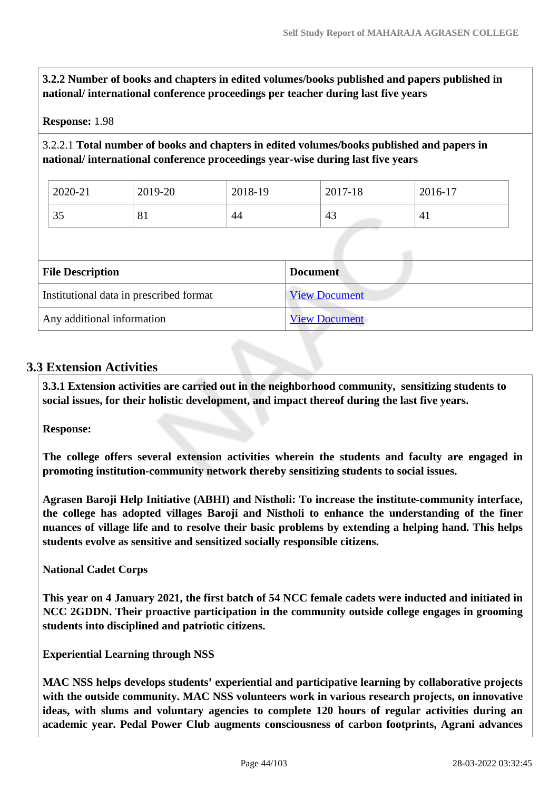**3.2.2 Number of books and chapters in edited volumes/books published and papers published in national/ international conference proceedings per teacher during last five years**

#### **Response:** 1.98

### 3.2.2.1 **Total number of books and chapters in edited volumes/books published and papers in national/ international conference proceedings year-wise during last five years**

| 2020-21   | 2019-20                      | 2018-19 | 2017-18 | 2016-17 |
|-----------|------------------------------|---------|---------|---------|
| つよ<br>ر ر | $\Omega$ 1<br>O <sub>1</sub> | 44      | 43      | $4_{1}$ |

| <b>File Description</b>                 | <b>Document</b>      |
|-----------------------------------------|----------------------|
| Institutional data in prescribed format | <b>View Document</b> |
| Any additional information              | <b>View Document</b> |

### **3.3 Extension Activities**

 **3.3.1 Extension activities are carried out in the neighborhood community, sensitizing students to social issues, for their holistic development, and impact thereof during the last five years.**

**Response:** 

**The college offers several extension activities wherein the students and faculty are engaged in promoting institution-community network thereby sensitizing students to social issues.**

**Agrasen Baroji Help Initiative (ABHI) and Nistholi: To increase the institute-community interface, the college has adopted villages Baroji and Nistholi to enhance the understanding of the finer nuances of village life and to resolve their basic problems by extending a helping hand. This helps students evolve as sensitive and sensitized socially responsible citizens.**

**National Cadet Corps** 

**This year on 4 January 2021, the first batch of 54 NCC female cadets were inducted and initiated in NCC 2GDDN. Their proactive participation in the community outside college engages in grooming students into disciplined and patriotic citizens.**

**Experiential Learning through NSS**

**MAC NSS helps develops students' experiential and participative learning by collaborative projects with the outside community. MAC NSS volunteers work in various research projects, on innovative ideas, with slums and voluntary agencies to complete 120 hours of regular activities during an academic year. Pedal Power Club augments consciousness of carbon footprints, Agrani advances**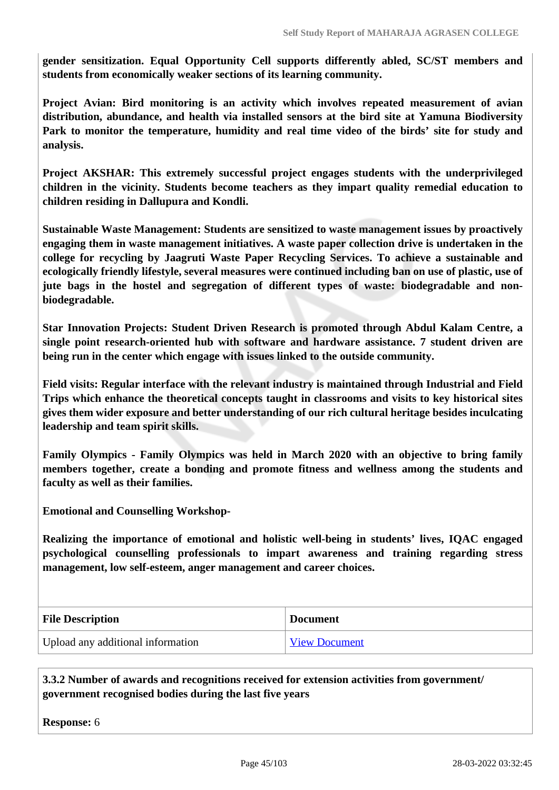**gender sensitization. Equal Opportunity Cell supports differently abled, SC/ST members and students from economically weaker sections of its learning community.** 

**Project Avian: Bird monitoring is an activity which involves repeated measurement of avian distribution, abundance, and health via installed sensors at the bird site at Yamuna Biodiversity Park to monitor the temperature, humidity and real time video of the birds' site for study and analysis.** 

**Project AKSHAR: This extremely successful project engages students with the underprivileged children in the vicinity. Students become teachers as they impart quality remedial education to children residing in Dallupura and Kondli.** 

**Sustainable Waste Management: Students are sensitized to waste management issues by proactively engaging them in waste management initiatives. A waste paper collection drive is undertaken in the college for recycling by Jaagruti Waste Paper Recycling Services. To achieve a sustainable and ecologically friendly lifestyle, several measures were continued including ban on use of plastic, use of jute bags in the hostel and segregation of different types of waste: biodegradable and nonbiodegradable.** 

**Star Innovation Projects: Student Driven Research is promoted through Abdul Kalam Centre, a single point research-oriented hub with software and hardware assistance. 7 student driven are being run in the center which engage with issues linked to the outside community.**

**Field visits: Regular interface with the relevant industry is maintained through Industrial and Field Trips which enhance the theoretical concepts taught in classrooms and visits to key historical sites gives them wider exposure and better understanding of our rich cultural heritage besides inculcating leadership and team spirit skills.** 

**Family Olympics - Family Olympics was held in March 2020 with an objective to bring family members together, create a bonding and promote fitness and wellness among the students and faculty as well as their families.** 

**Emotional and Counselling Workshop-**

**Realizing the importance of emotional and holistic well-being in students' lives, IQAC engaged psychological counselling professionals to impart awareness and training regarding stress management, low self-esteem, anger management and career choices.** 

| <b>File Description</b>           | <b>Document</b>      |
|-----------------------------------|----------------------|
| Upload any additional information | <b>View Document</b> |

 **3.3.2 Number of awards and recognitions received for extension activities from government/ government recognised bodies during the last five years**

**Response:** 6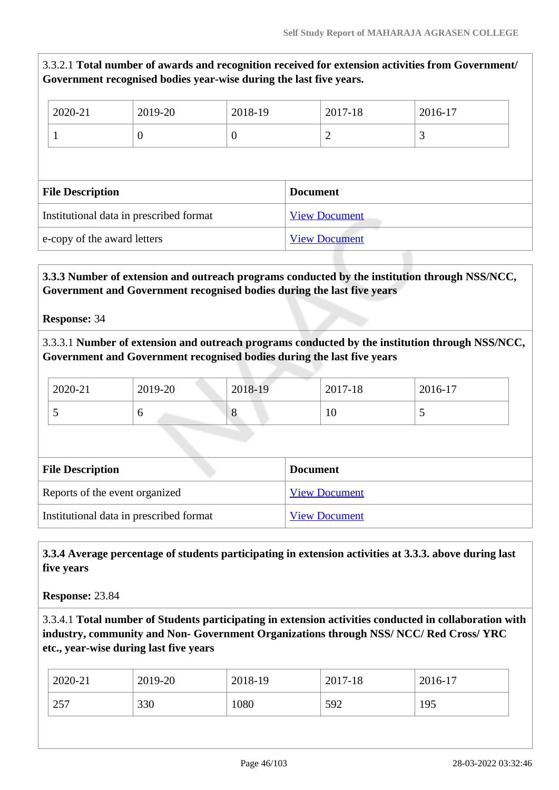3.3.2.1 **Total number of awards and recognition received for extension activities from Government/ Government recognised bodies year-wise during the last five years.**

| 2020-21                 | 2019-20                                 | 2018-19        | 2017-18              | 2016-17 |
|-------------------------|-----------------------------------------|----------------|----------------------|---------|
|                         | $\theta$                                | $\overline{0}$ | 2                    | 3       |
|                         |                                         |                |                      |         |
|                         |                                         |                |                      |         |
| <b>File Description</b> |                                         |                | <b>Document</b>      |         |
|                         | Institutional data in prescribed format |                | <b>View Document</b> |         |

 **3.3.3 Number of extension and outreach programs conducted by the institution through NSS/NCC, Government and Government recognised bodies during the last five years**

**Response:** 34

3.3.3.1 **Number of extension and outreach programs conducted by the institution through NSS/NCC, Government and Government recognised bodies during the last five years**

| 2020-21 | 2019-20 | 2018-19 | 2017-18 | 2016-17                  |
|---------|---------|---------|---------|--------------------------|
| ັ       | ◡       |         | ΙV      | $\overline{\phantom{0}}$ |

| <b>File Description</b>                 | <b>Document</b>      |
|-----------------------------------------|----------------------|
| Reports of the event organized          | <b>View Document</b> |
| Institutional data in prescribed format | <b>View Document</b> |

 **3.3.4 Average percentage of students participating in extension activities at 3.3.3. above during last five years**

**Response:** 23.84

3.3.4.1 **Total number of Students participating in extension activities conducted in collaboration with industry, community and Non- Government Organizations through NSS/ NCC/ Red Cross/ YRC etc., year-wise during last five years**

| 2020-21 | 2019-20 | 2018-19 | 2017-18 | 2016-17 |
|---------|---------|---------|---------|---------|
| 257     | 330     | 1080    | 592     | 195     |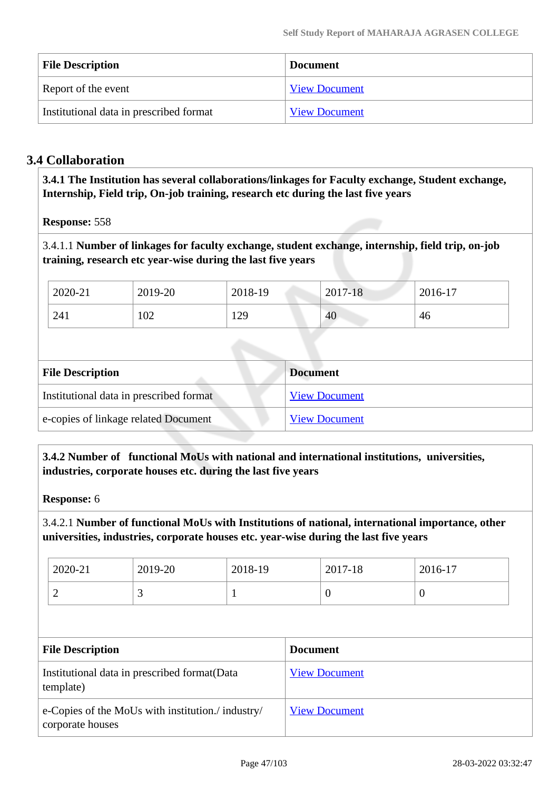| <b>File Description</b>                 | <b>Document</b>      |
|-----------------------------------------|----------------------|
| Report of the event                     | <b>View Document</b> |
| Institutional data in prescribed format | <b>View Document</b> |

## **3.4 Collaboration**

 **3.4.1 The Institution has several collaborations/linkages for Faculty exchange, Student exchange, Internship, Field trip, On-job training, research etc during the last five years** 

**Response:** 558

3.4.1.1 **Number of linkages for faculty exchange, student exchange, internship, field trip, on-job training, research etc year-wise during the last five years**

| 2020-21 | 2019-20 | 2018-19 | 2017-18 | 2016-17 |
|---------|---------|---------|---------|---------|
| 241     | 102     | 129     | 40      | 46      |

| <b>File Description</b>                 | <b>Document</b>      |
|-----------------------------------------|----------------------|
| Institutional data in prescribed format | <b>View Document</b> |
| e-copies of linkage related Document    | <b>View Document</b> |

 **3.4.2 Number of functional MoUs with national and international institutions, universities, industries, corporate houses etc. during the last five years**

**Response:** 6

3.4.2.1 **Number of functional MoUs with Institutions of national, international importance, other universities, industries, corporate houses etc. year-wise during the last five years**

| 2020-21 | 2019-20  | 2018-19 | 2017-18 | 2016-17 |
|---------|----------|---------|---------|---------|
| ∼       | <u>ب</u> |         | v       | U       |

| <b>File Description</b>                                               | <b>Document</b>      |
|-----------------------------------------------------------------------|----------------------|
| Institutional data in prescribed format (Data<br>template)            | <b>View Document</b> |
| e-Copies of the MoUs with institution./ industry/<br>corporate houses | <b>View Document</b> |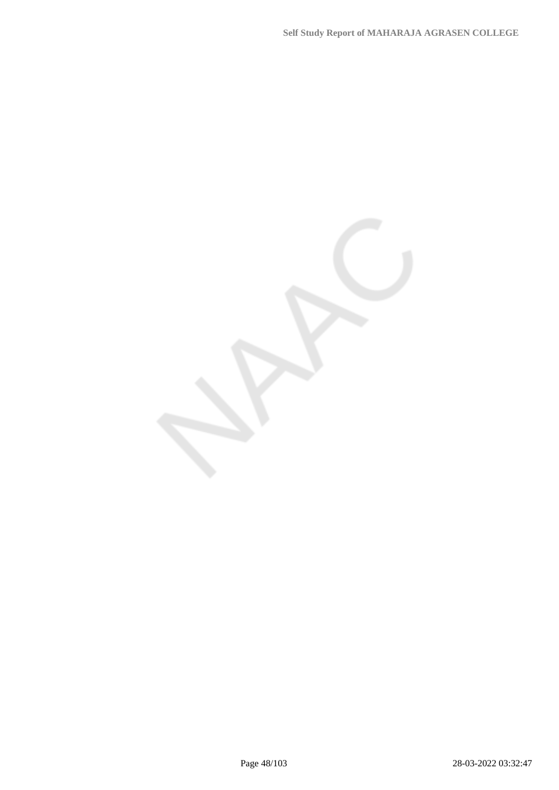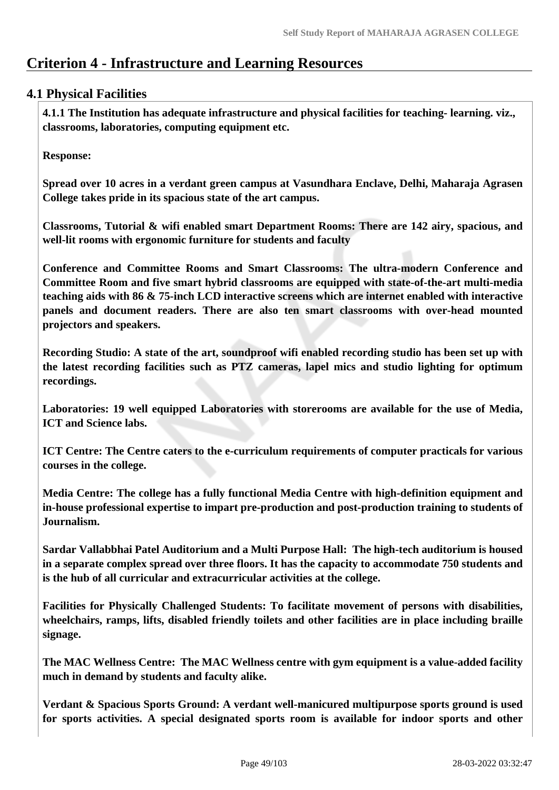# **Criterion 4 - Infrastructure and Learning Resources**

# **4.1 Physical Facilities**

 **4.1.1 The Institution has adequate infrastructure and physical facilities for teaching- learning. viz., classrooms, laboratories, computing equipment etc.** 

**Response:** 

**Spread over 10 acres in a verdant green campus at Vasundhara Enclave, Delhi, Maharaja Agrasen College takes pride in its spacious state of the art campus.** 

**Classrooms, Tutorial & wifi enabled smart Department Rooms: There are 142 airy, spacious, and well-lit rooms with ergonomic furniture for students and faculty**

**Conference and Committee Rooms and Smart Classrooms: The ultra-modern Conference and Committee Room and five smart hybrid classrooms are equipped with state-of-the-art multi-media teaching aids with 86 & 75-inch LCD interactive screens which are internet enabled with interactive panels and document readers. There are also ten smart classrooms with over-head mounted projectors and speakers.**

**Recording Studio: A state of the art, soundproof wifi enabled recording studio has been set up with the latest recording facilities such as PTZ cameras, lapel mics and studio lighting for optimum recordings.** 

**Laboratories: 19 well equipped Laboratories with storerooms are available for the use of Media, ICT and Science labs.** 

**ICT Centre: The Centre caters to the e-curriculum requirements of computer practicals for various courses in the college.**

**Media Centre: The college has a fully functional Media Centre with high-definition equipment and in-house professional expertise to impart pre-production and post-production training to students of Journalism.** 

**Sardar Vallabbhai Patel Auditorium and a Multi Purpose Hall: The high-tech auditorium is housed in a separate complex spread over three floors. It has the capacity to accommodate 750 students and is the hub of all curricular and extracurricular activities at the college.** 

**Facilities for Physically Challenged Students: To facilitate movement of persons with disabilities, wheelchairs, ramps, lifts, disabled friendly toilets and other facilities are in place including braille signage.**

**The MAC Wellness Centre: The MAC Wellness centre with gym equipment is a value-added facility much in demand by students and faculty alike.** 

**Verdant & Spacious Sports Ground: A verdant well-manicured multipurpose sports ground is used for sports activities. A special designated sports room is available for indoor sports and other**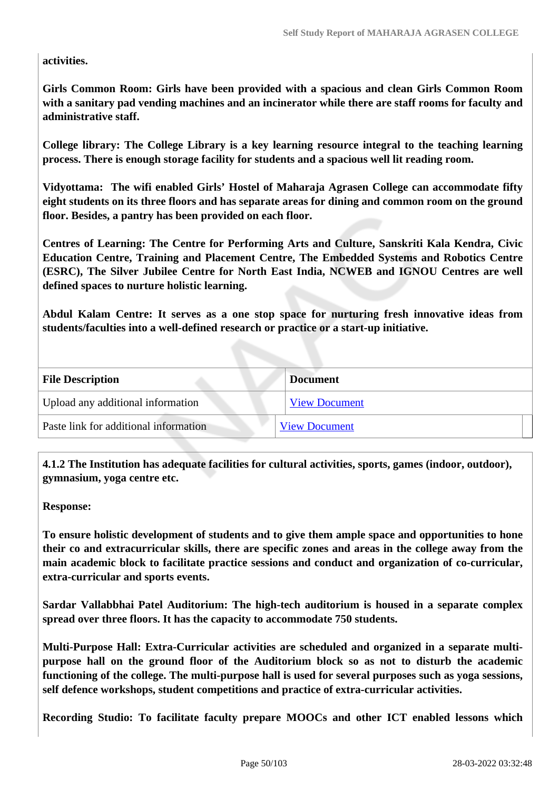**activities.** 

**Girls Common Room: Girls have been provided with a spacious and clean Girls Common Room with a sanitary pad vending machines and an incinerator while there are staff rooms for faculty and administrative staff.**

**College library: The College Library is a key learning resource integral to the teaching learning process. There is enough storage facility for students and a spacious well lit reading room.** 

**Vidyottama: The wifi enabled Girls' Hostel of Maharaja Agrasen College can accommodate fifty eight students on its three floors and has separate areas for dining and common room on the ground floor. Besides, a pantry has been provided on each floor.**

**Centres of Learning: The Centre for Performing Arts and Culture, Sanskriti Kala Kendra, Civic Education Centre, Training and Placement Centre, The Embedded Systems and Robotics Centre (ESRC), The Silver Jubilee Centre for North East India, NCWEB and IGNOU Centres are well defined spaces to nurture holistic learning.**

**Abdul Kalam Centre: It serves as a one stop space for nurturing fresh innovative ideas from students/faculties into a well-defined research or practice or a start-up initiative.** 

| <b>File Description</b>               | <b>Document</b>      |
|---------------------------------------|----------------------|
| Upload any additional information     | <b>View Document</b> |
| Paste link for additional information | <b>View Document</b> |

 **4.1.2 The Institution has adequate facilities for cultural activities, sports, games (indoor, outdoor), gymnasium, yoga centre etc.** 

**Response:** 

**To ensure holistic development of students and to give them ample space and opportunities to hone their co and extracurricular skills, there are specific zones and areas in the college away from the main academic block to facilitate practice sessions and conduct and organization of co-curricular, extra-curricular and sports events.**

**Sardar Vallabbhai Patel Auditorium: The high-tech auditorium is housed in a separate complex spread over three floors. It has the capacity to accommodate 750 students.** 

**Multi-Purpose Hall: Extra-Curricular activities are scheduled and organized in a separate multipurpose hall on the ground floor of the Auditorium block so as not to disturb the academic functioning of the college. The multi-purpose hall is used for several purposes such as yoga sessions, self defence workshops, student competitions and practice of extra-curricular activities.** 

**Recording Studio: To facilitate faculty prepare MOOCs and other ICT enabled lessons which**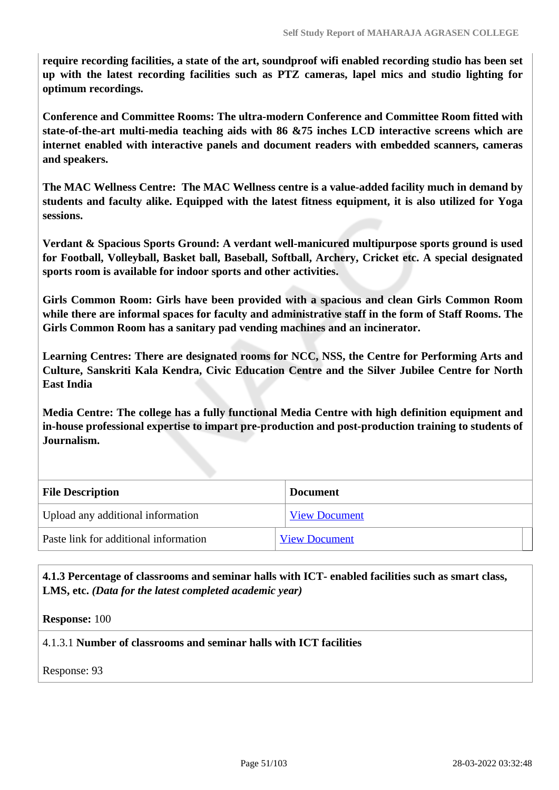**require recording facilities, a state of the art, soundproof wifi enabled recording studio has been set up with the latest recording facilities such as PTZ cameras, lapel mics and studio lighting for optimum recordings.** 

**Conference and Committee Rooms: The ultra-modern Conference and Committee Room fitted with state-of-the-art multi-media teaching aids with 86 &75 inches LCD interactive screens which are internet enabled with interactive panels and document readers with embedded scanners, cameras and speakers.** 

**The MAC Wellness Centre: The MAC Wellness centre is a value-added facility much in demand by students and faculty alike. Equipped with the latest fitness equipment, it is also utilized for Yoga sessions.** 

**Verdant & Spacious Sports Ground: A verdant well-manicured multipurpose sports ground is used for Football, Volleyball, Basket ball, Baseball, Softball, Archery, Cricket etc. A special designated sports room is available for indoor sports and other activities.** 

**Girls Common Room: Girls have been provided with a spacious and clean Girls Common Room while there are informal spaces for faculty and administrative staff in the form of Staff Rooms. The Girls Common Room has a sanitary pad vending machines and an incinerator.**

**Learning Centres: There are designated rooms for NCC, NSS, the Centre for Performing Arts and Culture, Sanskriti Kala Kendra, Civic Education Centre and the Silver Jubilee Centre for North East India** 

**Media Centre: The college has a fully functional Media Centre with high definition equipment and in-house professional expertise to impart pre-production and post-production training to students of Journalism.** 

| <b>File Description</b>               | <b>Document</b>      |
|---------------------------------------|----------------------|
| Upload any additional information     | <b>View Document</b> |
| Paste link for additional information | <b>View Document</b> |

 **4.1.3 Percentage of classrooms and seminar halls with ICT- enabled facilities such as smart class, LMS, etc.** *(Data for the latest completed academic year)*

**Response:** 100

4.1.3.1 **Number of classrooms and seminar halls with ICT facilities**

Response: 93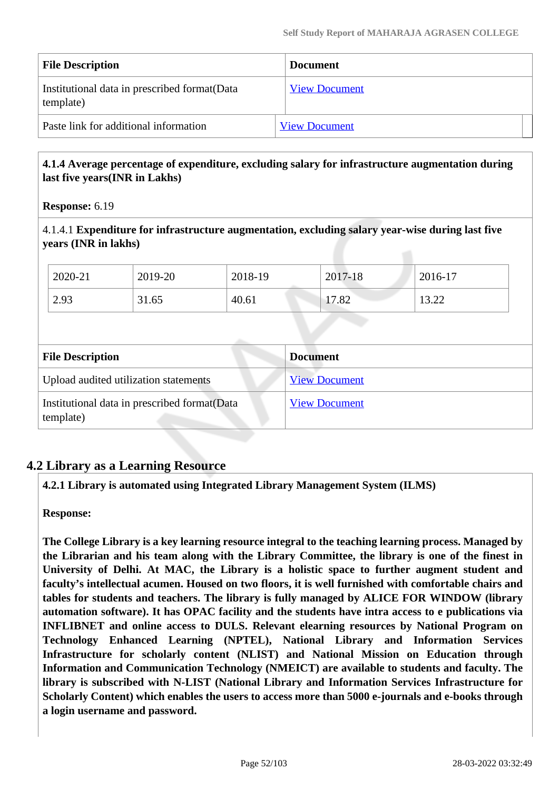| <b>File Description</b>                                    | <b>Document</b>      |
|------------------------------------------------------------|----------------------|
| Institutional data in prescribed format (Data<br>template) | <b>View Document</b> |
| Paste link for additional information                      | <b>View Document</b> |

### **4.1.4 Average percentage of expenditure, excluding salary for infrastructure augmentation during last five years(INR in Lakhs)**

| <b>Response: 6.19</b> |  |  |
|-----------------------|--|--|
|-----------------------|--|--|

4.1.4.1 **Expenditure for infrastructure augmentation, excluding salary year-wise during last five years (INR in lakhs)**

| 2020-21                               | 2019-20 | 2018-19 | 2017-18              | 2016-17 |  |
|---------------------------------------|---------|---------|----------------------|---------|--|
| 2.93                                  | 31.65   | 40.61   | 17.82                | 13.22   |  |
|                                       |         |         |                      |         |  |
|                                       |         |         |                      |         |  |
| <b>File Description</b>               |         |         | <b>Document</b>      |         |  |
| Upload audited utilization statements |         |         | <b>View Document</b> |         |  |

# **4.2 Library as a Learning Resource**

**4.2.1 Library is automated using Integrated Library Management System (ILMS)**

**Response:** 

**The College Library is a key learning resource integral to the teaching learning process. Managed by the Librarian and his team along with the Library Committee, the library is one of the finest in University of Delhi. At MAC, the Library is a holistic space to further augment student and faculty's intellectual acumen. Housed on two floors, it is well furnished with comfortable chairs and tables for students and teachers. The library is fully managed by ALICE FOR WINDOW (library automation software). It has OPAC facility and the students have intra access to e publications via INFLIBNET and online access to DULS. Relevant elearning resources by National Program on Technology Enhanced Learning (NPTEL), National Library and Information Services Infrastructure for scholarly content (NLIST) and National Mission on Education through Information and Communication Technology (NMEICT) are available to students and faculty. The library is subscribed with N-LIST (National Library and Information Services Infrastructure for Scholarly Content) which enables the users to access more than 5000 e-journals and e-books through a login username and password.**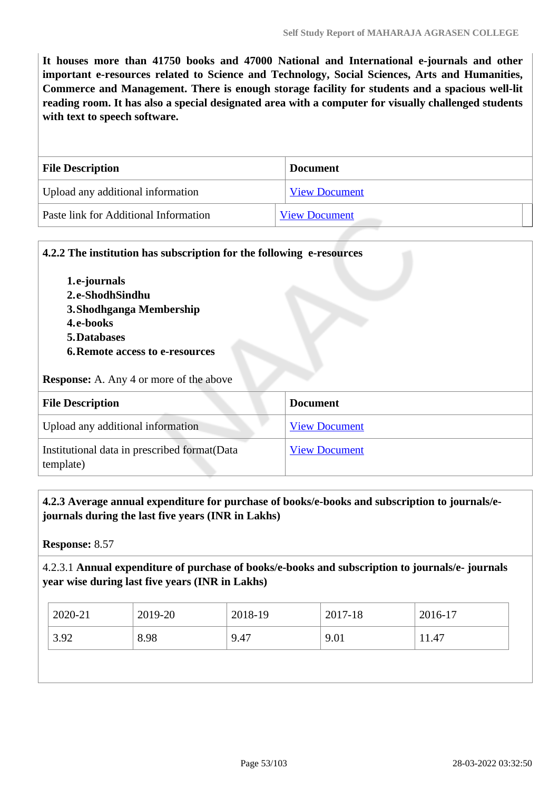**It houses more than 41750 books and 47000 National and International e-journals and other important e-resources related to Science and Technology, Social Sciences, Arts and Humanities, Commerce and Management. There is enough storage facility for students and a spacious well-lit reading room. It has also a special designated area with a computer for visually challenged students with text to speech software.** 

| <b>File Description</b>               | <b>Document</b>      |
|---------------------------------------|----------------------|
| Upload any additional information     | <b>View Document</b> |
| Paste link for Additional Information | <b>View Document</b> |

|                                                              | 4.2.2 The institution has subscription for the following e-resources |
|--------------------------------------------------------------|----------------------------------------------------------------------|
| 1.e-journals                                                 |                                                                      |
| 2.e-ShodhSindhu                                              |                                                                      |
| 3. Shodhganga Membership                                     |                                                                      |
| 4.e-books                                                    |                                                                      |
| <b>5. Databases</b>                                          |                                                                      |
| <b>6. Remote access to e-resources</b>                       |                                                                      |
|                                                              |                                                                      |
| <b>Response:</b> A. Any 4 or more of the above               |                                                                      |
|                                                              | <b>Document</b>                                                      |
| <b>File Description</b><br>Upload any additional information | <b>View Document</b>                                                 |

 **4.2.3 Average annual expenditure for purchase of books/e-books and subscription to journals/ejournals during the last five years (INR in Lakhs)** 

**Response:** 8.57

4.2.3.1 **Annual expenditure of purchase of books/e-books and subscription to journals/e- journals year wise during last five years (INR in Lakhs)**

| 2020-21 | 2019-20 | 2018-19 | 2017-18 | 2016-17 |
|---------|---------|---------|---------|---------|
| 3.92    | 8.98    | 9.47    | 9.01    | 11.47   |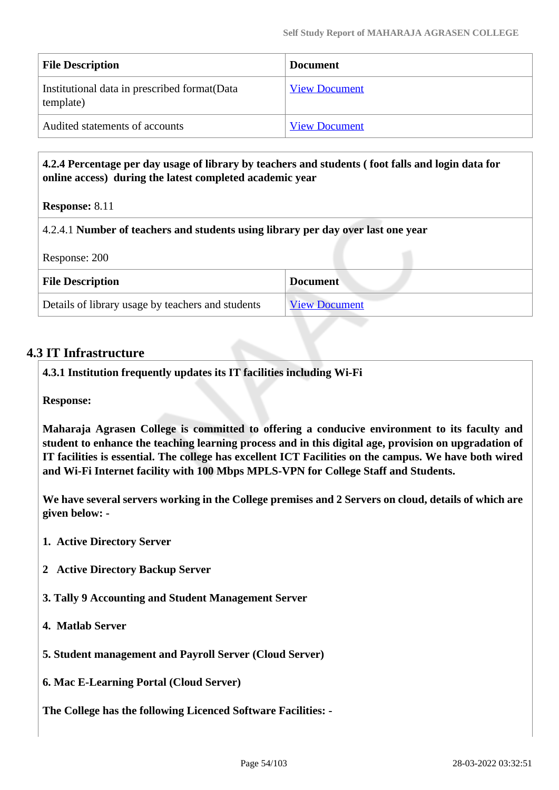| <b>File Description</b>                                    | <b>Document</b>      |
|------------------------------------------------------------|----------------------|
| Institutional data in prescribed format (Data<br>template) | <b>View Document</b> |
| Audited statements of accounts                             | <b>View Document</b> |

### **4.2.4 Percentage per day usage of library by teachers and students ( foot falls and login data for online access) during the latest completed academic year**

**Response:** 8.11

#### 4.2.4.1 **Number of teachers and students using library per day over last one year**

Response: 200

| <b>File Description</b>                           | <b>Document</b>      |  |
|---------------------------------------------------|----------------------|--|
| Details of library usage by teachers and students | <b>View Document</b> |  |

### **4.3 IT Infrastructure**

### **4.3.1 Institution frequently updates its IT facilities including Wi-Fi**

**Response:** 

**Maharaja Agrasen College is committed to offering a conducive environment to its faculty and student to enhance the teaching learning process and in this digital age, provision on upgradation of IT facilities is essential. The college has excellent ICT Facilities on the campus. We have both wired and Wi-Fi Internet facility with 100 Mbps MPLS-VPN for College Staff and Students.**

**We have several servers working in the College premises and 2 Servers on cloud, details of which are given below: -**

- **1. Active Directory Server**
- **2 Active Directory Backup Server**
- **3. Tally 9 Accounting and Student Management Server**
- **4. Matlab Server**
- **5. Student management and Payroll Server (Cloud Server)**

**6. Mac E-Learning Portal (Cloud Server)**

**The College has the following Licenced Software Facilities: -**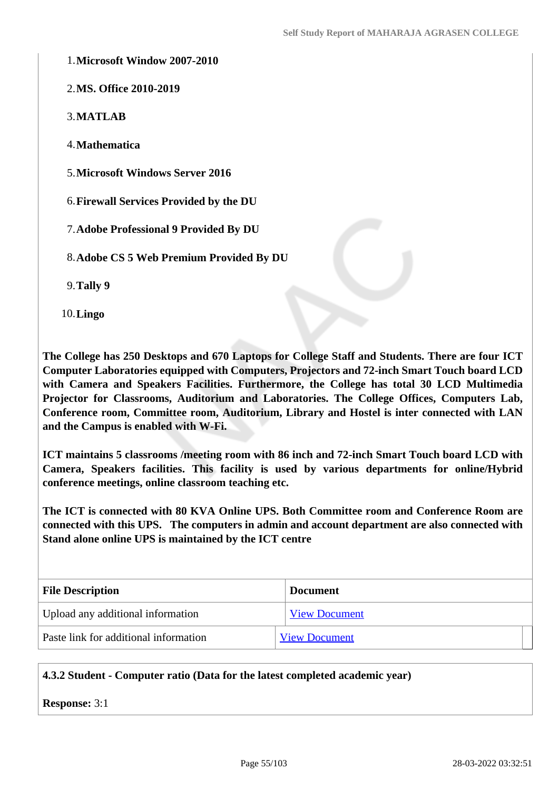1.**Microsoft Window 2007-2010**

2.**MS. Office 2010-2019**

3.**MATLAB**

4.**Mathematica**

5.**Microsoft Windows Server 2016** 

6.**Firewall Services Provided by the DU**

7.**Adobe Professional 9 Provided By DU**

8.**Adobe CS 5 Web Premium Provided By DU**

9.**Tally 9**

10.**Lingo**

**The College has 250 Desktops and 670 Laptops for College Staff and Students. There are four ICT Computer Laboratories equipped with Computers, Projectors and 72-inch Smart Touch board LCD with Camera and Speakers Facilities. Furthermore, the College has total 30 LCD Multimedia Projector for Classrooms, Auditorium and Laboratories. The College Offices, Computers Lab, Conference room, Committee room, Auditorium, Library and Hostel is inter connected with LAN and the Campus is enabled with W-Fi.**

**ICT maintains 5 classrooms /meeting room with 86 inch and 72-inch Smart Touch board LCD with Camera, Speakers facilities. This facility is used by various departments for online/Hybrid conference meetings, online classroom teaching etc.** 

**The ICT is connected with 80 KVA Online UPS. Both Committee room and Conference Room are connected with this UPS. The computers in admin and account department are also connected with Stand alone online UPS is maintained by the ICT centre**

| <b>File Description</b>               | <b>Document</b>      |
|---------------------------------------|----------------------|
| Upload any additional information     | <b>View Document</b> |
| Paste link for additional information | <b>View Document</b> |

**4.3.2 Student - Computer ratio (Data for the latest completed academic year)**

**Response:** 3:1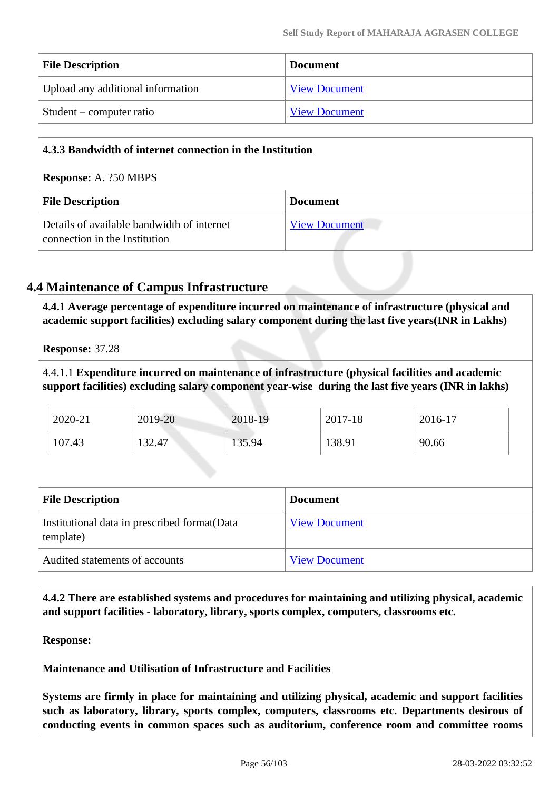| <b>File Description</b>           | <b>Document</b>      |
|-----------------------------------|----------------------|
| Upload any additional information | <b>View Document</b> |
| Student – computer ratio          | <b>View Document</b> |

| 4.3.3 Bandwidth of internet connection in the Institution                   |                      |
|-----------------------------------------------------------------------------|----------------------|
| <b>Response:</b> A. ?50 MBPS                                                |                      |
| <b>File Description</b><br><b>Document</b>                                  |                      |
| Details of available bandwidth of internet<br>connection in the Institution | <b>View Document</b> |

# **4.4 Maintenance of Campus Infrastructure**

 **4.4.1 Average percentage of expenditure incurred on maintenance of infrastructure (physical and academic support facilities) excluding salary component during the last five years(INR in Lakhs)**

**Response:** 37.28

4.4.1.1 **Expenditure incurred on maintenance of infrastructure (physical facilities and academic support facilities) excluding salary component year-wise during the last five years (INR in lakhs)**

| 2020-21 | 2019-20 | 2018-19 | 2017-18 | $2016-17$ |
|---------|---------|---------|---------|-----------|
| 107.43  | 132.47  | 135.94  | 138.91  | 90.66     |

| <b>File Description</b>                                    | <b>Document</b>      |
|------------------------------------------------------------|----------------------|
| Institutional data in prescribed format (Data<br>template) | <b>View Document</b> |
| Audited statements of accounts                             | <b>View Document</b> |

 **4.4.2 There are established systems and procedures for maintaining and utilizing physical, academic and support facilities - laboratory, library, sports complex, computers, classrooms etc.**

**Response:** 

**Maintenance and Utilisation of Infrastructure and Facilities**

**Systems are firmly in place for maintaining and utilizing physical, academic and support facilities such as laboratory, library, sports complex, computers, classrooms etc. Departments desirous of conducting events in common spaces such as auditorium, conference room and committee rooms**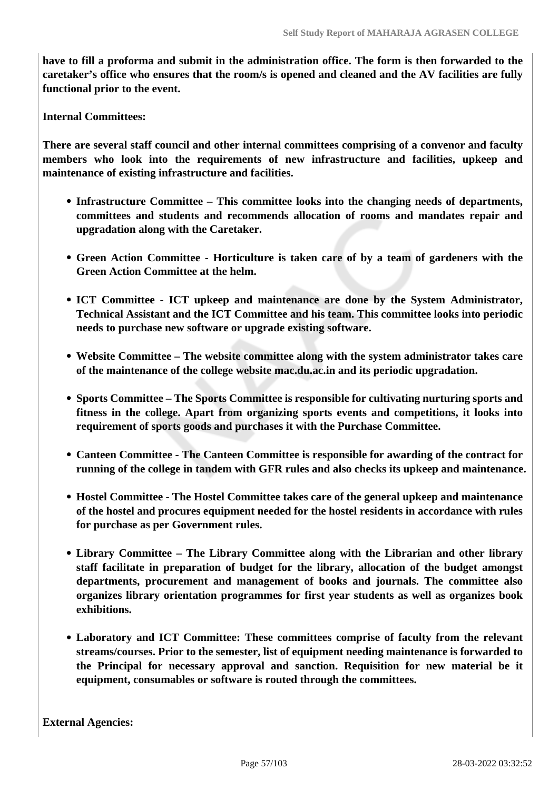**have to fill a proforma and submit in the administration office. The form is then forwarded to the caretaker's office who ensures that the room/s is opened and cleaned and the AV facilities are fully functional prior to the event.**

**Internal Committees:**

**There are several staff council and other internal committees comprising of a convenor and faculty members who look into the requirements of new infrastructure and facilities, upkeep and maintenance of existing infrastructure and facilities.** 

- **Infrastructure Committee This committee looks into the changing needs of departments, committees and students and recommends allocation of rooms and mandates repair and upgradation along with the Caretaker.**
- **Green Action Committee Horticulture is taken care of by a team of gardeners with the Green Action Committee at the helm.**
- **ICT Committee ICT upkeep and maintenance are done by the System Administrator, Technical Assistant and the ICT Committee and his team. This committee looks into periodic needs to purchase new software or upgrade existing software.**
- **Website Committee The website committee along with the system administrator takes care of the maintenance of the college website mac.du.ac.in and its periodic upgradation.**
- **Sports Committee The Sports Committee is responsible for cultivating nurturing sports and fitness in the college. Apart from organizing sports events and competitions, it looks into requirement of sports goods and purchases it with the Purchase Committee.**
- **Canteen Committee The Canteen Committee is responsible for awarding of the contract for running of the college in tandem with GFR rules and also checks its upkeep and maintenance.**
- **Hostel Committee The Hostel Committee takes care of the general upkeep and maintenance of the hostel and procures equipment needed for the hostel residents in accordance with rules for purchase as per Government rules.**
- **Library Committee The Library Committee along with the Librarian and other library staff facilitate in preparation of budget for the library, allocation of the budget amongst departments, procurement and management of books and journals. The committee also organizes library orientation programmes for first year students as well as organizes book exhibitions.**
- **Laboratory and ICT Committee: These committees comprise of faculty from the relevant streams/courses. Prior to the semester, list of equipment needing maintenance is forwarded to the Principal for necessary approval and sanction. Requisition for new material be it equipment, consumables or software is routed through the committees.**

**External Agencies:**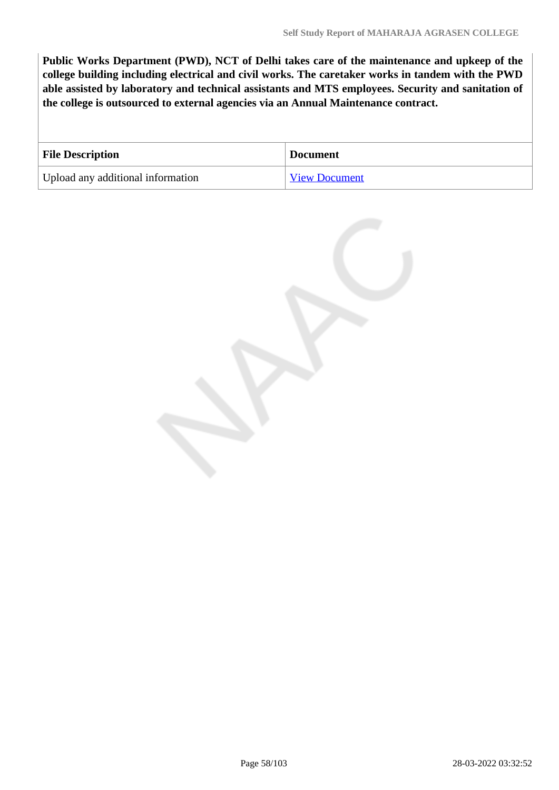**Public Works Department (PWD), NCT of Delhi takes care of the maintenance and upkeep of the college building including electrical and civil works. The caretaker works in tandem with the PWD able assisted by laboratory and technical assistants and MTS employees. Security and sanitation of the college is outsourced to external agencies via an Annual Maintenance contract.**

| <b>File Description</b>           | <b>Document</b> |
|-----------------------------------|-----------------|
| Upload any additional information | View Document   |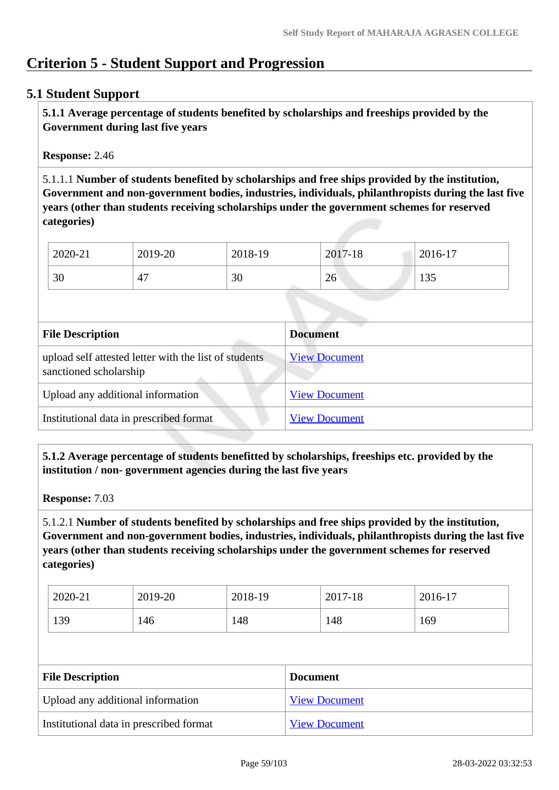# **Criterion 5 - Student Support and Progression**

### **5.1 Student Support**

 **5.1.1 Average percentage of students benefited by scholarships and freeships provided by the Government during last five years** 

**Response:** 2.46

5.1.1.1 **Number of students benefited by scholarships and free ships provided by the institution, Government and non-government bodies, industries, individuals, philanthropists during the last five years (other than students receiving scholarships under the government schemes for reserved categories)** 

| 2020-21 | 2019-20                        | 2018-19 | 2017-18 | 2016-17           |
|---------|--------------------------------|---------|---------|-------------------|
| 30      | $\overline{\phantom{0}}$<br>4, | 30      | 26      | $1 \cap F$<br>19J |

| <b>File Description</b>                                                         | <b>Document</b>      |
|---------------------------------------------------------------------------------|----------------------|
| upload self attested letter with the list of students<br>sanctioned scholarship | <b>View Document</b> |
| Upload any additional information                                               | <b>View Document</b> |
| Institutional data in prescribed format                                         | <b>View Document</b> |

 **5.1.2 Average percentage of students benefitted by scholarships, freeships etc. provided by the institution / non- government agencies during the last five years**

**Response:** 7.03

5.1.2.1 **Number of students benefited by scholarships and free ships provided by the institution, Government and non-government bodies, industries, individuals, philanthropists during the last five years (other than students receiving scholarships under the government schemes for reserved categories)** 

| 2020-21 | 2019-20 | 2018-19 | 2017-18 | 2016-17 |
|---------|---------|---------|---------|---------|
| 139     | 146     | 148     | 148     | 169     |

| <b>File Description</b>                 | <b>Document</b>      |
|-----------------------------------------|----------------------|
| Upload any additional information       | <b>View Document</b> |
| Institutional data in prescribed format | <b>View Document</b> |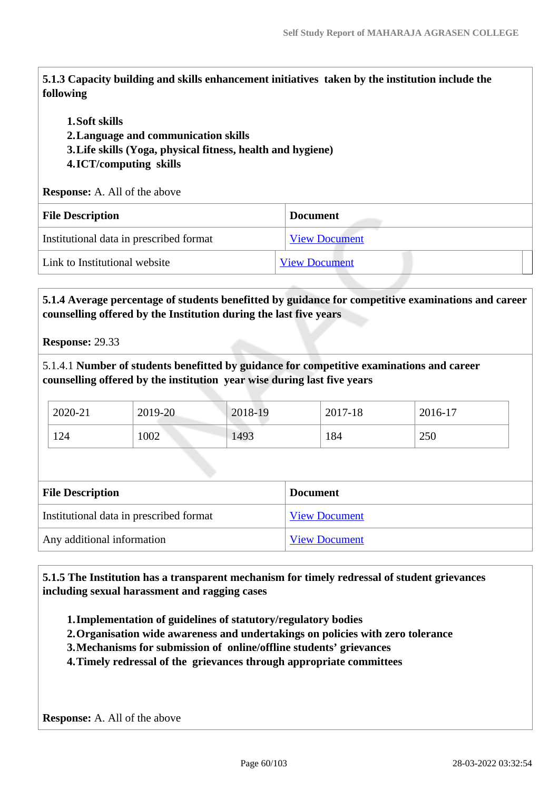**5.1.3 Capacity building and skills enhancement initiatives taken by the institution include the following**

### **1.Soft skills**

**2.Language and communication skills** 

**3.Life skills (Yoga, physical fitness, health and hygiene)**

### **4.ICT/computing skills**

**Response:** A. All of the above

| <b>File Description</b>                 | <b>Document</b>      |
|-----------------------------------------|----------------------|
| Institutional data in prescribed format | <b>View Document</b> |
| Link to Institutional website           | <b>View Document</b> |
|                                         |                      |

### **5.1.4 Average percentage of students benefitted by guidance for competitive examinations and career counselling offered by the Institution during the last five years**

**Response:** 29.33

5.1.4.1 **Number of students benefitted by guidance for competitive examinations and career counselling offered by the institution year wise during last five years**

| 2020-21 | 2019-20 | 2018-19 | 2017-18 | $2016 - 17$ |
|---------|---------|---------|---------|-------------|
| 124     | 1002    | 1493    | 184     | 250         |

| <b>File Description</b>                 | <b>Document</b>      |
|-----------------------------------------|----------------------|
| Institutional data in prescribed format | <b>View Document</b> |
| Any additional information              | <b>View Document</b> |

 **5.1.5 The Institution has a transparent mechanism for timely redressal of student grievances including sexual harassment and ragging cases**

- **1.Implementation of guidelines of statutory/regulatory bodies**
- **2.Organisation wide awareness and undertakings on policies with zero tolerance**
- **3.Mechanisms for submission of online/offline students' grievances**
- **4.Timely redressal of the grievances through appropriate committees**

**Response:** A. All of the above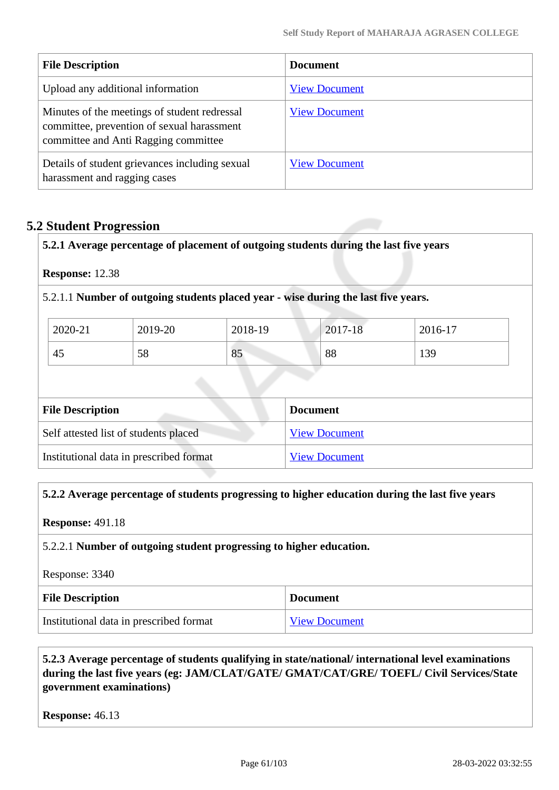| <b>File Description</b>                                                                                                            | <b>Document</b>      |
|------------------------------------------------------------------------------------------------------------------------------------|----------------------|
| Upload any additional information                                                                                                  | <b>View Document</b> |
| Minutes of the meetings of student redressal<br>committee, prevention of sexual harassment<br>committee and Anti Ragging committee | <b>View Document</b> |
| Details of student grievances including sexual<br>harassment and ragging cases                                                     | <b>View Document</b> |

### **5.2 Student Progression**

**5.2.1 Average percentage of placement of outgoing students during the last five years**

**Response:** 12.38

5.2.1.1 **Number of outgoing students placed year - wise during the last five years.**

| 2020-21 | 2019-20 | 2018-19        | 2017-18 | 2016-17 |
|---------|---------|----------------|---------|---------|
| 45      | 58      | $Q\leq$<br>OJ. | 88      | 139     |

| <b>File Description</b>                 | <b>Document</b>      |
|-----------------------------------------|----------------------|
| Self attested list of students placed   | <b>View Document</b> |
| Institutional data in prescribed format | <b>View Document</b> |

### **5.2.2 Average percentage of students progressing to higher education during the last five years**

**Response:** 491.18

#### 5.2.2.1 **Number of outgoing student progressing to higher education.**

| Response: 3340 |  |
|----------------|--|
|----------------|--|

| <b>File Description</b>                 | <b>Document</b>      |
|-----------------------------------------|----------------------|
| Institutional data in prescribed format | <b>View Document</b> |

### **5.2.3 Average percentage of students qualifying in state/national/ international level examinations during the last five years (eg: JAM/CLAT/GATE/ GMAT/CAT/GRE/ TOEFL/ Civil Services/State government examinations)**

**Response:** 46.13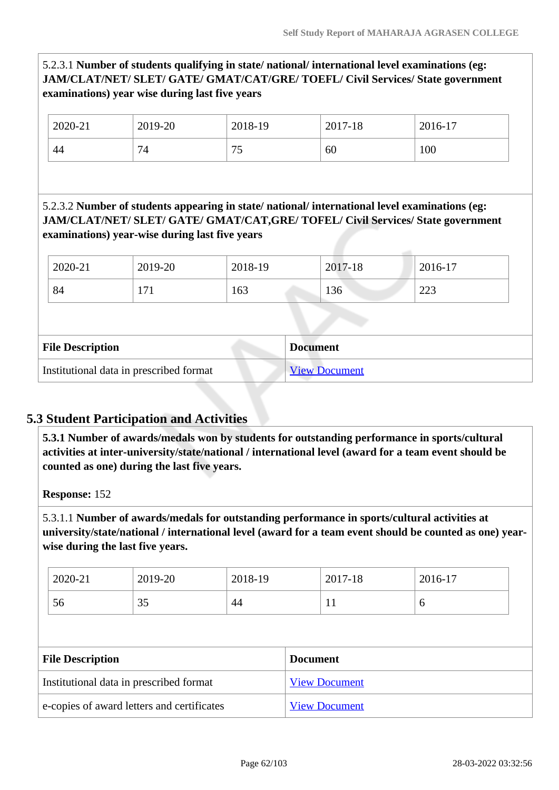# 5.2.3.1 **Number of students qualifying in state/ national/ international level examinations (eg: JAM/CLAT/NET/ SLET/ GATE/ GMAT/CAT/GRE/ TOEFL/ Civil Services/ State government examinations) year wise during last five years**

| 2020-21 | 2019-20              | 2018-19   | 2017-18 | 2016-17 |
|---------|----------------------|-----------|---------|---------|
| 44      | $\overline{ }$<br>74 | 75<br>ر ، | 60      | 100     |

5.2.3.2 **Number of students appearing in state/ national/ international level examinations (eg: JAM/CLAT/NET/ SLET/ GATE/ GMAT/CAT,GRE/ TOFEL/ Civil Services/ State government examinations) year-wise during last five years**

| 2020-21 | 2019-20 | 2018-19 | 2017-18 | 2016-17 |
|---------|---------|---------|---------|---------|
| 84      | 171     | 163     | 136     | 223     |

| <b>File Description</b>                 | <b>Document</b>      |
|-----------------------------------------|----------------------|
| Institutional data in prescribed format | <b>View Document</b> |

# **5.3 Student Participation and Activities**

 **5.3.1 Number of awards/medals won by students for outstanding performance in sports/cultural activities at inter-university/state/national / international level (award for a team event should be counted as one) during the last five years.**

**Response:** 152

5.3.1.1 **Number of awards/medals for outstanding performance in sports/cultural activities at university/state/national / international level (award for a team event should be counted as one) yearwise during the last five years.**

| 2020-21                                    | 2019-20 | 2018-19              | 2017-18 | 2016-17 |  |
|--------------------------------------------|---------|----------------------|---------|---------|--|
| 56                                         | 35      | 44                   | 11      | 6       |  |
|                                            |         |                      |         |         |  |
| <b>File Description</b><br><b>Document</b> |         |                      |         |         |  |
| Institutional data in prescribed format    |         | <b>View Document</b> |         |         |  |
| e-copies of award letters and certificates |         | <b>View Document</b> |         |         |  |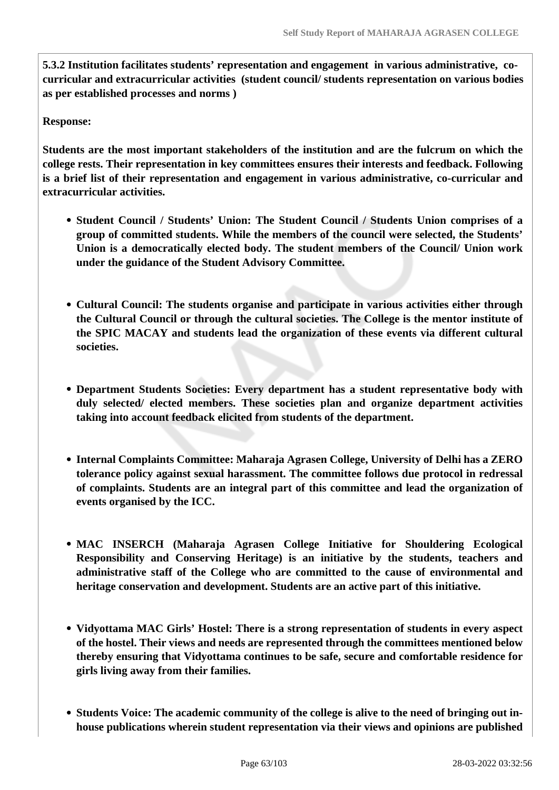**5.3.2 Institution facilitates students' representation and engagement in various administrative, cocurricular and extracurricular activities (student council/ students representation on various bodies as per established processes and norms )**

#### **Response:**

**Students are the most important stakeholders of the institution and are the fulcrum on which the college rests. Their representation in key committees ensures their interests and feedback. Following is a brief list of their representation and engagement in various administrative, co-curricular and extracurricular activities.**

- **Student Council / Students' Union: The Student Council / Students Union comprises of a group of committed students. While the members of the council were selected, the Students' Union is a democratically elected body. The student members of the Council/ Union work under the guidance of the Student Advisory Committee.**
- **Cultural Council: The students organise and participate in various activities either through the Cultural Council or through the cultural societies. The College is the mentor institute of the SPIC MACAY and students lead the organization of these events via different cultural societies.**
- **Department Students Societies: Every department has a student representative body with duly selected/ elected members. These societies plan and organize department activities taking into account feedback elicited from students of the department.**
- **Internal Complaints Committee: Maharaja Agrasen College, University of Delhi has a ZERO tolerance policy against sexual harassment. The committee follows due protocol in redressal of complaints. Students are an integral part of this committee and lead the organization of events organised by the ICC.**
- **MAC INSERCH (Maharaja Agrasen College Initiative for Shouldering Ecological Responsibility and Conserving Heritage) is an initiative by the students, teachers and administrative staff of the College who are committed to the cause of environmental and heritage conservation and development. Students are an active part of this initiative.**
- **Vidyottama MAC Girls' Hostel: There is a strong representation of students in every aspect of the hostel. Their views and needs are represented through the committees mentioned below thereby ensuring that Vidyottama continues to be safe, secure and comfortable residence for girls living away from their families.**
- **Students Voice: The academic community of the college is alive to the need of bringing out inhouse publications wherein student representation via their views and opinions are published**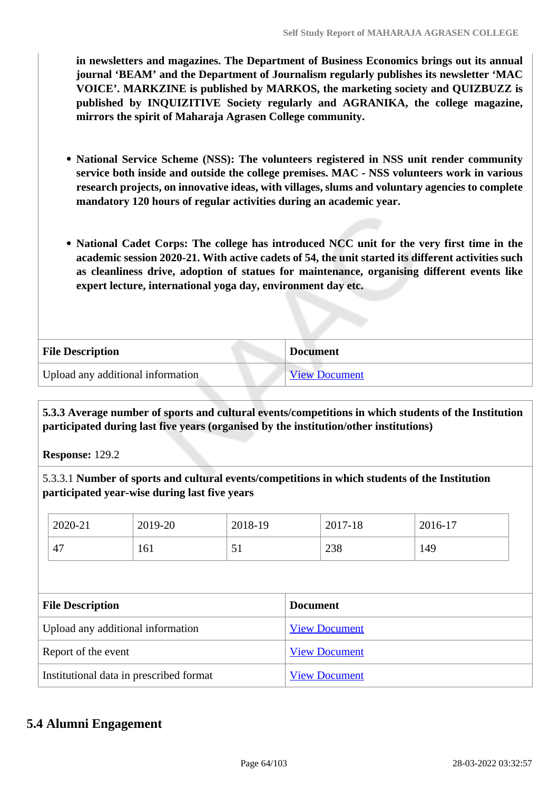**in newsletters and magazines. The Department of Business Economics brings out its annual journal 'BEAM' and the Department of Journalism regularly publishes its newsletter 'MAC VOICE'. MARKZINE is published by MARKOS, the marketing society and QUIZBUZZ is published by INQUIZITIVE Society regularly and AGRANIKA, the college magazine, mirrors the spirit of Maharaja Agrasen College community.** 

- **National Service Scheme (NSS): The volunteers registered in NSS unit render community service both inside and outside the college premises. MAC - NSS volunteers work in various research projects, on innovative ideas, with villages, slums and voluntary agencies to complete mandatory 120 hours of regular activities during an academic year.**
- **National Cadet Corps: The college has introduced NCC unit for the very first time in the academic session 2020-21. With active cadets of 54, the unit started its different activities such as cleanliness drive, adoption of statues for maintenance, organising different events like expert lecture, international yoga day, environment day etc.**

| <b>File Description</b>           | <b>Document</b>      |
|-----------------------------------|----------------------|
| Upload any additional information | <b>View Document</b> |

 **5.3.3 Average number of sports and cultural events/competitions in which students of the Institution participated during last five years (organised by the institution/other institutions)**

**Response:** 129.2

5.3.3.1 **Number of sports and cultural events/competitions in which students of the Institution participated year-wise during last five years**

|                         | 2020-21                           | 2019-20 | 2018-19         |  | 2017-18              | 2016-17 |  |
|-------------------------|-----------------------------------|---------|-----------------|--|----------------------|---------|--|
|                         | 47                                | 161     | 51              |  | 238                  | 149     |  |
|                         |                                   |         |                 |  |                      |         |  |
| <b>File Description</b> |                                   |         | <b>Document</b> |  |                      |         |  |
|                         |                                   |         |                 |  |                      |         |  |
|                         | Upload any additional information |         |                 |  | <b>View Document</b> |         |  |
|                         | Report of the event               |         |                 |  | <b>View Document</b> |         |  |

# **5.4 Alumni Engagement**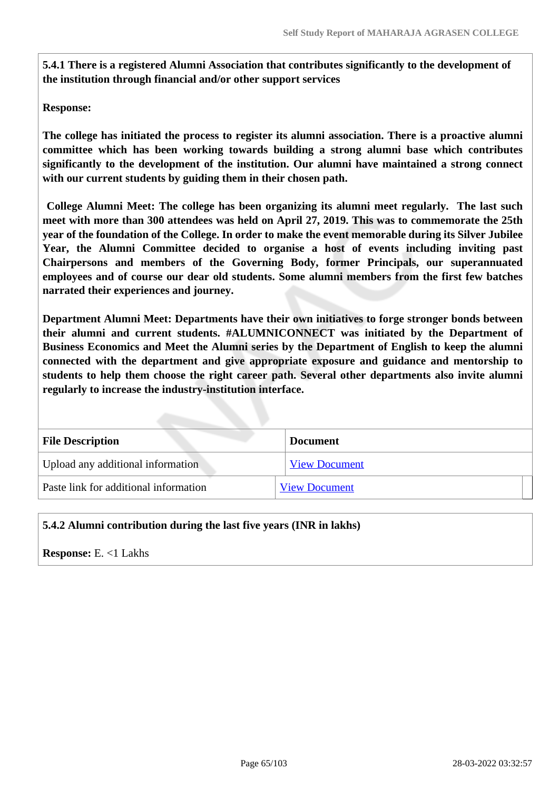**5.4.1 There is a registered Alumni Association that contributes significantly to the development of the institution through financial and/or other support services**

**Response:** 

**The college has initiated the process to register its alumni association. There is a proactive alumni committee which has been working towards building a strong alumni base which contributes significantly to the development of the institution. Our alumni have maintained a strong connect with our current students by guiding them in their chosen path.** 

 **College Alumni Meet: The college has been organizing its alumni meet regularly. The last such meet with more than 300 attendees was held on April 27, 2019. This was to commemorate the 25th year of the foundation of the College. In order to make the event memorable during its Silver Jubilee Year, the Alumni Committee decided to organise a host of events including inviting past Chairpersons and members of the Governing Body, former Principals, our superannuated employees and of course our dear old students. Some alumni members from the first few batches narrated their experiences and journey.**

**Department Alumni Meet: Departments have their own initiatives to forge stronger bonds between their alumni and current students. #ALUMNICONNECT was initiated by the Department of Business Economics and Meet the Alumni series by the Department of English to keep the alumni connected with the department and give appropriate exposure and guidance and mentorship to students to help them choose the right career path. Several other departments also invite alumni regularly to increase the industry-institution interface.**

| <b>File Description</b>               | <b>Document</b>      |
|---------------------------------------|----------------------|
| Upload any additional information     | <b>View Document</b> |
| Paste link for additional information | <b>View Document</b> |

### **5.4.2 Alumni contribution during the last five years (INR in lakhs)**

**Response:** E. <1 Lakhs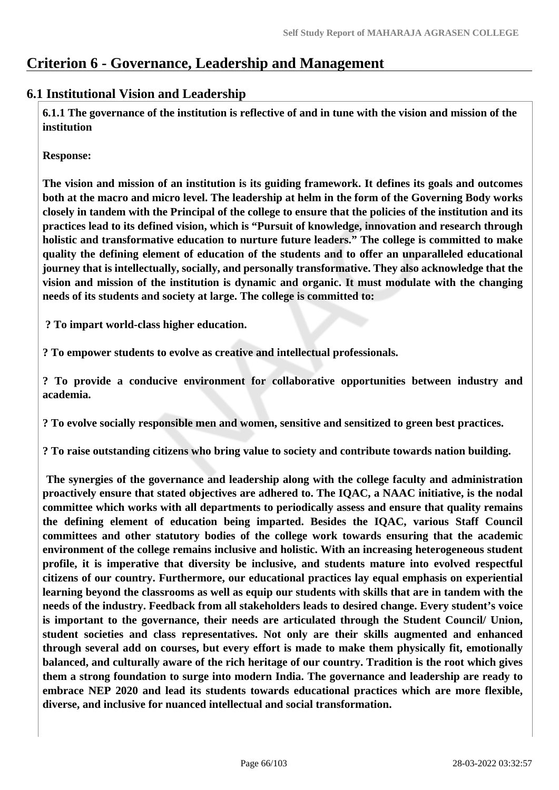# **Criterion 6 - Governance, Leadership and Management**

# **6.1 Institutional Vision and Leadership**

 **6.1.1 The governance of the institution is reflective of and in tune with the vision and mission of the institution**

**Response:** 

**The vision and mission of an institution is its guiding framework. It defines its goals and outcomes both at the macro and micro level. The leadership at helm in the form of the Governing Body works closely in tandem with the Principal of the college to ensure that the policies of the institution and its practices lead to its defined vision, which is "Pursuit of knowledge, innovation and research through holistic and transformative education to nurture future leaders." The college is committed to make quality the defining element of education of the students and to offer an unparalleled educational journey that is intellectually, socially, and personally transformative. They also acknowledge that the vision and mission of the institution is dynamic and organic. It must modulate with the changing needs of its students and society at large. The college is committed to:**

 **? To impart world-class higher education.**

**? To empower students to evolve as creative and intellectual professionals.**

**? To provide a conducive environment for collaborative opportunities between industry and academia.**

**? To evolve socially responsible men and women, sensitive and sensitized to green best practices.**

**? To raise outstanding citizens who bring value to society and contribute towards nation building.**

 **The synergies of the governance and leadership along with the college faculty and administration proactively ensure that stated objectives are adhered to. The IQAC, a NAAC initiative, is the nodal committee which works with all departments to periodically assess and ensure that quality remains the defining element of education being imparted. Besides the IQAC, various Staff Council committees and other statutory bodies of the college work towards ensuring that the academic environment of the college remains inclusive and holistic. With an increasing heterogeneous student profile, it is imperative that diversity be inclusive, and students mature into evolved respectful citizens of our country. Furthermore, our educational practices lay equal emphasis on experiential learning beyond the classrooms as well as equip our students with skills that are in tandem with the needs of the industry. Feedback from all stakeholders leads to desired change. Every student's voice is important to the governance, their needs are articulated through the Student Council/ Union, student societies and class representatives. Not only are their skills augmented and enhanced through several add on courses, but every effort is made to make them physically fit, emotionally balanced, and culturally aware of the rich heritage of our country. Tradition is the root which gives them a strong foundation to surge into modern India. The governance and leadership are ready to embrace NEP 2020 and lead its students towards educational practices which are more flexible, diverse, and inclusive for nuanced intellectual and social transformation.**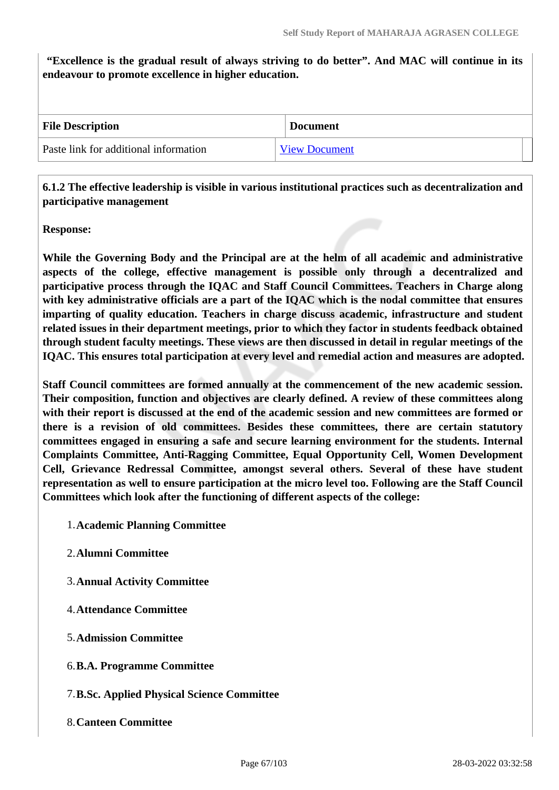**"Excellence is the gradual result of always striving to do better". And MAC will continue in its endeavour to promote excellence in higher education.**

| <b>File Description</b>               | <b>Document</b>      |
|---------------------------------------|----------------------|
| Paste link for additional information | <b>View Document</b> |

 **6.1.2 The effective leadership is visible in various institutional practices such as decentralization and participative management**

#### **Response:**

**While the Governing Body and the Principal are at the helm of all academic and administrative aspects of the college, effective management is possible only through a decentralized and participative process through the IQAC and Staff Council Committees. Teachers in Charge along with key administrative officials are a part of the IQAC which is the nodal committee that ensures imparting of quality education. Teachers in charge discuss academic, infrastructure and student related issues in their department meetings, prior to which they factor in students feedback obtained through student faculty meetings. These views are then discussed in detail in regular meetings of the IQAC. This ensures total participation at every level and remedial action and measures are adopted.**

**Staff Council committees are formed annually at the commencement of the new academic session. Their composition, function and objectives are clearly defined. A review of these committees along with their report is discussed at the end of the academic session and new committees are formed or there is a revision of old committees. Besides these committees, there are certain statutory committees engaged in ensuring a safe and secure learning environment for the students. Internal Complaints Committee, Anti-Ragging Committee, Equal Opportunity Cell, Women Development Cell, Grievance Redressal Committee, amongst several others. Several of these have student representation as well to ensure participation at the micro level too. Following are the Staff Council Committees which look after the functioning of different aspects of the college:** 

- 1.**Academic Planning Committee**
- 2.**Alumni Committee**
- 3.**Annual Activity Committee**
- 4.**Attendance Committee**
- 5.**Admission Committee**
- 6.**B.A. Programme Committee**
- 7.**B.Sc. Applied Physical Science Committee**
- 8.**Canteen Committee**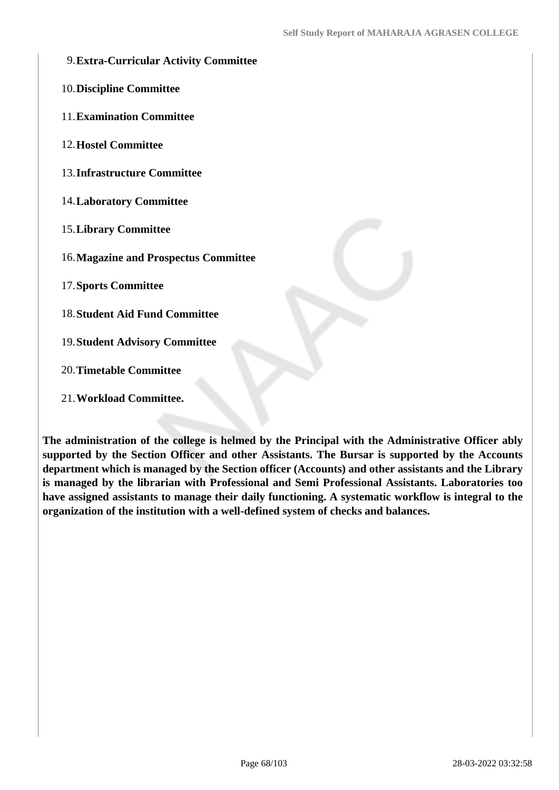9.**Extra-Curricular Activity Committee**

10.**Discipline Committee**

11.**Examination Committee**

12.**Hostel Committee**

13.**Infrastructure Committee**

14.**Laboratory Committee**

15.**Library Committee**

16.**Magazine and Prospectus Committee**

17.**Sports Committee**

18.**Student Aid Fund Committee**

19.**Student Advisory Committee**

20.**Timetable Committee**

#### 21.**Workload Committee.**

**The administration of the college is helmed by the Principal with the Administrative Officer ably supported by the Section Officer and other Assistants. The Bursar is supported by the Accounts department which is managed by the Section officer (Accounts) and other assistants and the Library is managed by the librarian with Professional and Semi Professional Assistants. Laboratories too have assigned assistants to manage their daily functioning. A systematic workflow is integral to the organization of the institution with a well-defined system of checks and balances.**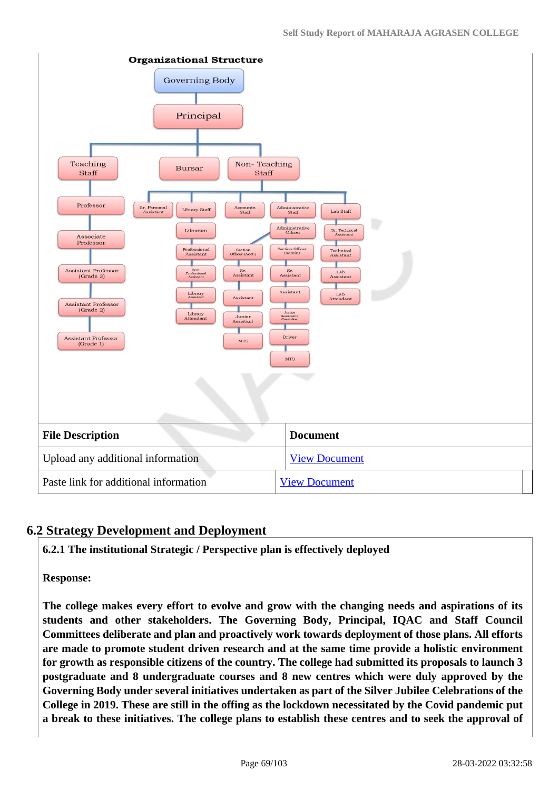

# **6.2 Strategy Development and Deployment**

**6.2.1 The institutional Strategic / Perspective plan is effectively deployed**

**Response:** 

**The college makes every effort to evolve and grow with the changing needs and aspirations of its students and other stakeholders. The Governing Body, Principal, IQAC and Staff Council Committees deliberate and plan and proactively work towards deployment of those plans. All efforts are made to promote student driven research and at the same time provide a holistic environment for growth as responsible citizens of the country. The college had submitted its proposals to launch 3 postgraduate and 8 undergraduate courses and 8 new centres which were duly approved by the Governing Body under several initiatives undertaken as part of the Silver Jubilee Celebrations of the College in 2019. These are still in the offing as the lockdown necessitated by the Covid pandemic put a break to these initiatives. The college plans to establish these centres and to seek the approval of**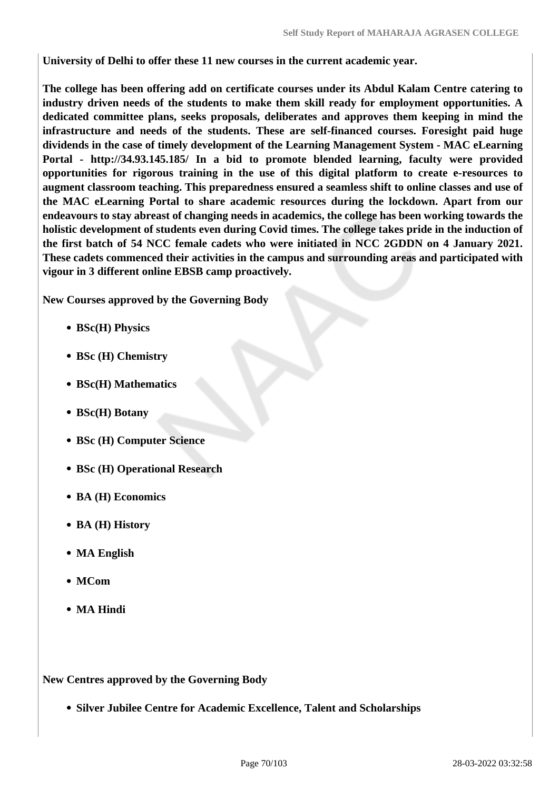**University of Delhi to offer these 11 new courses in the current academic year.**

**The college has been offering add on certificate courses under its Abdul Kalam Centre catering to industry driven needs of the students to make them skill ready for employment opportunities. A dedicated committee plans, seeks proposals, deliberates and approves them keeping in mind the infrastructure and needs of the students. These are self-financed courses. Foresight paid huge dividends in the case of timely development of the Learning Management System - MAC eLearning Portal - http://34.93.145.185/ In a bid to promote blended learning, faculty were provided opportunities for rigorous training in the use of this digital platform to create e-resources to augment classroom teaching. This preparedness ensured a seamless shift to online classes and use of the MAC eLearning Portal to share academic resources during the lockdown. Apart from our endeavours to stay abreast of changing needs in academics, the college has been working towards the holistic development of students even during Covid times. The college takes pride in the induction of the first batch of 54 NCC female cadets who were initiated in NCC 2GDDN on 4 January 2021. These cadets commenced their activities in the campus and surrounding areas and participated with vigour in 3 different online EBSB camp proactively.**

**New Courses approved by the Governing Body**

- **BSc(H) Physics**
- **BSc (H) Chemistry**
- **BSc(H) Mathematics**
- **BSc(H) Botany**
- **BSc (H) Computer Science**
- **BSc (H) Operational Research**
- **BA (H) Economics**
- **BA (H) History**
- **MA English**
- **MCom**
- **MA Hindi**

**New Centres approved by the Governing Body** 

**Silver Jubilee Centre for Academic Excellence, Talent and Scholarships**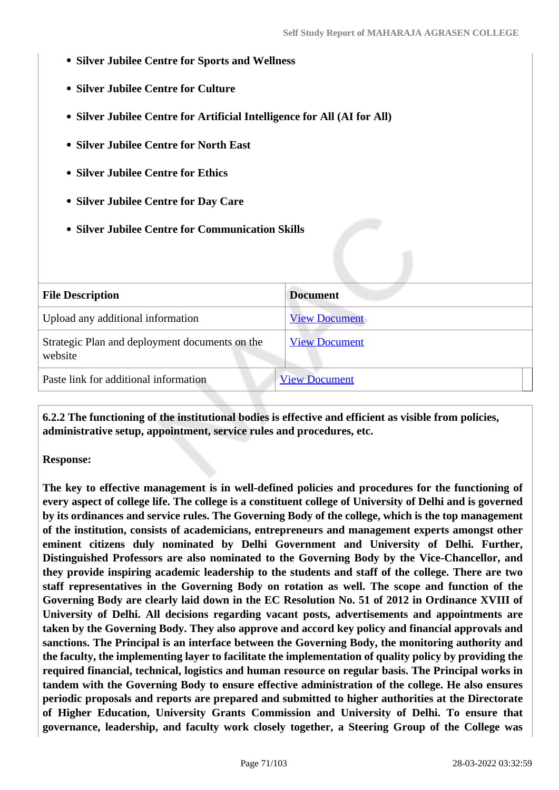- **Silver Jubilee Centre for Sports and Wellness**
- **Silver Jubilee Centre for Culture**
- **Silver Jubilee Centre for Artificial Intelligence for All (AI for All)**
- **Silver Jubilee Centre for North East**
- **Silver Jubilee Centre for Ethics**
- **Silver Jubilee Centre for Day Care**
- **Silver Jubilee Centre for Communication Skills**

| <b>File Description</b>                                   | <b>Document</b>      |
|-----------------------------------------------------------|----------------------|
| Upload any additional information                         | <b>View Document</b> |
| Strategic Plan and deployment documents on the<br>website | <b>View Document</b> |
| Paste link for additional information                     | <b>View Document</b> |

 **6.2.2 The functioning of the institutional bodies is effective and efficient as visible from policies, administrative setup, appointment, service rules and procedures, etc.**

#### **Response:**

**The key to effective management is in well-defined policies and procedures for the functioning of every aspect of college life. The college is a constituent college of University of Delhi and is governed by its ordinances and service rules. The Governing Body of the college, which is the top management of the institution, consists of academicians, entrepreneurs and management experts amongst other eminent citizens duly nominated by Delhi Government and University of Delhi. Further, Distinguished Professors are also nominated to the Governing Body by the Vice-Chancellor, and they provide inspiring academic leadership to the students and staff of the college. There are two staff representatives in the Governing Body on rotation as well. The scope and function of the Governing Body are clearly laid down in the EC Resolution No. 51 of 2012 in Ordinance XVIII of University of Delhi. All decisions regarding vacant posts, advertisements and appointments are taken by the Governing Body. They also approve and accord key policy and financial approvals and sanctions. The Principal is an interface between the Governing Body, the monitoring authority and the faculty, the implementing layer to facilitate the implementation of quality policy by providing the required financial, technical, logistics and human resource on regular basis. The Principal works in tandem with the Governing Body to ensure effective administration of the college. He also ensures periodic proposals and reports are prepared and submitted to higher authorities at the Directorate of Higher Education, University Grants Commission and University of Delhi. To ensure that governance, leadership, and faculty work closely together, a Steering Group of the College was**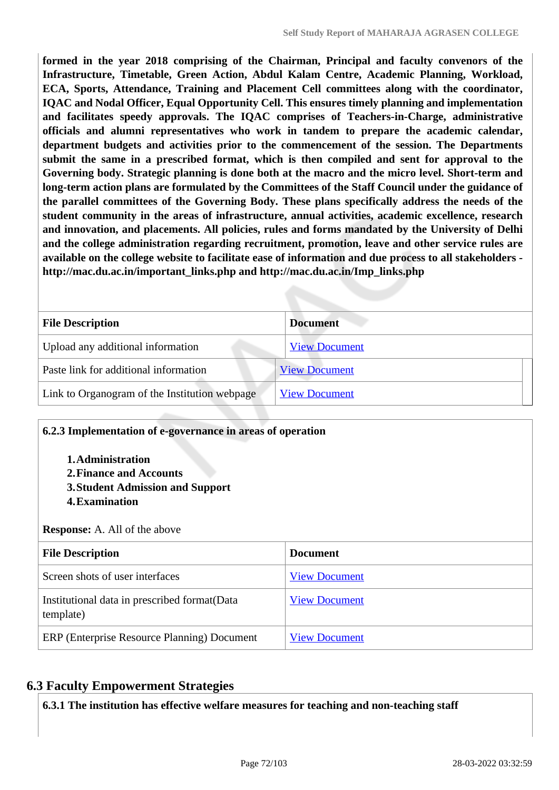**formed in the year 2018 comprising of the Chairman, Principal and faculty convenors of the Infrastructure, Timetable, Green Action, Abdul Kalam Centre, Academic Planning, Workload, ECA, Sports, Attendance, Training and Placement Cell committees along with the coordinator, IQAC and Nodal Officer, Equal Opportunity Cell. This ensures timely planning and implementation and facilitates speedy approvals. The IQAC comprises of Teachers-in-Charge, administrative officials and alumni representatives who work in tandem to prepare the academic calendar, department budgets and activities prior to the commencement of the session. The Departments submit the same in a prescribed format, which is then compiled and sent for approval to the Governing body. Strategic planning is done both at the macro and the micro level. Short-term and long-term action plans are formulated by the Committees of the Staff Council under the guidance of the parallel committees of the Governing Body. These plans specifically address the needs of the student community in the areas of infrastructure, annual activities, academic excellence, research and innovation, and placements. All policies, rules and forms mandated by the University of Delhi and the college administration regarding recruitment, promotion, leave and other service rules are available on the college website to facilitate ease of information and due process to all stakeholders http://mac.du.ac.in/important\_links.php and http://mac.du.ac.in/Imp\_links.php**

| <b>File Description</b>                       | <b>Document</b>      |
|-----------------------------------------------|----------------------|
| Upload any additional information             | <b>View Document</b> |
| Paste link for additional information         | <b>View Document</b> |
| Link to Organogram of the Institution webpage | <b>View Document</b> |

#### **6.2.3 Implementation of e-governance in areas of operation**

- **1.Administration**
- **2.Finance and Accounts**
- **3.Student Admission and Support**
- **4.Examination**

#### **Response:** A. All of the above

| <b>File Description</b>                                    | <b>Document</b>      |
|------------------------------------------------------------|----------------------|
| Screen shots of user interfaces                            | <b>View Document</b> |
| Institutional data in prescribed format (Data<br>template) | <b>View Document</b> |
| ERP (Enterprise Resource Planning) Document                | <b>View Document</b> |

### **6.3 Faculty Empowerment Strategies**

**6.3.1 The institution has effective welfare measures for teaching and non-teaching staff**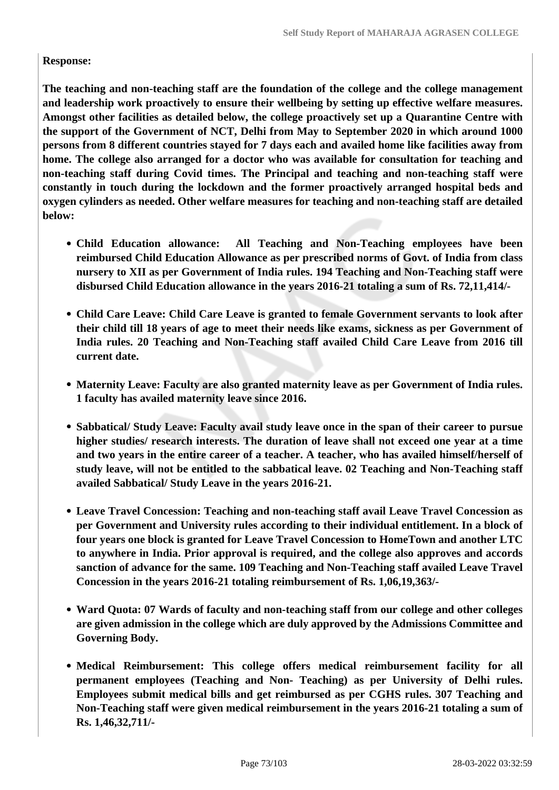## **Response:**

**The teaching and non-teaching staff are the foundation of the college and the college management and leadership work proactively to ensure their wellbeing by setting up effective welfare measures. Amongst other facilities as detailed below, the college proactively set up a Quarantine Centre with the support of the Government of NCT, Delhi from May to September 2020 in which around 1000 persons from 8 different countries stayed for 7 days each and availed home like facilities away from home. The college also arranged for a doctor who was available for consultation for teaching and non-teaching staff during Covid times. The Principal and teaching and non-teaching staff were constantly in touch during the lockdown and the former proactively arranged hospital beds and oxygen cylinders as needed. Other welfare measures for teaching and non-teaching staff are detailed below:**

- **Child Education allowance: All Teaching and Non-Teaching employees have been reimbursed Child Education Allowance as per prescribed norms of Govt. of India from class nursery to XII as per Government of India rules. 194 Teaching and Non-Teaching staff were disbursed Child Education allowance in the years 2016-21 totaling a sum of Rs. 72,11,414/-**
- **Child Care Leave: Child Care Leave is granted to female Government servants to look after their child till 18 years of age to meet their needs like exams, sickness as per Government of India rules. 20 Teaching and Non-Teaching staff availed Child Care Leave from 2016 till current date.**
- **Maternity Leave: Faculty are also granted maternity leave as per Government of India rules. 1 faculty has availed maternity leave since 2016.**
- **Sabbatical/ Study Leave: Faculty avail study leave once in the span of their career to pursue higher studies/ research interests. The duration of leave shall not exceed one year at a time and two years in the entire career of a teacher. A teacher, who has availed himself/herself of study leave, will not be entitled to the sabbatical leave. 02 Teaching and Non-Teaching staff availed Sabbatical/ Study Leave in the years 2016-21.**
- **Leave Travel Concession: Teaching and non-teaching staff avail Leave Travel Concession as per Government and University rules according to their individual entitlement. In a block of four years one block is granted for Leave Travel Concession to HomeTown and another LTC to anywhere in India. Prior approval is required, and the college also approves and accords sanction of advance for the same. 109 Teaching and Non-Teaching staff availed Leave Travel Concession in the years 2016-21 totaling reimbursement of Rs. 1,06,19,363/-**
- **Ward Quota: 07 Wards of faculty and non-teaching staff from our college and other colleges are given admission in the college which are duly approved by the Admissions Committee and Governing Body.**
- **Medical Reimbursement: This college offers medical reimbursement facility for all permanent employees (Teaching and Non- Teaching) as per University of Delhi rules. Employees submit medical bills and get reimbursed as per CGHS rules. 307 Teaching and Non-Teaching staff were given medical reimbursement in the years 2016-21 totaling a sum of Rs. 1,46,32,711/-**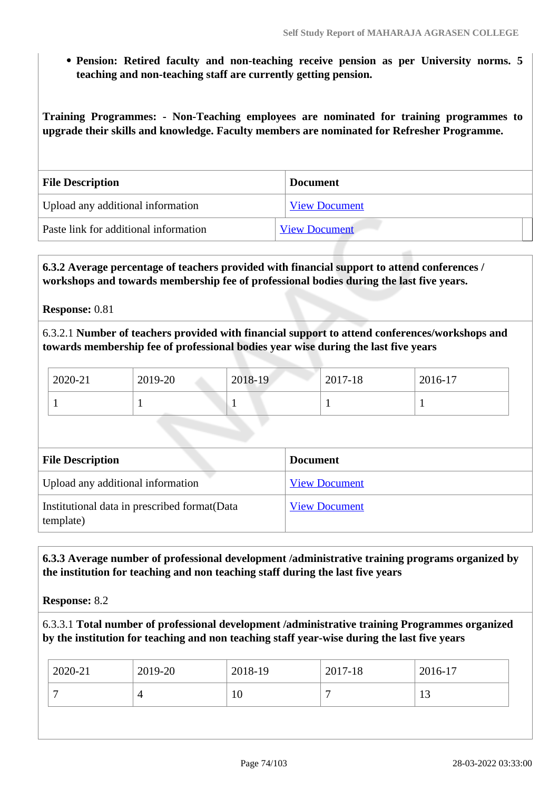**Pension: Retired faculty and non-teaching receive pension as per University norms. 5 teaching and non-teaching staff are currently getting pension.**

**Training Programmes: - Non-Teaching employees are nominated for training programmes to upgrade their skills and knowledge. Faculty members are nominated for Refresher Programme.**

| <b>File Description</b>               | <b>Document</b>      |
|---------------------------------------|----------------------|
| Upload any additional information     | <b>View Document</b> |
| Paste link for additional information | <b>View Document</b> |

 **6.3.2 Average percentage of teachers provided with financial support to attend conferences / workshops and towards membership fee of professional bodies during the last five years.**

**Response:** 0.81

6.3.2.1 **Number of teachers provided with financial support to attend conferences/workshops and towards membership fee of professional bodies year wise during the last five years**

| 2020-21 | 2019-20 | 2018-19 | 2017-18 | 2016-17 |
|---------|---------|---------|---------|---------|
|         |         |         |         |         |

| <b>File Description</b>                                    | <b>Document</b>      |
|------------------------------------------------------------|----------------------|
| Upload any additional information                          | <b>View Document</b> |
| Institutional data in prescribed format (Data<br>template) | <b>View Document</b> |

 **6.3.3 Average number of professional development /administrative training programs organized by the institution for teaching and non teaching staff during the last five years**

**Response:** 8.2

6.3.3.1 **Total number of professional development /administrative training Programmes organized by the institution for teaching and non teaching staff year-wise during the last five years**

| 1 <sub>2</sub><br>10<br>⊥ J | 2020-21 | 2019-20 | 2018-19 | 2017-18 | 2016-17 |
|-----------------------------|---------|---------|---------|---------|---------|
|                             |         |         |         |         |         |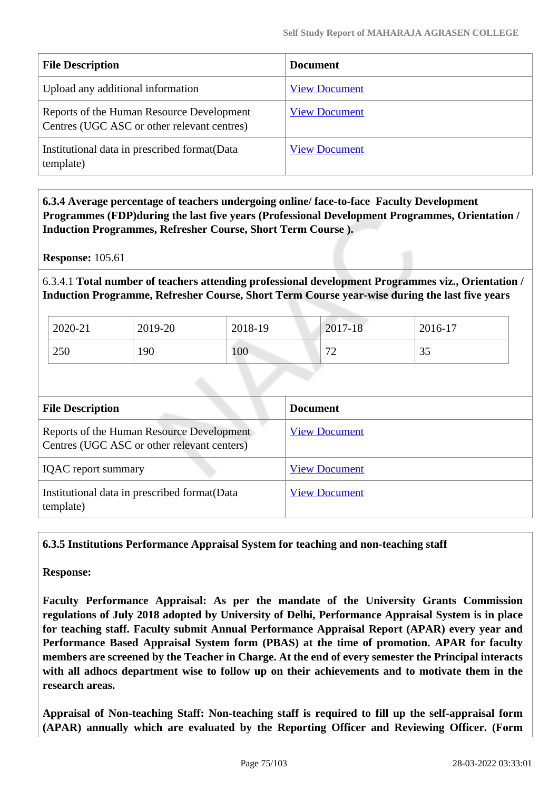| <b>File Description</b>                                                                  | <b>Document</b>      |
|------------------------------------------------------------------------------------------|----------------------|
| Upload any additional information                                                        | <b>View Document</b> |
| Reports of the Human Resource Development<br>Centres (UGC ASC or other relevant centres) | <b>View Document</b> |
| Institutional data in prescribed format (Data<br>template)                               | <b>View Document</b> |

 **6.3.4 Average percentage of teachers undergoing online/ face-to-face Faculty Development Programmes (FDP)during the last five years (Professional Development Programmes, Orientation / Induction Programmes, Refresher Course, Short Term Course ).**

**Response:** 105.61

6.3.4.1 **Total number of teachers attending professional development Programmes viz., Orientation / Induction Programme, Refresher Course, Short Term Course year-wise during the last five years**

| 2020-21 | 2019-20 | 2018-19 | 2017-18             | 2016-17               |
|---------|---------|---------|---------------------|-----------------------|
| 250     | 190     | 100     | $\mathbf{z}$<br>ے ا | $\cap$ $\vdash$<br>JJ |

| <b>File Description</b>                                                                  | <b>Document</b>      |
|------------------------------------------------------------------------------------------|----------------------|
| Reports of the Human Resource Development<br>Centres (UGC ASC or other relevant centers) | <b>View Document</b> |
| <b>IQAC</b> report summary                                                               | <b>View Document</b> |
| Institutional data in prescribed format (Data<br>template)                               | <b>View Document</b> |

## **6.3.5 Institutions Performance Appraisal System for teaching and non-teaching staff**

**Response:** 

**Faculty Performance Appraisal: As per the mandate of the University Grants Commission regulations of July 2018 adopted by University of Delhi, Performance Appraisal System is in place for teaching staff. Faculty submit Annual Performance Appraisal Report (APAR) every year and Performance Based Appraisal System form (PBAS) at the time of promotion. APAR for faculty members are screened by the Teacher in Charge. At the end of every semester the Principal interacts with all adhocs department wise to follow up on their achievements and to motivate them in the research areas.** 

**Appraisal of Non-teaching Staff: Non-teaching staff is required to fill up the self-appraisal form (APAR) annually which are evaluated by the Reporting Officer and Reviewing Officer. (Form**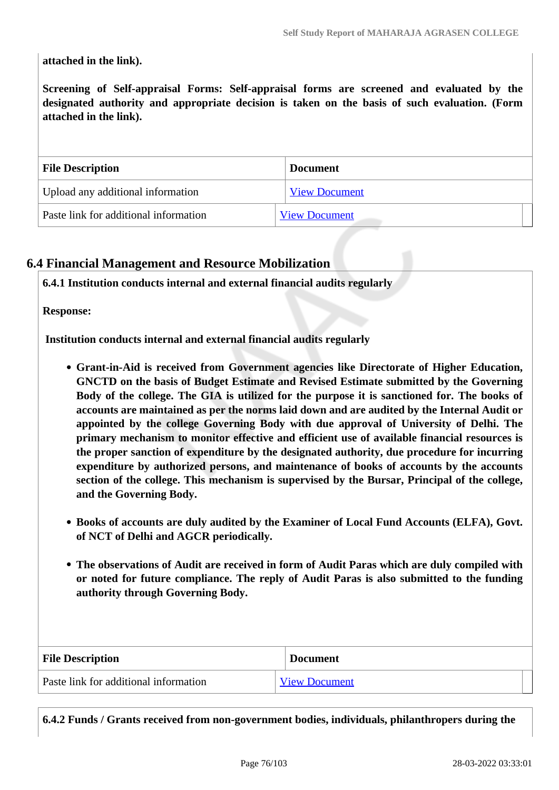**attached in the link).**

**Screening of Self-appraisal Forms: Self-appraisal forms are screened and evaluated by the designated authority and appropriate decision is taken on the basis of such evaluation. (Form attached in the link).**

| <b>File Description</b>               | <b>Document</b>      |  |
|---------------------------------------|----------------------|--|
| Upload any additional information     | <b>View Document</b> |  |
| Paste link for additional information | <b>View Document</b> |  |

## **6.4 Financial Management and Resource Mobilization**

**6.4.1 Institution conducts internal and external financial audits regularly**

**Response:** 

 **Institution conducts internal and external financial audits regularly**

- **Grant-in-Aid is received from Government agencies like Directorate of Higher Education, GNCTD on the basis of Budget Estimate and Revised Estimate submitted by the Governing Body of the college. The GIA is utilized for the purpose it is sanctioned for. The books of accounts are maintained as per the norms laid down and are audited by the Internal Audit or appointed by the college Governing Body with due approval of University of Delhi. The primary mechanism to monitor effective and efficient use of available financial resources is the proper sanction of expenditure by the designated authority, due procedure for incurring expenditure by authorized persons, and maintenance of books of accounts by the accounts section of the college. This mechanism is supervised by the Bursar, Principal of the college, and the Governing Body.**
- **Books of accounts are duly audited by the Examiner of Local Fund Accounts (ELFA), Govt. of NCT of Delhi and AGCR periodically.**
- **The observations of Audit are received in form of Audit Paras which are duly compiled with or noted for future compliance. The reply of Audit Paras is also submitted to the funding authority through Governing Body.**

| <b>File Description</b>               | <b>Document</b>      |
|---------------------------------------|----------------------|
| Paste link for additional information | <b>View Document</b> |

**6.4.2 Funds / Grants received from non-government bodies, individuals, philanthropers during the**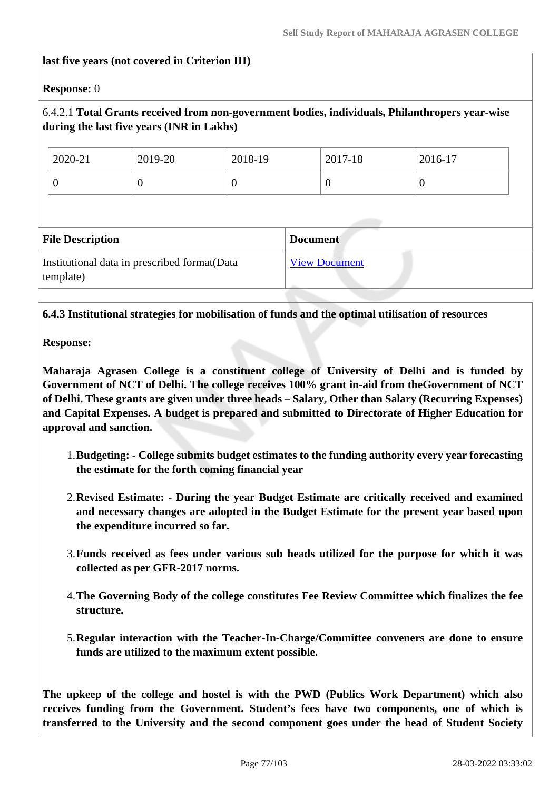## **last five years (not covered in Criterion III)**

**Response:** 0

## 6.4.2.1 **Total Grants received from non-government bodies, individuals, Philanthropers year-wise during the last five years (INR in Lakhs)**

| 2020-21 | 2019-20 | 2018-19 | $2017 - 18$ | 2016-17 |
|---------|---------|---------|-------------|---------|
|         |         |         | ν           | v       |

| <b>File Description</b>                                    | <b>Document</b>      |
|------------------------------------------------------------|----------------------|
| Institutional data in prescribed format (Data<br>template) | <b>View Document</b> |

**6.4.3 Institutional strategies for mobilisation of funds and the optimal utilisation of resources**

**Response:** 

**Maharaja Agrasen College is a constituent college of University of Delhi and is funded by Government of NCT of Delhi. The college receives 100% grant in-aid from theGovernment of NCT of Delhi. These grants are given under three heads – Salary, Other than Salary (Recurring Expenses) and Capital Expenses. A budget is prepared and submitted to Directorate of Higher Education for approval and sanction.** 

- 1.**Budgeting: College submits budget estimates to the funding authority every year forecasting the estimate for the forth coming financial year**
- 2.**Revised Estimate: During the year Budget Estimate are critically received and examined and necessary changes are adopted in the Budget Estimate for the present year based upon the expenditure incurred so far.**
- 3.**Funds received as fees under various sub heads utilized for the purpose for which it was collected as per GFR-2017 norms.**
- 4.**The Governing Body of the college constitutes Fee Review Committee which finalizes the fee structure.**
- 5.**Regular interaction with the Teacher-In-Charge/Committee conveners are done to ensure funds are utilized to the maximum extent possible.**

**The upkeep of the college and hostel is with the PWD (Publics Work Department) which also receives funding from the Government. Student's fees have two components, one of which is transferred to the University and the second component goes under the head of Student Society**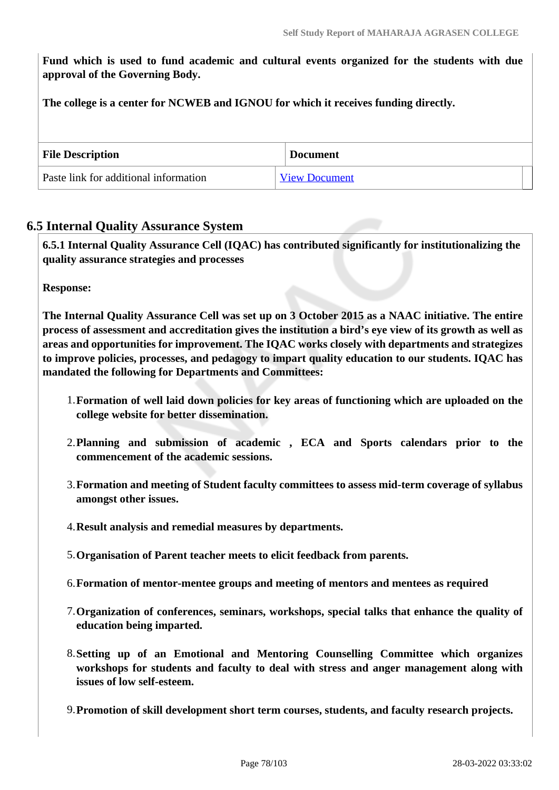**Fund which is used to fund academic and cultural events organized for the students with due approval of the Governing Body.**

**The college is a center for NCWEB and IGNOU for which it receives funding directly.** 

| <b>File Description</b>               | <b>Document</b>      |
|---------------------------------------|----------------------|
| Paste link for additional information | <b>View Document</b> |

## **6.5 Internal Quality Assurance System**

 **6.5.1 Internal Quality Assurance Cell (IQAC) has contributed significantly for institutionalizing the quality assurance strategies and processes**

**Response:** 

**The Internal Quality Assurance Cell was set up on 3 October 2015 as a NAAC initiative. The entire process of assessment and accreditation gives the institution a bird's eye view of its growth as well as areas and opportunities for improvement. The IQAC works closely with departments and strategizes to improve policies, processes, and pedagogy to impart quality education to our students. IQAC has mandated the following for Departments and Committees:**

- 1.**Formation of well laid down policies for key areas of functioning which are uploaded on the college website for better dissemination.**
- 2.**Planning and submission of academic , ECA and Sports calendars prior to the commencement of the academic sessions.**
- 3.**Formation and meeting of Student faculty committees to assess mid-term coverage of syllabus amongst other issues.**
- 4.**Result analysis and remedial measures by departments.**

5.**Organisation of Parent teacher meets to elicit feedback from parents.**

- 6.**Formation of mentor-mentee groups and meeting of mentors and mentees as required**
- 7.**Organization of conferences, seminars, workshops, special talks that enhance the quality of education being imparted.**
- 8.**Setting up of an Emotional and Mentoring Counselling Committee which organizes workshops for students and faculty to deal with stress and anger management along with issues of low self-esteem.**
- 9.**Promotion of skill development short term courses, students, and faculty research projects.**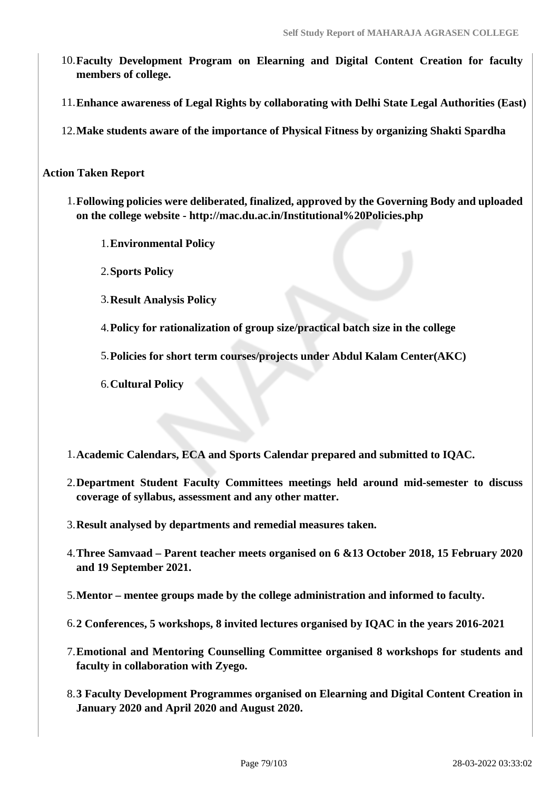- 10.**Faculty Development Program on Elearning and Digital Content Creation for faculty members of college.**
- 11.**Enhance awareness of Legal Rights by collaborating with Delhi State Legal Authorities (East)**

12.**Make students aware of the importance of Physical Fitness by organizing Shakti Spardha**

#### **Action Taken Report**

- 1.**Following policies were deliberated, finalized, approved by the Governing Body and uploaded on the college website - http://mac.du.ac.in/Institutional%20Policies.php**
	- 1.**Environmental Policy**
	- 2.**Sports Policy**
	- 3.**Result Analysis Policy**
	- 4.**Policy for rationalization of group size/practical batch size in the college**
	- 5.**Policies for short term courses/projects under Abdul Kalam Center(AKC)**
	- 6.**Cultural Policy**
- 1.**Academic Calendars, ECA and Sports Calendar prepared and submitted to IQAC.**
- 2.**Department Student Faculty Committees meetings held around mid-semester to discuss coverage of syllabus, assessment and any other matter.**
- 3.**Result analysed by departments and remedial measures taken.**
- 4.**Three Samvaad Parent teacher meets organised on 6 &13 October 2018, 15 February 2020 and 19 September 2021.**
- 5.**Mentor mentee groups made by the college administration and informed to faculty.**
- 6.**2 Conferences, 5 workshops, 8 invited lectures organised by IQAC in the years 2016-2021**
- 7.**Emotional and Mentoring Counselling Committee organised 8 workshops for students and faculty in collaboration with Zyego.**
- 8.**3 Faculty Development Programmes organised on Elearning and Digital Content Creation in January 2020 and April 2020 and August 2020.**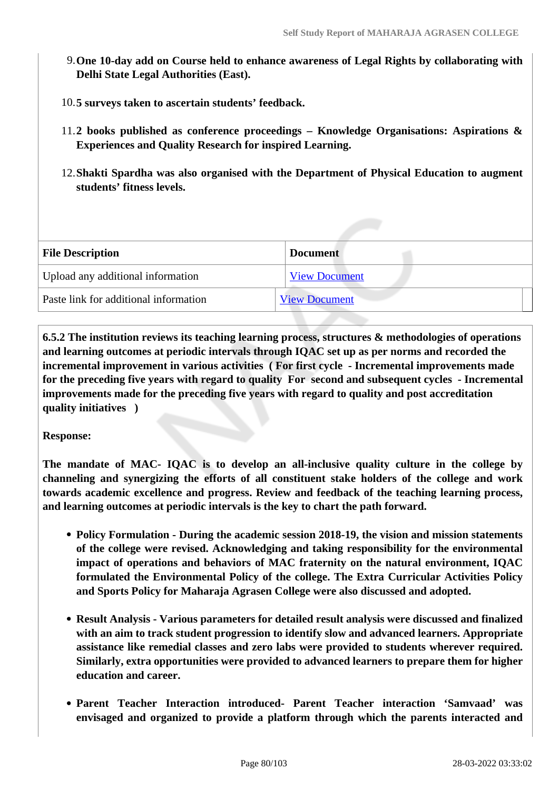- 9.**One 10-day add on Course held to enhance awareness of Legal Rights by collaborating with Delhi State Legal Authorities (East).**
- 10.**5 surveys taken to ascertain students' feedback.**
- 11.**2 books published as conference proceedings Knowledge Organisations: Aspirations & Experiences and Quality Research for inspired Learning.**
- 12.**Shakti Spardha was also organised with the Department of Physical Education to augment students' fitness levels.**

| <b>File Description</b>               | <b>Document</b>      |
|---------------------------------------|----------------------|
| Upload any additional information     | <b>View Document</b> |
| Paste link for additional information | <b>View Document</b> |

 **6.5.2 The institution reviews its teaching learning process, structures & methodologies of operations and learning outcomes at periodic intervals through IQAC set up as per norms and recorded the incremental improvement in various activities ( For first cycle - Incremental improvements made for the preceding five years with regard to quality For second and subsequent cycles - Incremental improvements made for the preceding five years with regard to quality and post accreditation quality initiatives )** 

**Response:** 

**The mandate of MAC- IQAC is to develop an all-inclusive quality culture in the college by channeling and synergizing the efforts of all constituent stake holders of the college and work towards academic excellence and progress. Review and feedback of the teaching learning process, and learning outcomes at periodic intervals is the key to chart the path forward.** 

- **Policy Formulation During the academic session 2018-19, the vision and mission statements of the college were revised. Acknowledging and taking responsibility for the environmental impact of operations and behaviors of MAC fraternity on the natural environment, IQAC formulated the Environmental Policy of the college. The Extra Curricular Activities Policy and Sports Policy for Maharaja Agrasen College were also discussed and adopted.**
- **Result Analysis Various parameters for detailed result analysis were discussed and finalized with an aim to track student progression to identify slow and advanced learners. Appropriate assistance like remedial classes and zero labs were provided to students wherever required. Similarly, extra opportunities were provided to advanced learners to prepare them for higher education and career.**
- **Parent Teacher Interaction introduced- Parent Teacher interaction 'Samvaad' was envisaged and organized to provide a platform through which the parents interacted and**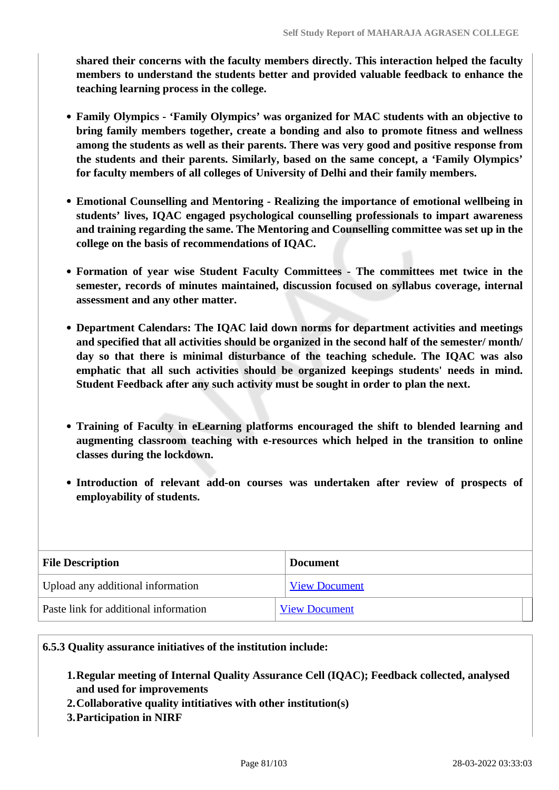**shared their concerns with the faculty members directly. This interaction helped the faculty members to understand the students better and provided valuable feedback to enhance the teaching learning process in the college.** 

- **Family Olympics 'Family Olympics' was organized for MAC students with an objective to bring family members together, create a bonding and also to promote fitness and wellness among the students as well as their parents. There was very good and positive response from the students and their parents. Similarly, based on the same concept, a 'Family Olympics' for faculty members of all colleges of University of Delhi and their family members.**
- **Emotional Counselling and Mentoring Realizing the importance of emotional wellbeing in students' lives, IQAC engaged psychological counselling professionals to impart awareness and training regarding the same. The Mentoring and Counselling committee was set up in the college on the basis of recommendations of IQAC.**
- **Formation of year wise Student Faculty Committees The committees met twice in the semester, records of minutes maintained, discussion focused on syllabus coverage, internal assessment and any other matter.**
- **Department Calendars: The IQAC laid down norms for department activities and meetings and specified that all activities should be organized in the second half of the semester/ month/ day so that there is minimal disturbance of the teaching schedule. The IQAC was also emphatic that all such activities should be organized keepings students' needs in mind. Student Feedback after any such activity must be sought in order to plan the next.**
- **Training of Faculty in eLearning platforms encouraged the shift to blended learning and augmenting classroom teaching with e-resources which helped in the transition to online classes during the lockdown.**
- **Introduction of relevant add-on courses was undertaken after review of prospects of employability of students.**

| <b>File Description</b>               | <b>Document</b>      |
|---------------------------------------|----------------------|
| Upload any additional information     | <b>View Document</b> |
| Paste link for additional information | <b>View Document</b> |

## **6.5.3 Quality assurance initiatives of the institution include:**

- **1.Regular meeting of Internal Quality Assurance Cell (IQAC); Feedback collected, analysed and used for improvements**
- **2.Collaborative quality intitiatives with other institution(s)**
- **3.Participation in NIRF**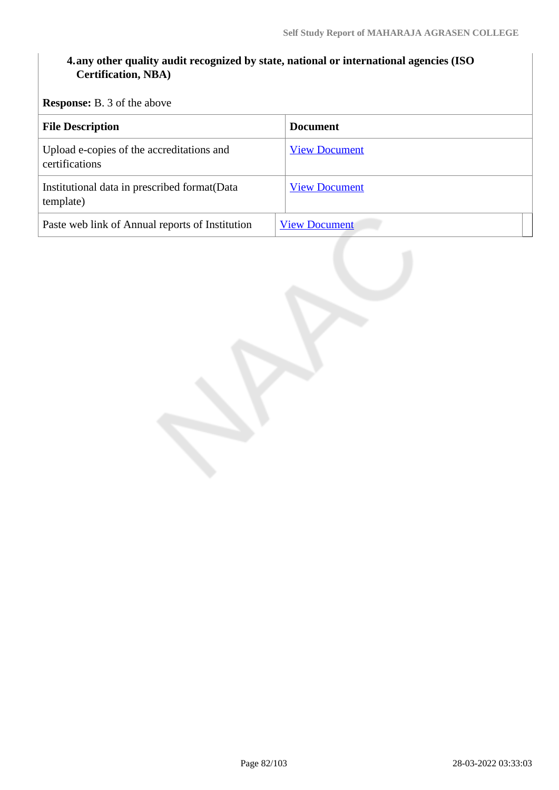## **4.any other quality audit recognized by state, national or international agencies (ISO Certification, NBA)**

**Response:** B. 3 of the above

| <b>File Description</b>                                     | <b>Document</b>      |
|-------------------------------------------------------------|----------------------|
| Upload e-copies of the accreditations and<br>certifications | <b>View Document</b> |
| Institutional data in prescribed format (Data<br>template)  | <b>View Document</b> |
| Paste web link of Annual reports of Institution             | <b>View Document</b> |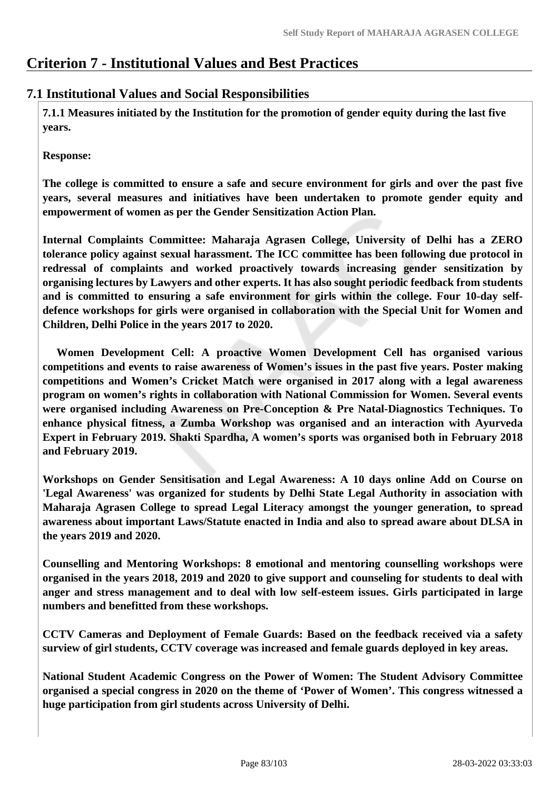## **Criterion 7 - Institutional Values and Best Practices**

## **7.1 Institutional Values and Social Responsibilities**

 **7.1.1 Measures initiated by the Institution for the promotion of gender equity during the last five years.**

**Response:** 

**The college is committed to ensure a safe and secure environment for girls and over the past five years, several measures and initiatives have been undertaken to promote gender equity and empowerment of women as per the Gender Sensitization Action Plan.**

**Internal Complaints Committee: Maharaja Agrasen College, University of Delhi has a ZERO tolerance policy against sexual harassment. The ICC committee has been following due protocol in redressal of complaints and worked proactively towards increasing gender sensitization by organising lectures by Lawyers and other experts. It has also sought periodic feedback from students and is committed to ensuring a safe environment for girls within the college. Four 10-day selfdefence workshops for girls were organised in collaboration with the Special Unit for Women and Children, Delhi Police in the years 2017 to 2020.** 

 **Women Development Cell: A proactive Women Development Cell has organised various competitions and events to raise awareness of Women's issues in the past five years. Poster making competitions and Women's Cricket Match were organised in 2017 along with a legal awareness program on women's rights in collaboration with National Commission for Women. Several events were organised including Awareness on Pre-Conception & Pre Natal-Diagnostics Techniques. To enhance physical fitness, a Zumba Workshop was organised and an interaction with Ayurveda Expert in February 2019. Shakti Spardha, A women's sports was organised both in February 2018 and February 2019.** 

**Workshops on Gender Sensitisation and Legal Awareness: A 10 days online Add on Course on 'Legal Awareness' was organized for students by Delhi State Legal Authority in association with Maharaja Agrasen College to spread Legal Literacy amongst the younger generation, to spread awareness about important Laws/Statute enacted in India and also to spread aware about DLSA in the years 2019 and 2020.** 

**Counselling and Mentoring Workshops: 8 emotional and mentoring counselling workshops were organised in the years 2018, 2019 and 2020 to give support and counseling for students to deal with anger and stress management and to deal with low self-esteem issues. Girls participated in large numbers and benefitted from these workshops.** 

**CCTV Cameras and Deployment of Female Guards: Based on the feedback received via a safety surview of girl students, CCTV coverage was increased and female guards deployed in key areas.**

**National Student Academic Congress on the Power of Women: The Student Advisory Committee organised a special congress in 2020 on the theme of 'Power of Women'. This congress witnessed a huge participation from girl students across University of Delhi.**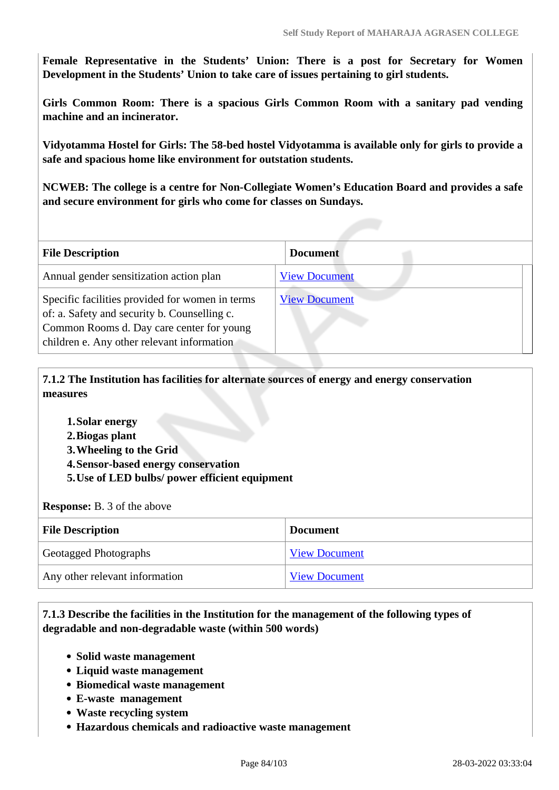**Female Representative in the Students' Union: There is a post for Secretary for Women Development in the Students' Union to take care of issues pertaining to girl students.**

**Girls Common Room: There is a spacious Girls Common Room with a sanitary pad vending machine and an incinerator.**

**Vidyotamma Hostel for Girls: The 58-bed hostel Vidyotamma is available only for girls to provide a safe and spacious home like environment for outstation students.**

**NCWEB: The college is a centre for Non-Collegiate Women's Education Board and provides a safe and secure environment for girls who come for classes on Sundays.**

| <b>File Description</b>                                                                                                                                                                    | <b>Document</b>      |
|--------------------------------------------------------------------------------------------------------------------------------------------------------------------------------------------|----------------------|
| Annual gender sensitization action plan                                                                                                                                                    | <b>View Document</b> |
| Specific facilities provided for women in terms<br>of: a. Safety and security b. Counselling c.<br>Common Rooms d. Day care center for young<br>children e. Any other relevant information | <b>View Document</b> |

 **7.1.2 The Institution has facilities for alternate sources of energy and energy conservation measures** 

- **1.Solar energy**
- **2.Biogas plant**
- **3.Wheeling to the Grid**
- **4.Sensor-based energy conservation**
- **5.Use of LED bulbs/ power efficient equipment**

**Response:** B. 3 of the above

| <b>File Description</b>        | <b>Document</b>      |
|--------------------------------|----------------------|
| Geotagged Photographs          | <b>View Document</b> |
| Any other relevant information | <b>View Document</b> |

 **7.1.3 Describe the facilities in the Institution for the management of the following types of degradable and non-degradable waste (within 500 words)**

- **Solid waste management**
- **Liquid waste management**
- **Biomedical waste management**
- **E-waste management**
- **Waste recycling system**
- **Hazardous chemicals and radioactive waste management**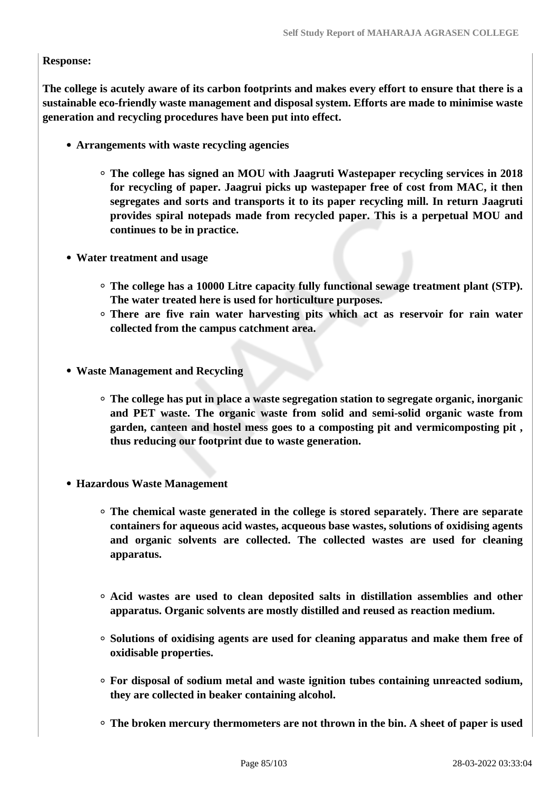## **Response:**

**The college is acutely aware of its carbon footprints and makes every effort to ensure that there is a sustainable eco-friendly waste management and disposal system. Efforts are made to minimise waste generation and recycling procedures have been put into effect.**

- **Arrangements with waste recycling agencies**
	- **The college has signed an MOU with Jaagruti Wastepaper recycling services in 2018 for recycling of paper. Jaagrui picks up wastepaper free of cost from MAC, it then segregates and sorts and transports it to its paper recycling mill. In return Jaagruti provides spiral notepads made from recycled paper. This is a perpetual MOU and continues to be in practice.**
- **Water treatment and usage**
	- **The college has a 10000 Litre capacity fully functional sewage treatment plant (STP). The water treated here is used for horticulture purposes.**
	- **There are five rain water harvesting pits which act as reservoir for rain water collected from the campus catchment area.**
- **Waste Management and Recycling**
	- **The college has put in place a waste segregation station to segregate organic, inorganic and PET waste. The organic waste from solid and semi-solid organic waste from garden, canteen and hostel mess goes to a composting pit and vermicomposting pit , thus reducing our footprint due to waste generation.**
- **Hazardous Waste Management**
	- **The chemical waste generated in the college is stored separately. There are separate containers for aqueous acid wastes, acqueous base wastes, solutions of oxidising agents and organic solvents are collected. The collected wastes are used for cleaning apparatus.**
	- **Acid wastes are used to clean deposited salts in distillation assemblies and other apparatus. Organic solvents are mostly distilled and reused as reaction medium.**
	- **Solutions of oxidising agents are used for cleaning apparatus and make them free of oxidisable properties.**
	- **For disposal of sodium metal and waste ignition tubes containing unreacted sodium, they are collected in beaker containing alcohol.**
	- **The broken mercury thermometers are not thrown in the bin. A sheet of paper is used**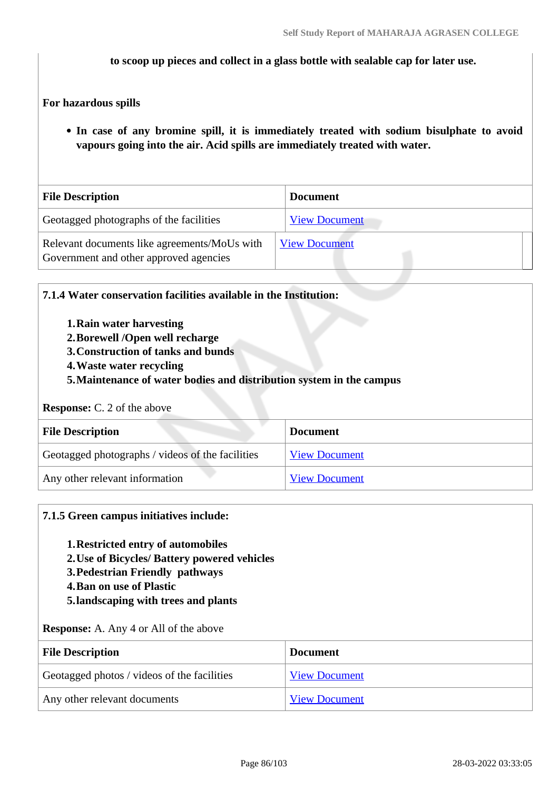**to scoop up pieces and collect in a glass bottle with sealable cap for later use.**

**For hazardous spills**

**In case of any bromine spill, it is immediately treated with sodium bisulphate to avoid vapours going into the air. Acid spills are immediately treated with water.**

| <b>File Description</b>                                                                | <b>Document</b>      |
|----------------------------------------------------------------------------------------|----------------------|
| Geotagged photographs of the facilities                                                | <b>View Document</b> |
| Relevant documents like agreements/MoUs with<br>Government and other approved agencies | <b>View Document</b> |

## **7.1.4 Water conservation facilities available in the Institution:**

- **1.Rain water harvesting**
- **2.Borewell /Open well recharge**
- **3.Construction of tanks and bunds**
- **4.Waste water recycling**

## **5.Maintenance of water bodies and distribution system in the campus**

#### **Response:** C. 2 of the above

| <b>File Description</b>                          | <b>Document</b>      |
|--------------------------------------------------|----------------------|
| Geotagged photographs / videos of the facilities | <b>View Document</b> |
| Any other relevant information                   | <b>View Document</b> |

#### **7.1.5 Green campus initiatives include:**

- **1.Restricted entry of automobiles**
- **2.Use of Bicycles/ Battery powered vehicles**
- **3.Pedestrian Friendly pathways**
- **4.Ban on use of Plastic**
- **5.landscaping with trees and plants**

#### **Response:** A. Any 4 or All of the above

| <b>File Description</b>                     | <b>Document</b>      |
|---------------------------------------------|----------------------|
| Geotagged photos / videos of the facilities | <b>View Document</b> |
| Any other relevant documents                | <b>View Document</b> |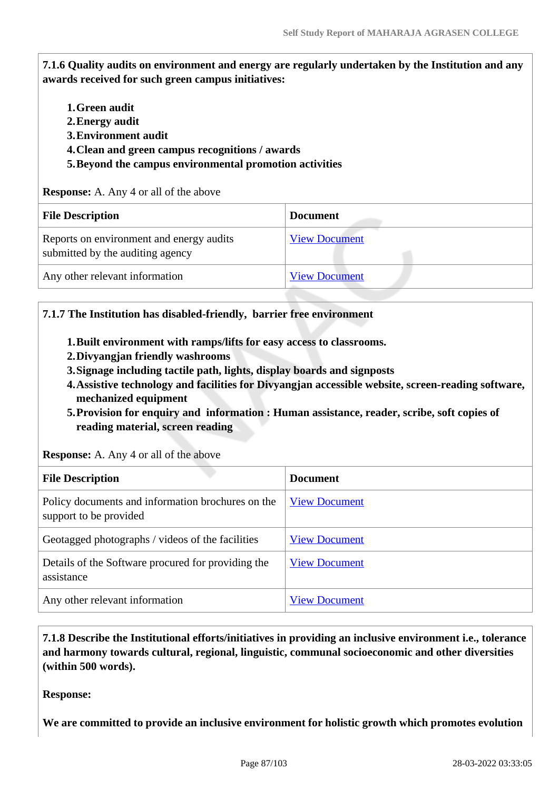**7.1.6 Quality audits on environment and energy are regularly undertaken by the Institution and any awards received for such green campus initiatives:**

- **1.Green audit**
- **2.Energy audit**
- **3.Environment audit**
- **4.Clean and green campus recognitions / awards**
- **5.Beyond the campus environmental promotion activities**

**Response:** A. Any 4 or all of the above

| <b>File Description</b>                                                      | <b>Document</b>      |
|------------------------------------------------------------------------------|----------------------|
| Reports on environment and energy audits<br>submitted by the auditing agency | <b>View Document</b> |
| Any other relevant information                                               | <b>View Document</b> |

#### **7.1.7 The Institution has disabled-friendly, barrier free environment**

- **1.Built environment with ramps/lifts for easy access to classrooms.**
- **2.Divyangjan friendly washrooms**
- **3.Signage including tactile path, lights, display boards and signposts**
- **4.Assistive technology and facilities for Divyangjan accessible website, screen-reading software, mechanized equipment**
- **5.Provision for enquiry and information : Human assistance, reader, scribe, soft copies of reading material, screen reading**

**Response:** A. Any 4 or all of the above

| <b>File Description</b>                                                     | <b>Document</b>      |
|-----------------------------------------------------------------------------|----------------------|
| Policy documents and information brochures on the<br>support to be provided | <b>View Document</b> |
| Geotagged photographs / videos of the facilities                            | <b>View Document</b> |
| Details of the Software procured for providing the<br>assistance            | <b>View Document</b> |
| Any other relevant information                                              | <b>View Document</b> |

 **7.1.8 Describe the Institutional efforts/initiatives in providing an inclusive environment i.e., tolerance and harmony towards cultural, regional, linguistic, communal socioeconomic and other diversities (within 500 words).**

**Response:** 

**We are committed to provide an inclusive environment for holistic growth which promotes evolution**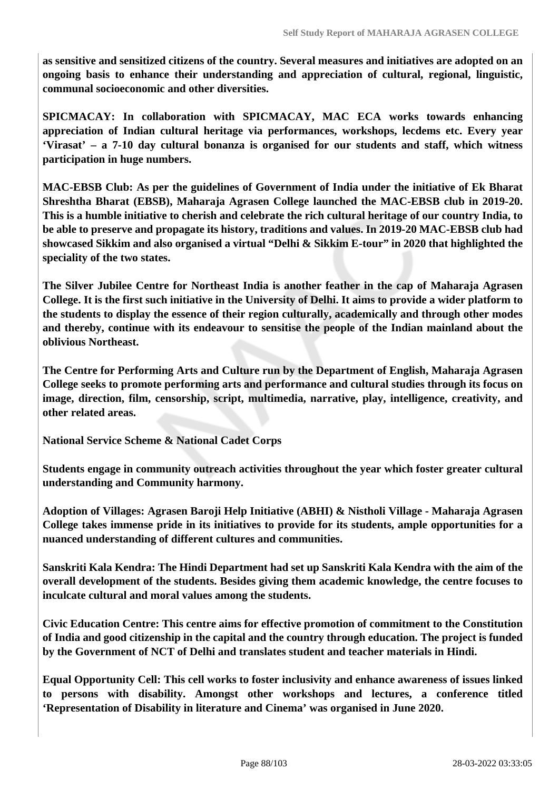**as sensitive and sensitized citizens of the country. Several measures and initiatives are adopted on an ongoing basis to enhance their understanding and appreciation of cultural, regional, linguistic, communal socioeconomic and other diversities.**

**SPICMACAY: In collaboration with SPICMACAY, MAC ECA works towards enhancing appreciation of Indian cultural heritage via performances, workshops, lecdems etc. Every year 'Virasat' – a 7-10 day cultural bonanza is organised for our students and staff, which witness participation in huge numbers.**

**MAC-EBSB Club: As per the guidelines of Government of India under the initiative of Ek Bharat Shreshtha Bharat (EBSB), Maharaja Agrasen College launched the MAC-EBSB club in 2019-20. This is a humble initiative to cherish and celebrate the rich cultural heritage of our country India, to be able to preserve and propagate its history, traditions and values. In 2019-20 MAC-EBSB club had showcased Sikkim and also organised a virtual "Delhi & Sikkim E-tour" in 2020 that highlighted the speciality of the two states.** 

**The Silver Jubilee Centre for Northeast India is another feather in the cap of Maharaja Agrasen College. It is the first such initiative in the University of Delhi. It aims to provide a wider platform to the students to display the essence of their region culturally, academically and through other modes and thereby, continue with its endeavour to sensitise the people of the Indian mainland about the oblivious Northeast.** 

**The Centre for Performing Arts and Culture run by the Department of English, Maharaja Agrasen College seeks to promote performing arts and performance and cultural studies through its focus on image, direction, film, censorship, script, multimedia, narrative, play, intelligence, creativity, and other related areas.**

**National Service Scheme & National Cadet Corps** 

**Students engage in community outreach activities throughout the year which foster greater cultural understanding and Community harmony.** 

**Adoption of Villages: Agrasen Baroji Help Initiative (ABHI) & Nistholi Village - Maharaja Agrasen College takes immense pride in its initiatives to provide for its students, ample opportunities for a nuanced understanding of different cultures and communities.**

**Sanskriti Kala Kendra: The Hindi Department had set up Sanskriti Kala Kendra with the aim of the overall development of the students. Besides giving them academic knowledge, the centre focuses to inculcate cultural and moral values among the students.** 

**Civic Education Centre: This centre aims for effective promotion of commitment to the Constitution of India and good citizenship in the capital and the country through education. The project is funded by the Government of NCT of Delhi and translates student and teacher materials in Hindi.**

**Equal Opportunity Cell: This cell works to foster inclusivity and enhance awareness of issues linked to persons with disability. Amongst other workshops and lectures, a conference titled 'Representation of Disability in literature and Cinema' was organised in June 2020.**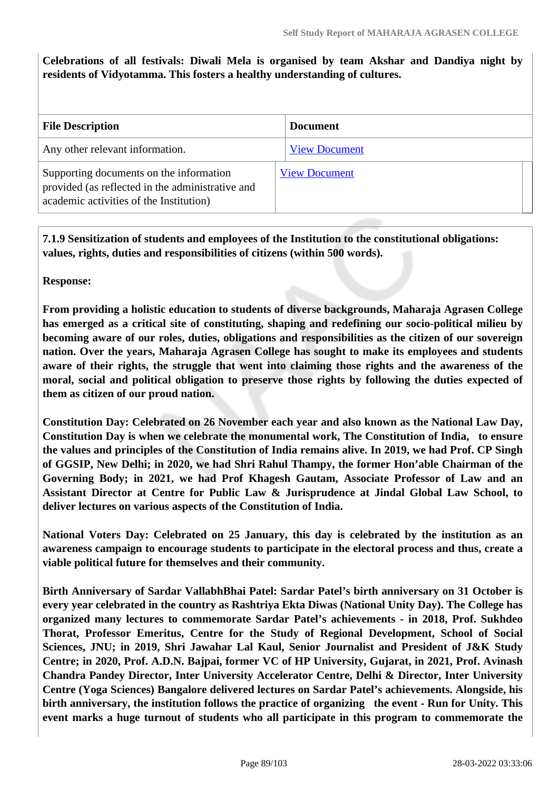**Celebrations of all festivals: Diwali Mela is organised by team Akshar and Dandiya night by residents of Vidyotamma. This fosters a healthy understanding of cultures.**

| <b>File Description</b>                                                                                                                | <b>Document</b>      |
|----------------------------------------------------------------------------------------------------------------------------------------|----------------------|
| Any other relevant information.                                                                                                        | <b>View Document</b> |
| Supporting documents on the information<br>provided (as reflected in the administrative and<br>academic activities of the Institution) | <b>View Document</b> |

 **7.1.9 Sensitization of students and employees of the Institution to the constitutional obligations: values, rights, duties and responsibilities of citizens (within 500 words).**

**Response:** 

**From providing a holistic education to students of diverse backgrounds, Maharaja Agrasen College has emerged as a critical site of constituting, shaping and redefining our socio-political milieu by becoming aware of our roles, duties, obligations and responsibilities as the citizen of our sovereign nation. Over the years, Maharaja Agrasen College has sought to make its employees and students aware of their rights, the struggle that went into claiming those rights and the awareness of the moral, social and political obligation to preserve those rights by following the duties expected of them as citizen of our proud nation.** 

**Constitution Day: Celebrated on 26 November each year and also known as the National Law Day, Constitution Day is when we celebrate the monumental work, The Constitution of India, to ensure the values and principles of the Constitution of India remains alive. In 2019, we had Prof. CP Singh of GGSIP, New Delhi; in 2020, we had Shri Rahul Thampy, the former Hon'able Chairman of the Governing Body; in 2021, we had Prof Khagesh Gautam, Associate Professor of Law and an Assistant Director at Centre for Public Law & Jurisprudence at Jindal Global Law School, to deliver lectures on various aspects of the Constitution of India.** 

**National Voters Day: Celebrated on 25 January, this day is celebrated by the institution as an awareness campaign to encourage students to participate in the electoral process and thus, create a viable political future for themselves and their community.**

**Birth Anniversary of Sardar VallabhBhai Patel: Sardar Patel's birth anniversary on 31 October is every year celebrated in the country as Rashtriya Ekta Diwas (National Unity Day). The College has organized many lectures to commemorate Sardar Patel's achievements - in 2018, Prof. Sukhdeo Thorat, Professor Emeritus, Centre for the Study of Regional Development, School of Social Sciences, JNU; in 2019, Shri Jawahar Lal Kaul, Senior Journalist and President of J&K Study Centre; in 2020, Prof. A.D.N. Bajpai, former VC of HP University, Gujarat, in 2021, Prof. Avinash Chandra Pandey Director, Inter University Accelerator Centre, Delhi & Director, Inter University Centre (Yoga Sciences) Bangalore delivered lectures on Sardar Patel's achievements. Alongside, his birth anniversary, the institution follows the practice of organizing the event - Run for Unity. This event marks a huge turnout of students who all participate in this program to commemorate the**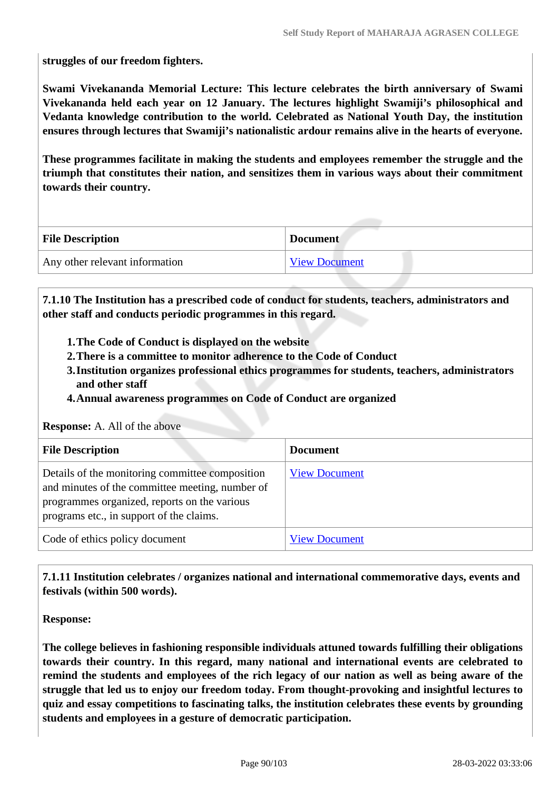**struggles of our freedom fighters.** 

**Swami Vivekananda Memorial Lecture: This lecture celebrates the birth anniversary of Swami Vivekananda held each year on 12 January. The lectures highlight Swamiji's philosophical and Vedanta knowledge contribution to the world. Celebrated as National Youth Day, the institution ensures through lectures that Swamiji's nationalistic ardour remains alive in the hearts of everyone.**

**These programmes facilitate in making the students and employees remember the struggle and the triumph that constitutes their nation, and sensitizes them in various ways about their commitment towards their country.** 

| <b>File Description</b>        | <b>Document</b>      |
|--------------------------------|----------------------|
| Any other relevant information | <b>View Document</b> |

 **7.1.10 The Institution has a prescribed code of conduct for students, teachers, administrators and other staff and conducts periodic programmes in this regard.** 

- **1.The Code of Conduct is displayed on the website**
- **2.There is a committee to monitor adherence to the Code of Conduct**
- **3.Institution organizes professional ethics programmes for students, teachers, administrators and other staff**
- **4.Annual awareness programmes on Code of Conduct are organized**

| <b>Response:</b> A. All of the above |  |  |  |  |  |  |
|--------------------------------------|--|--|--|--|--|--|
|--------------------------------------|--|--|--|--|--|--|

| <b>File Description</b>                                                                                                                                                                        | <b>Document</b>      |
|------------------------------------------------------------------------------------------------------------------------------------------------------------------------------------------------|----------------------|
| Details of the monitoring committee composition<br>and minutes of the committee meeting, number of<br>programmes organized, reports on the various<br>programs etc., in support of the claims. | <b>View Document</b> |
| Code of ethics policy document                                                                                                                                                                 | <b>View Document</b> |

## **7.1.11 Institution celebrates / organizes national and international commemorative days, events and festivals (within 500 words).**

**Response:** 

**The college believes in fashioning responsible individuals attuned towards fulfilling their obligations towards their country. In this regard, many national and international events are celebrated to remind the students and employees of the rich legacy of our nation as well as being aware of the struggle that led us to enjoy our freedom today. From thought-provoking and insightful lectures to quiz and essay competitions to fascinating talks, the institution celebrates these events by grounding students and employees in a gesture of democratic participation.**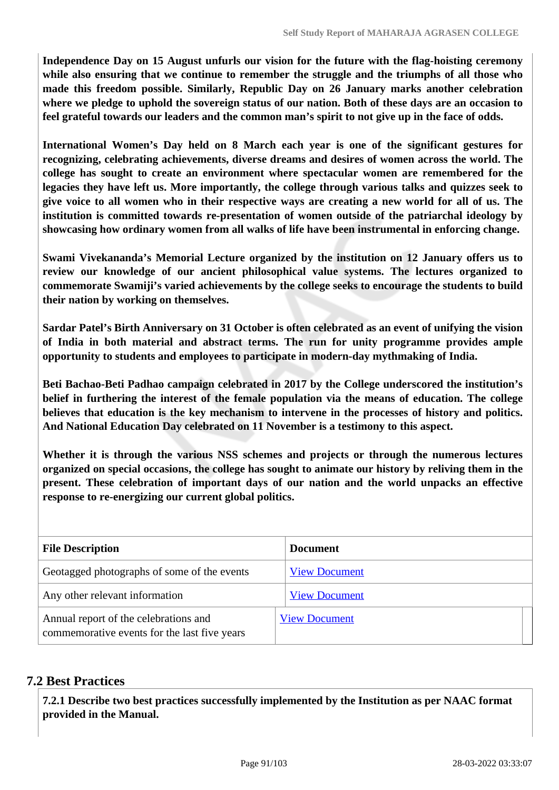**Independence Day on 15 August unfurls our vision for the future with the flag-hoisting ceremony while also ensuring that we continue to remember the struggle and the triumphs of all those who made this freedom possible. Similarly, Republic Day on 26 January marks another celebration where we pledge to uphold the sovereign status of our nation. Both of these days are an occasion to feel grateful towards our leaders and the common man's spirit to not give up in the face of odds.** 

**International Women's Day held on 8 March each year is one of the significant gestures for recognizing, celebrating achievements, diverse dreams and desires of women across the world. The college has sought to create an environment where spectacular women are remembered for the legacies they have left us. More importantly, the college through various talks and quizzes seek to give voice to all women who in their respective ways are creating a new world for all of us. The institution is committed towards re-presentation of women outside of the patriarchal ideology by showcasing how ordinary women from all walks of life have been instrumental in enforcing change.** 

**Swami Vivekananda's Memorial Lecture organized by the institution on 12 January offers us to review our knowledge of our ancient philosophical value systems. The lectures organized to commemorate Swamiji's varied achievements by the college seeks to encourage the students to build their nation by working on themselves.** 

**Sardar Patel's Birth Anniversary on 31 October is often celebrated as an event of unifying the vision of India in both material and abstract terms. The run for unity programme provides ample opportunity to students and employees to participate in modern-day mythmaking of India.** 

**Beti Bachao-Beti Padhao campaign celebrated in 2017 by the College underscored the institution's belief in furthering the interest of the female population via the means of education. The college believes that education is the key mechanism to intervene in the processes of history and politics. And National Education Day celebrated on 11 November is a testimony to this aspect.** 

**Whether it is through the various NSS schemes and projects or through the numerous lectures organized on special occasions, the college has sought to animate our history by reliving them in the present. These celebration of important days of our nation and the world unpacks an effective response to re-energizing our current global politics.** 

| <b>File Description</b>                                                               | <b>Document</b>      |
|---------------------------------------------------------------------------------------|----------------------|
| Geotagged photographs of some of the events                                           | <b>View Document</b> |
| Any other relevant information                                                        | <b>View Document</b> |
| Annual report of the celebrations and<br>commemorative events for the last five years | <b>View Document</b> |

## **7.2 Best Practices**

 **7.2.1 Describe two best practices successfully implemented by the Institution as per NAAC format provided in the Manual.**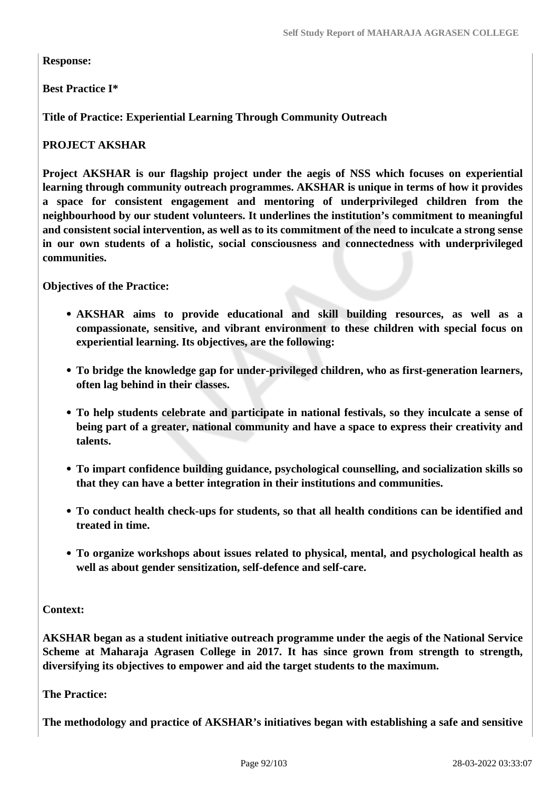**Response:** 

**Best Practice I\***

**Title of Practice: Experiential Learning Through Community Outreach**

**PROJECT AKSHAR**

**Project AKSHAR is our flagship project under the aegis of NSS which focuses on experiential learning through community outreach programmes. AKSHAR is unique in terms of how it provides a space for consistent engagement and mentoring of underprivileged children from the neighbourhood by our student volunteers. It underlines the institution's commitment to meaningful and consistent social intervention, as well as to its commitment of the need to inculcate a strong sense in our own students of a holistic, social consciousness and connectedness with underprivileged communities.** 

**Objectives of the Practice:**

- **AKSHAR aims to provide educational and skill building resources, as well as a compassionate, sensitive, and vibrant environment to these children with special focus on experiential learning. Its objectives, are the following:**
- **To bridge the knowledge gap for under-privileged children, who as first-generation learners, often lag behind in their classes.**
- **To help students celebrate and participate in national festivals, so they inculcate a sense of being part of a greater, national community and have a space to express their creativity and talents.**
- **To impart confidence building guidance, psychological counselling, and socialization skills so that they can have a better integration in their institutions and communities.**
- **To conduct health check-ups for students, so that all health conditions can be identified and treated in time.**
- **To organize workshops about issues related to physical, mental, and psychological health as well as about gender sensitization, self-defence and self-care.**

**Context:**

**AKSHAR began as a student initiative outreach programme under the aegis of the National Service Scheme at Maharaja Agrasen College in 2017. It has since grown from strength to strength, diversifying its objectives to empower and aid the target students to the maximum.** 

**The Practice:**

**The methodology and practice of AKSHAR's initiatives began with establishing a safe and sensitive**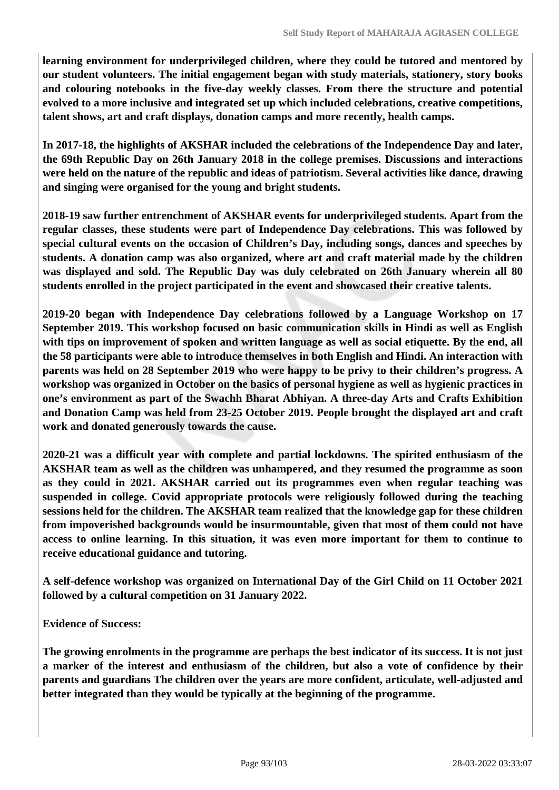**learning environment for underprivileged children, where they could be tutored and mentored by our student volunteers. The initial engagement began with study materials, stationery, story books and colouring notebooks in the five-day weekly classes. From there the structure and potential evolved to a more inclusive and integrated set up which included celebrations, creative competitions, talent shows, art and craft displays, donation camps and more recently, health camps.** 

**In 2017-18, the highlights of AKSHAR included the celebrations of the Independence Day and later, the 69th Republic Day on 26th January 2018 in the college premises. Discussions and interactions were held on the nature of the republic and ideas of patriotism. Several activities like dance, drawing and singing were organised for the young and bright students.** 

**2018-19 saw further entrenchment of AKSHAR events for underprivileged students. Apart from the regular classes, these students were part of Independence Day celebrations. This was followed by special cultural events on the occasion of Children's Day, including songs, dances and speeches by students. A donation camp was also organized, where art and craft material made by the children was displayed and sold. The Republic Day was duly celebrated on 26th January wherein all 80 students enrolled in the project participated in the event and showcased their creative talents.**

**2019-20 began with Independence Day celebrations followed by a Language Workshop on 17 September 2019. This workshop focused on basic communication skills in Hindi as well as English with tips on improvement of spoken and written language as well as social etiquette. By the end, all the 58 participants were able to introduce themselves in both English and Hindi. An interaction with parents was held on 28 September 2019 who were happy to be privy to their children's progress. A workshop was organized in October on the basics of personal hygiene as well as hygienic practices in one's environment as part of the Swachh Bharat Abhiyan. A three-day Arts and Crafts Exhibition and Donation Camp was held from 23-25 October 2019. People brought the displayed art and craft work and donated generously towards the cause.** 

**2020-21 was a difficult year with complete and partial lockdowns. The spirited enthusiasm of the AKSHAR team as well as the children was unhampered, and they resumed the programme as soon as they could in 2021. AKSHAR carried out its programmes even when regular teaching was suspended in college. Covid appropriate protocols were religiously followed during the teaching sessions held for the children. The AKSHAR team realized that the knowledge gap for these children from impoverished backgrounds would be insurmountable, given that most of them could not have access to online learning. In this situation, it was even more important for them to continue to receive educational guidance and tutoring.**

**A self-defence workshop was organized on International Day of the Girl Child on 11 October 2021 followed by a cultural competition on 31 January 2022.** 

**Evidence of Success:**

**The growing enrolments in the programme are perhaps the best indicator of its success. It is not just a marker of the interest and enthusiasm of the children, but also a vote of confidence by their parents and guardians The children over the years are more confident, articulate, well-adjusted and better integrated than they would be typically at the beginning of the programme.**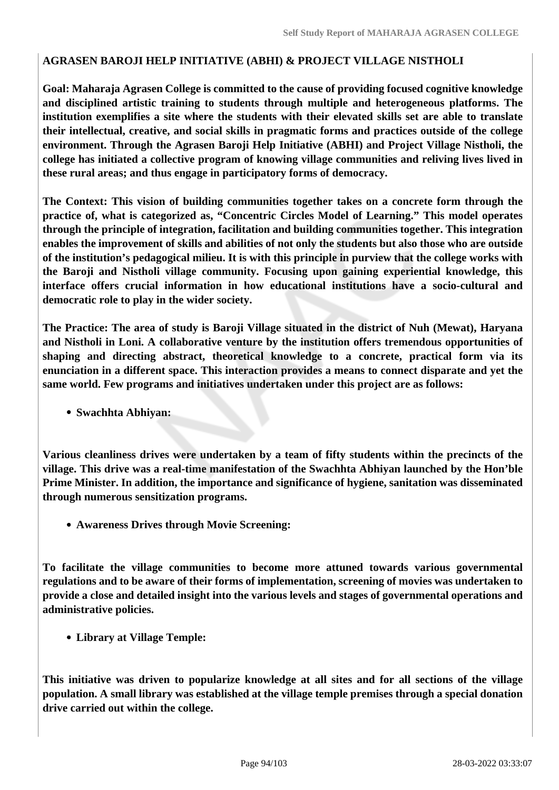## **AGRASEN BAROJI HELP INITIATIVE (ABHI) & PROJECT VILLAGE NISTHOLI**

**Goal: Maharaja Agrasen College is committed to the cause of providing focused cognitive knowledge and disciplined artistic training to students through multiple and heterogeneous platforms. The institution exemplifies a site where the students with their elevated skills set are able to translate their intellectual, creative, and social skills in pragmatic forms and practices outside of the college environment. Through the Agrasen Baroji Help Initiative (ABHI) and Project Village Nistholi, the college has initiated a collective program of knowing village communities and reliving lives lived in these rural areas; and thus engage in participatory forms of democracy.**

**The Context: This vision of building communities together takes on a concrete form through the practice of, what is categorized as, "Concentric Circles Model of Learning." This model operates through the principle of integration, facilitation and building communities together. This integration enables the improvement of skills and abilities of not only the students but also those who are outside of the institution's pedagogical milieu. It is with this principle in purview that the college works with the Baroji and Nistholi village community. Focusing upon gaining experiential knowledge, this interface offers crucial information in how educational institutions have a socio-cultural and democratic role to play in the wider society.** 

**The Practice: The area of study is Baroji Village situated in the district of Nuh (Mewat), Haryana and Nistholi in Loni. A collaborative venture by the institution offers tremendous opportunities of shaping and directing abstract, theoretical knowledge to a concrete, practical form via its enunciation in a different space. This interaction provides a means to connect disparate and yet the same world. Few programs and initiatives undertaken under this project are as follows:** 

**Swachhta Abhiyan:** 

**Various cleanliness drives were undertaken by a team of fifty students within the precincts of the village. This drive was a real-time manifestation of the Swachhta Abhiyan launched by the Hon'ble Prime Minister. In addition, the importance and significance of hygiene, sanitation was disseminated through numerous sensitization programs.** 

**Awareness Drives through Movie Screening:** 

**To facilitate the village communities to become more attuned towards various governmental regulations and to be aware of their forms of implementation, screening of movies was undertaken to provide a close and detailed insight into the various levels and stages of governmental operations and administrative policies.** 

**Library at Village Temple:** 

**This initiative was driven to popularize knowledge at all sites and for all sections of the village population. A small library was established at the village temple premises through a special donation drive carried out within the college.**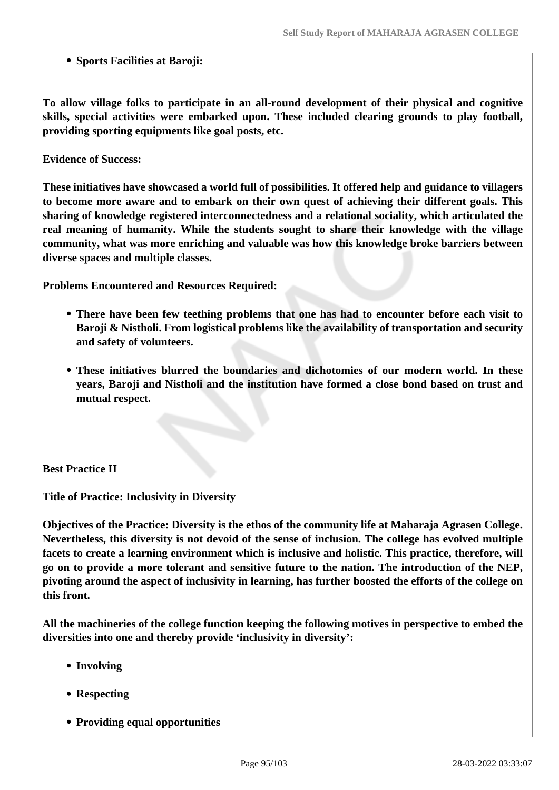## **Sports Facilities at Baroji:**

**To allow village folks to participate in an all-round development of their physical and cognitive skills, special activities were embarked upon. These included clearing grounds to play football, providing sporting equipments like goal posts, etc.** 

**Evidence of Success:** 

**These initiatives have showcased a world full of possibilities. It offered help and guidance to villagers to become more aware and to embark on their own quest of achieving their different goals. This sharing of knowledge registered interconnectedness and a relational sociality, which articulated the real meaning of humanity. While the students sought to share their knowledge with the village community, what was more enriching and valuable was how this knowledge broke barriers between diverse spaces and multiple classes.** 

**Problems Encountered and Resources Required:** 

- **There have been few teething problems that one has had to encounter before each visit to Baroji & Nistholi. From logistical problems like the availability of transportation and security and safety of volunteers.**
- **These initiatives blurred the boundaries and dichotomies of our modern world. In these years, Baroji and Nistholi and the institution have formed a close bond based on trust and mutual respect.**

**Best Practice II**

**Title of Practice: Inclusivity in Diversity**

**Objectives of the Practice: Diversity is the ethos of the community life at Maharaja Agrasen College. Nevertheless, this diversity is not devoid of the sense of inclusion. The college has evolved multiple facets to create a learning environment which is inclusive and holistic. This practice, therefore, will go on to provide a more tolerant and sensitive future to the nation. The introduction of the NEP, pivoting around the aspect of inclusivity in learning, has further boosted the efforts of the college on this front.** 

**All the machineries of the college function keeping the following motives in perspective to embed the diversities into one and thereby provide 'inclusivity in diversity':**

- **Involving**
- **Respecting**
- **Providing equal opportunities**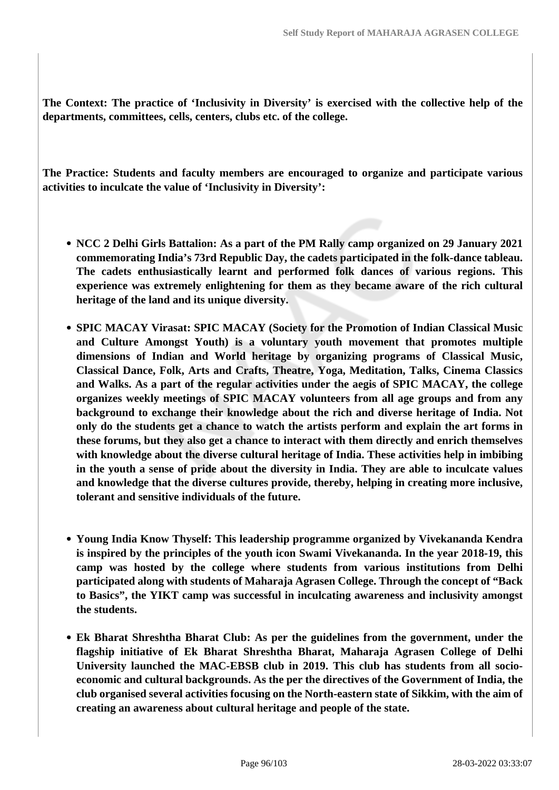**The Context: The practice of 'Inclusivity in Diversity' is exercised with the collective help of the departments, committees, cells, centers, clubs etc. of the college.**

**The Practice: Students and faculty members are encouraged to organize and participate various activities to inculcate the value of 'Inclusivity in Diversity':**

- **NCC 2 Delhi Girls Battalion: As a part of the PM Rally camp organized on 29 January 2021 commemorating India's 73rd Republic Day, the cadets participated in the folk-dance tableau. The cadets enthusiastically learnt and performed folk dances of various regions. This experience was extremely enlightening for them as they became aware of the rich cultural heritage of the land and its unique diversity.**
- **SPIC MACAY Virasat: SPIC MACAY (Society for the Promotion of Indian Classical Music and Culture Amongst Youth) is a voluntary youth movement that promotes multiple dimensions of Indian and World heritage by organizing programs of Classical Music, Classical Dance, Folk, Arts and Crafts, Theatre, Yoga, Meditation, Talks, Cinema Classics and Walks. As a part of the regular activities under the aegis of SPIC MACAY, the college organizes weekly meetings of SPIC MACAY volunteers from all age groups and from any background to exchange their knowledge about the rich and diverse heritage of India. Not only do the students get a chance to watch the artists perform and explain the art forms in these forums, but they also get a chance to interact with them directly and enrich themselves with knowledge about the diverse cultural heritage of India. These activities help in imbibing in the youth a sense of pride about the diversity in India. They are able to inculcate values and knowledge that the diverse cultures provide, thereby, helping in creating more inclusive, tolerant and sensitive individuals of the future.**
- **Young India Know Thyself: This leadership programme organized by Vivekananda Kendra is inspired by the principles of the youth icon Swami Vivekananda. In the year 2018-19, this camp was hosted by the college where students from various institutions from Delhi participated along with students of Maharaja Agrasen College. Through the concept of "Back to Basics", the YIKT camp was successful in inculcating awareness and inclusivity amongst the students.**
- **Ek Bharat Shreshtha Bharat Club: As per the guidelines from the government, under the flagship initiative of Ek Bharat Shreshtha Bharat, Maharaja Agrasen College of Delhi University launched the MAC-EBSB club in 2019. This club has students from all socioeconomic and cultural backgrounds. As the per the directives of the Government of India, the club organised several activities focusing on the North-eastern state of Sikkim, with the aim of creating an awareness about cultural heritage and people of the state.**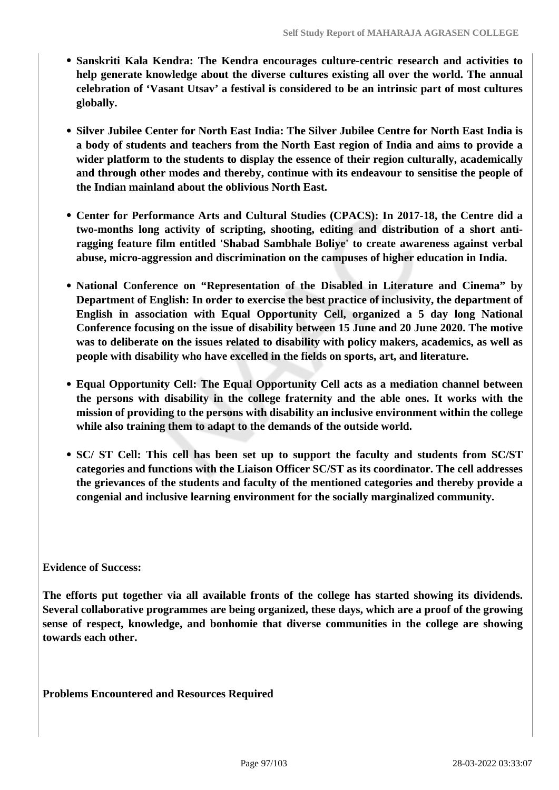- **Sanskriti Kala Kendra: The Kendra encourages culture-centric research and activities to help generate knowledge about the diverse cultures existing all over the world. The annual celebration of 'Vasant Utsav' a festival is considered to be an intrinsic part of most cultures globally.**
- **Silver Jubilee Center for North East India: The Silver Jubilee Centre for North East India is a body of students and teachers from the North East region of India and aims to provide a wider platform to the students to display the essence of their region culturally, academically and through other modes and thereby, continue with its endeavour to sensitise the people of the Indian mainland about the oblivious North East.**
- **Center for Performance Arts and Cultural Studies (CPACS): In 2017-18, the Centre did a two-months long activity of scripting, shooting, editing and distribution of a short antiragging feature film entitled 'Shabad Sambhale Boliye' to create awareness against verbal abuse, micro-aggression and discrimination on the campuses of higher education in India.**
- **National Conference on "Representation of the Disabled in Literature and Cinema" by Department of English: In order to exercise the best practice of inclusivity, the department of English in association with Equal Opportunity Cell, organized a 5 day long National Conference focusing on the issue of disability between 15 June and 20 June 2020. The motive was to deliberate on the issues related to disability with policy makers, academics, as well as people with disability who have excelled in the fields on sports, art, and literature.**
- **Equal Opportunity Cell: The Equal Opportunity Cell acts as a mediation channel between the persons with disability in the college fraternity and the able ones. It works with the mission of providing to the persons with disability an inclusive environment within the college while also training them to adapt to the demands of the outside world.**
- **SC/ ST Cell: This cell has been set up to support the faculty and students from SC/ST categories and functions with the Liaison Officer SC/ST as its coordinator. The cell addresses the grievances of the students and faculty of the mentioned categories and thereby provide a congenial and inclusive learning environment for the socially marginalized community.**

**Evidence of Success:** 

**The efforts put together via all available fronts of the college has started showing its dividends. Several collaborative programmes are being organized, these days, which are a proof of the growing sense of respect, knowledge, and bonhomie that diverse communities in the college are showing towards each other.** 

**Problems Encountered and Resources Required**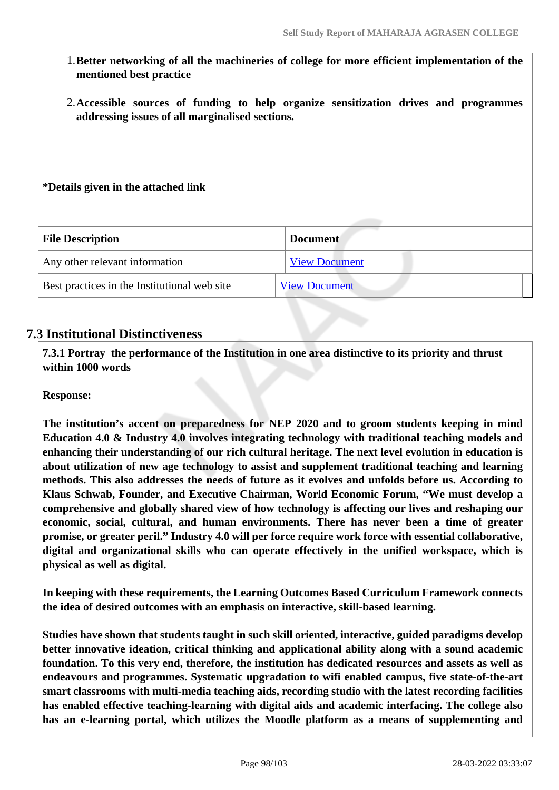- 1.**Better networking of all the machineries of college for more efficient implementation of the mentioned best practice**
- 2.**Accessible sources of funding to help organize sensitization drives and programmes addressing issues of all marginalised sections.**

#### **\*Details given in the attached link**

| <b>File Description</b>                      | <b>Document</b>      |
|----------------------------------------------|----------------------|
| Any other relevant information               | <b>View Document</b> |
| Best practices in the Institutional web site | <b>View Document</b> |

## **7.3 Institutional Distinctiveness**

 **7.3.1 Portray the performance of the Institution in one area distinctive to its priority and thrust within 1000 words**

**Response:** 

**The institution's accent on preparedness for NEP 2020 and to groom students keeping in mind Education 4.0 & Industry 4.0 involves integrating technology with traditional teaching models and enhancing their understanding of our rich cultural heritage. The next level evolution in education is about utilization of new age technology to assist and supplement traditional teaching and learning methods. This also addresses the needs of future as it evolves and unfolds before us. According to Klaus Schwab, Founder, and Executive Chairman, World Economic Forum, "We must develop a comprehensive and globally shared view of how technology is affecting our lives and reshaping our economic, social, cultural, and human environments. There has never been a time of greater promise, or greater peril." Industry 4.0 will per force require work force with essential collaborative, digital and organizational skills who can operate effectively in the unified workspace, which is physical as well as digital.** 

**In keeping with these requirements, the Learning Outcomes Based Curriculum Framework connects the idea of desired outcomes with an emphasis on interactive, skill-based learning.**

**Studies have shown that students taught in such skill oriented, interactive, guided paradigms develop better innovative ideation, critical thinking and applicational ability along with a sound academic foundation. To this very end, therefore, the institution has dedicated resources and assets as well as endeavours and programmes. Systematic upgradation to wifi enabled campus, five state-of-the-art smart classrooms with multi-media teaching aids, recording studio with the latest recording facilities has enabled effective teaching-learning with digital aids and academic interfacing. The college also has an e-learning portal, which utilizes the Moodle platform as a means of supplementing and**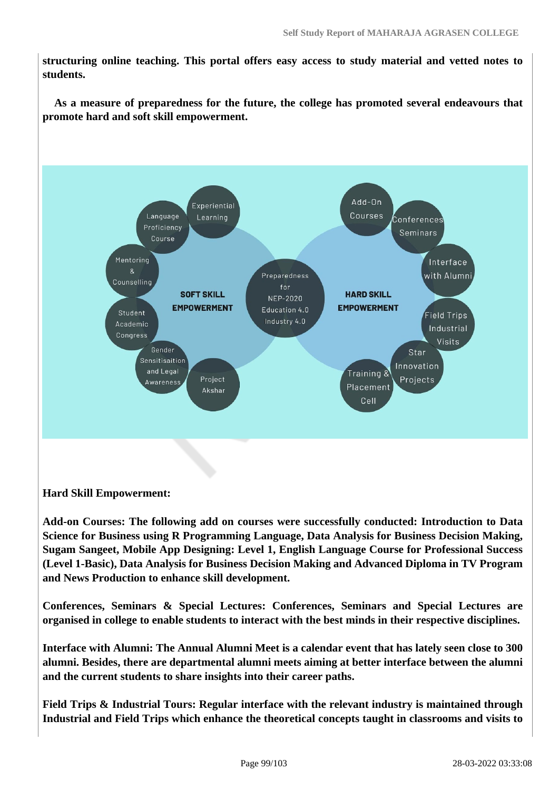**structuring online teaching. This portal offers easy access to study material and vetted notes to students.** 

 **As a measure of preparedness for the future, the college has promoted several endeavours that promote hard and soft skill empowerment.** 



**Hard Skill Empowerment:**

**Add-on Courses: The following add on courses were successfully conducted: Introduction to Data Science for Business using R Programming Language, Data Analysis for Business Decision Making, Sugam Sangeet, Mobile App Designing: Level 1, English Language Course for Professional Success (Level 1-Basic), Data Analysis for Business Decision Making and Advanced Diploma in TV Program and News Production to enhance skill development.**

**Conferences, Seminars & Special Lectures: Conferences, Seminars and Special Lectures are organised in college to enable students to interact with the best minds in their respective disciplines.** 

**Interface with Alumni: The Annual Alumni Meet is a calendar event that has lately seen close to 300 alumni. Besides, there are departmental alumni meets aiming at better interface between the alumni and the current students to share insights into their career paths.** 

**Field Trips & Industrial Tours: Regular interface with the relevant industry is maintained through Industrial and Field Trips which enhance the theoretical concepts taught in classrooms and visits to**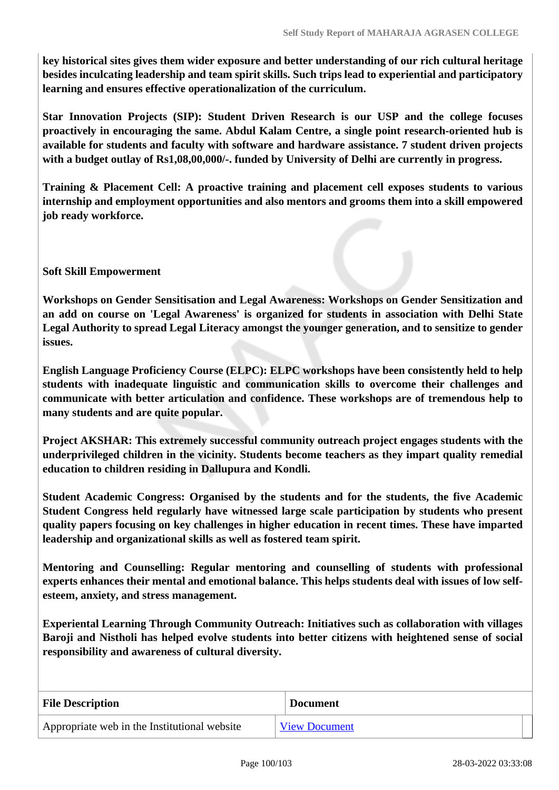**key historical sites gives them wider exposure and better understanding of our rich cultural heritage besides inculcating leadership and team spirit skills. Such trips lead to experiential and participatory learning and ensures effective operationalization of the curriculum.** 

**Star Innovation Projects (SIP): Student Driven Research is our USP and the college focuses proactively in encouraging the same. Abdul Kalam Centre, a single point research-oriented hub is available for students and faculty with software and hardware assistance. 7 student driven projects with a budget outlay of Rs1,08,00,000/-. funded by University of Delhi are currently in progress.**

**Training & Placement Cell: A proactive training and placement cell exposes students to various internship and employment opportunities and also mentors and grooms them into a skill empowered job ready workforce.**

**Soft Skill Empowerment**

**Workshops on Gender Sensitisation and Legal Awareness: Workshops on Gender Sensitization and an add on course on 'Legal Awareness' is organized for students in association with Delhi State Legal Authority to spread Legal Literacy amongst the younger generation, and to sensitize to gender issues.**

**English Language Proficiency Course (ELPC): ELPC workshops have been consistently held to help students with inadequate linguistic and communication skills to overcome their challenges and communicate with better articulation and confidence. These workshops are of tremendous help to many students and are quite popular.** 

**Project AKSHAR: This extremely successful community outreach project engages students with the underprivileged children in the vicinity. Students become teachers as they impart quality remedial education to children residing in Dallupura and Kondli.** 

**Student Academic Congress: Organised by the students and for the students, the five Academic Student Congress held regularly have witnessed large scale participation by students who present quality papers focusing on key challenges in higher education in recent times. These have imparted leadership and organizational skills as well as fostered team spirit.**

**Mentoring and Counselling: Regular mentoring and counselling of students with professional experts enhances their mental and emotional balance. This helps students deal with issues of low selfesteem, anxiety, and stress management.** 

**Experiental Learning Through Community Outreach: Initiatives such as collaboration with villages Baroji and Nistholi has helped evolve students into better citizens with heightened sense of social responsibility and awareness of cultural diversity.**

| <b>File Description</b>                      | <b>Document</b>      |
|----------------------------------------------|----------------------|
| Appropriate web in the Institutional website | <b>View Document</b> |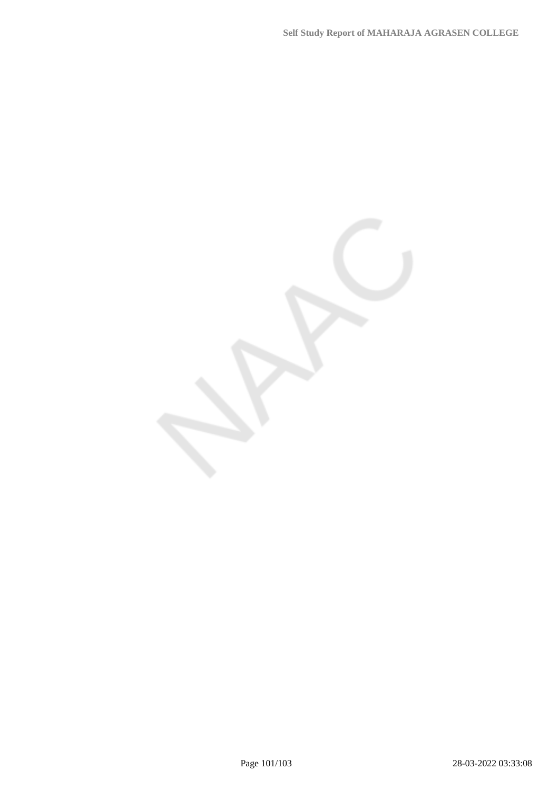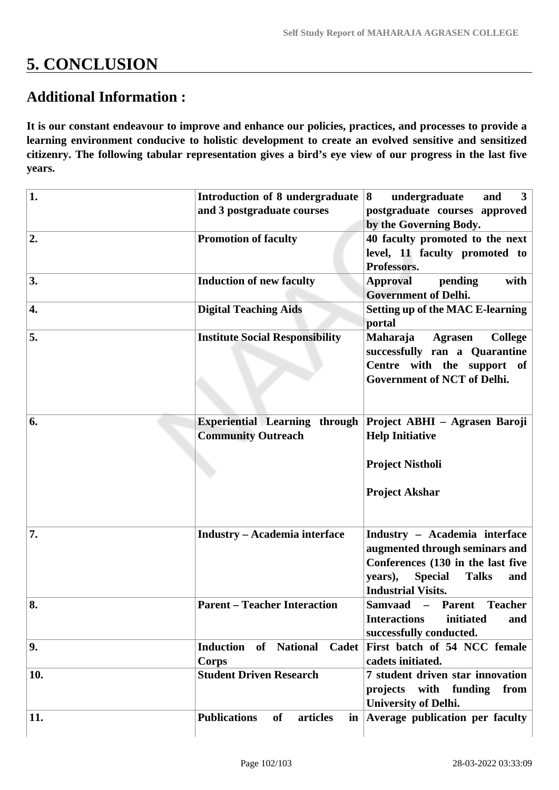# **5. CONCLUSION**

## **Additional Information :**

**It is our constant endeavour to improve and enhance our policies, practices, and processes to provide a learning environment conducive to holistic development to create an evolved sensitive and sensitized citizenry. The following tabular representation gives a bird's eye view of our progress in the last five years.** 

| 1.               | Introduction of 8 undergraduate $ 8 $                             | undergraduate<br>3 <sup>1</sup><br>and                             |
|------------------|-------------------------------------------------------------------|--------------------------------------------------------------------|
|                  | and 3 postgraduate courses                                        | postgraduate courses approved                                      |
|                  |                                                                   | by the Governing Body.                                             |
| $\overline{2}$ . | <b>Promotion of faculty</b>                                       | 40 faculty promoted to the next                                    |
|                  |                                                                   | level, 11 faculty promoted to                                      |
|                  |                                                                   | Professors.                                                        |
| 3.               | <b>Induction of new faculty</b>                                   | <b>Approval</b><br>pending<br>with                                 |
| 4.               |                                                                   | <b>Government of Delhi.</b>                                        |
|                  | <b>Digital Teaching Aids</b>                                      | <b>Setting up of the MAC E-learning</b><br>portal                  |
| 5.               | <b>Institute Social Responsibility</b>                            | Maharaja<br><b>College</b><br><b>Agrasen</b>                       |
|                  |                                                                   | successfully ran a Quarantine                                      |
|                  |                                                                   | Centre with the support of                                         |
|                  |                                                                   | <b>Government of NCT of Delhi.</b>                                 |
|                  |                                                                   |                                                                    |
| 6.               |                                                                   |                                                                    |
|                  | <b>Experiential Learning through</b><br><b>Community Outreach</b> | Project ABHI - Agrasen Baroji<br><b>Help Initiative</b>            |
|                  |                                                                   |                                                                    |
|                  |                                                                   | <b>Project Nistholi</b>                                            |
|                  |                                                                   |                                                                    |
|                  |                                                                   | <b>Project Akshar</b>                                              |
|                  |                                                                   |                                                                    |
|                  |                                                                   |                                                                    |
| 7.               | <b>Industry - Academia interface</b>                              | Industry - Academia interface                                      |
|                  |                                                                   | augmented through seminars and                                     |
|                  |                                                                   | Conferences (130 in the last five                                  |
|                  |                                                                   | <b>Special</b><br><b>Talks</b><br>years),<br>and                   |
|                  |                                                                   | <b>Industrial Visits.</b>                                          |
| 8.               | <b>Parent - Teacher Interaction</b>                               | <b>Teacher</b><br><b>Samvaad</b><br>- Parent                       |
|                  |                                                                   | <b>Interactions</b><br>initiated<br>and<br>successfully conducted. |
| $\vert$ 9.       | <b>Induction of National</b>                                      | Cadet First batch of 54 NCC female                                 |
|                  | Corps                                                             | cadets initiated.                                                  |
| 10.              | <b>Student Driven Research</b>                                    | 7 student driven star innovation                                   |
|                  |                                                                   | from<br>projects<br>with funding                                   |
|                  |                                                                   | <b>University of Delhi.</b>                                        |
| 11.              | <b>Publications</b><br>of<br>articles<br>in                       | Average publication per faculty                                    |
|                  |                                                                   |                                                                    |